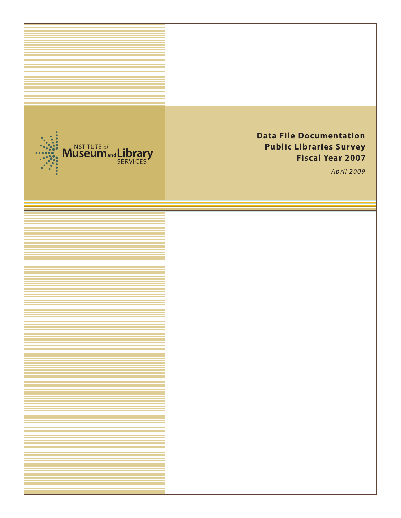

# **Data File Documentation Public Libraries Survey Fiscal Year 2007**

*April 2009*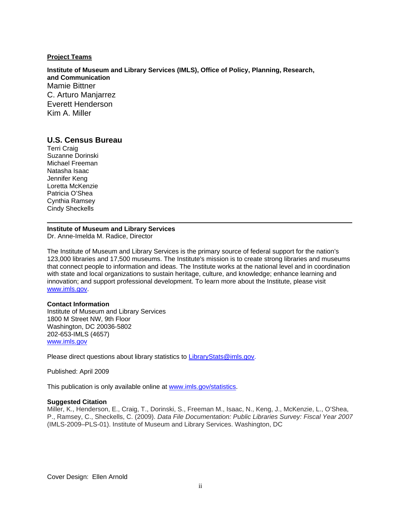#### **Project Teams**

**Institute of Museum and Library Services (IMLS), Office of Policy, Planning, Research, and Communication**  Mamie Bittner C. Arturo Manjarrez Everett Henderson Kim A. Miller

#### **U.S. Census Bureau**

Terri Craig Suzanne Dorinski Michael Freeman Natasha Isaac Jennifer Keng Loretta McKenzie Patricia O'Shea Cynthia Ramsey Cindy Sheckells

# **Institute of Museum and Library Services**

Dr. Anne-Imelda M. Radice, Director

The Institute of Museum and Library Services is the primary source of federal support for the nation's 123,000 libraries and 17,500 museums. The Institute's mission is to create strong libraries and museums that connect people to information and ideas. The Institute works at the national level and in coordination with state and local organizations to sustain heritage, culture, and knowledge; enhance learning and innovation; and support professional development. To learn more about the Institute, please visit [www.imls.gov](http://www.imls.gov/).

#### **Contact Information**

Institute of Museum and Library Services 1800 M Street NW, 9th Floor Washington, DC 20036-5802 202-653-IMLS (4657) [www.imls.gov](http://www.imls.gov/)

Please direct questions about library statistics to [LibraryStats@imls.gov](mailto:LibraryStats@imls.gov).

Published: April 2009

This publication is only available online at<www.imls.gov/statistics>.

#### **Suggested Citation**

Miller, K., Henderson, E., Craig, T., Dorinski, S., Freeman M., Isaac, N., Keng, J., McKenzie, L., O'Shea, P., Ramsey, C., Sheckells, C. (2009). *Data File Documentation: Public Libraries Survey: Fiscal Year 2007*  (IMLS-2009–PLS-01). Institute of Museum and Library Services. Washington, DC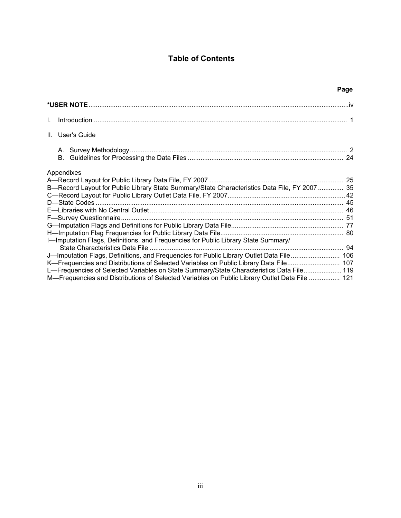## **Table of Contents**

| Page                                                                                                                                                                                                                                                                                                                                                                           |  |
|--------------------------------------------------------------------------------------------------------------------------------------------------------------------------------------------------------------------------------------------------------------------------------------------------------------------------------------------------------------------------------|--|
|                                                                                                                                                                                                                                                                                                                                                                                |  |
|                                                                                                                                                                                                                                                                                                                                                                                |  |
| II. User's Guide                                                                                                                                                                                                                                                                                                                                                               |  |
|                                                                                                                                                                                                                                                                                                                                                                                |  |
| Appendixes<br>B—Record Layout for Public Library State Summary/State Characteristics Data File, FY 2007  35<br>I-Imputation Flags, Definitions, and Frequencies for Public Library State Summary/                                                                                                                                                                              |  |
| J-Imputation Flags, Definitions, and Frequencies for Public Library Outlet Data File 106<br>K—Frequencies and Distributions of Selected Variables on Public Library Data File 107<br>L—Frequencies of Selected Variables on State Summary/State Characteristics Data File 119<br>M-Frequencies and Distributions of Selected Variables on Public Library Outlet Data File  121 |  |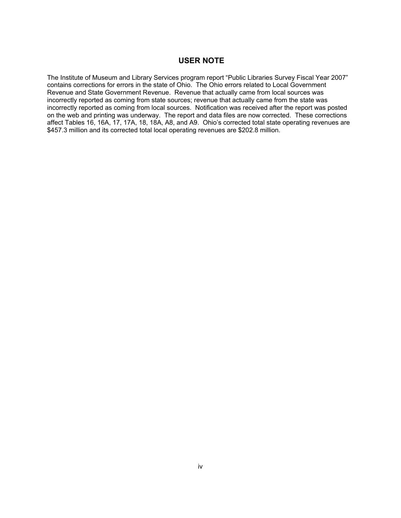#### **USER NOTE**

The Institute of Museum and Library Services program report "Public Libraries Survey Fiscal Year 2007" contains corrections for errors in the state of Ohio. The Ohio errors related to Local Government Revenue and State Government Revenue. Revenue that actually came from local sources was incorrectly reported as coming from state sources; revenue that actually came from the state was incorrectly reported as coming from local sources. Notification was received after the report was posted on the web and printing was underway. The report and data files are now corrected. These corrections affect Tables 16, 16A, 17, 17A, 18, 18A, A8, and A9. Ohio's corrected total state operating revenues are \$457.3 million and its corrected total local operating revenues are \$202.8 million.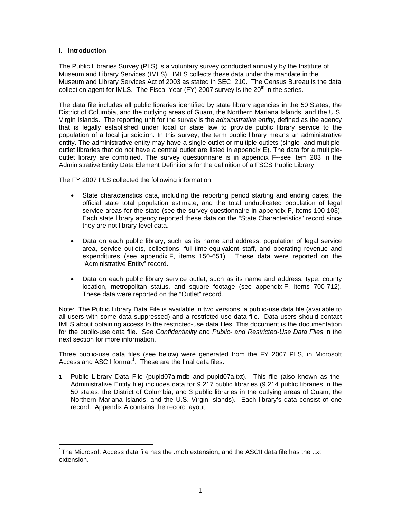#### **I. Introduction**

 $\overline{a}$ 

The Public Libraries Survey (PLS) is a voluntary survey conducted annually by the Institute of Museum and Library Services (IMLS). IMLS collects these data under the mandate in the Museum and Library Services Act of 2003 as stated in SEC. 210. The Census Bureau is the data collection agent for IMLS. The Fiscal Year (FY) 2007 survey is the  $20<sup>th</sup>$  in the series.

The data file includes all public libraries identified by state library agencies in the 50 States, the District of Columbia, and the outlying areas of Guam, the Northern Mariana Islands, and the U.S. Virgin Islands. The reporting unit for the survey is the *administrative entity*, defined as the agency that is legally established under local or state law to provide public library service to the population of a local jurisdiction. In this survey, the term public library means an administrative entity. The administrative entity may have a single outlet or multiple outlets (single- and multipleoutlet libraries that do not have a central outlet are listed in appendix E). The data for a multipleoutlet library are combined. The survey questionnaire is in appendix F--see item 203 in the Administrative Entity Data Element Definitions for the definition of a FSCS Public Library.

The FY 2007 PLS collected the following information:

- State characteristics data, including the reporting period starting and ending dates, the official state total population estimate, and the total unduplicated population of legal service areas for the state (see the survey questionnaire in appendix F, items 100-103). Each state library agency reported these data on the "State Characteristics" record since they are not library-level data.
- Data on each public library, such as its name and address, population of legal service area, service outlets, collections, full-time-equivalent staff, and operating revenue and expenditures (see appendix F, items 150-651). These data were reported on the "Administrative Entity" record.
- Data on each public library service outlet, such as its name and address, type, county location, metropolitan status, and square footage (see appendix F, items 700-712). These data were reported on the "Outlet" record.

Note: The Public Library Data File is available in two versions: a public-use data file (available to all users with some data suppressed) and a restricted-use data file. Data users should contact IMLS about obtaining access to the restricted-use data files. This document is the documentation for the public-use data file. See *Confidentiality* and *Public- and Restricted-Use Data Files* in the next section for more information.

Three public-use data files (see below) were generated from the FY 2007 PLS, in Microsoft Access and ASCII format $^1$  $^1$ . These are the final data files.

1. Public Library Data File (pupld07a.mdb and pupld07a.txt). This file (also known as the Administrative Entity file) includes data for 9,217 public libraries (9,214 public libraries in the 50 states, the District of Columbia, and 3 public libraries in the outlying areas of Guam, the Northern Mariana Islands, and the U.S. Virgin Islands). Each library's data consist of one record. Appendix A contains the record layout.

<span id="page-4-0"></span><sup>&</sup>lt;sup>1</sup>The Microsoft Access data file has the .mdb extension, and the ASCII data file has the .txt extension.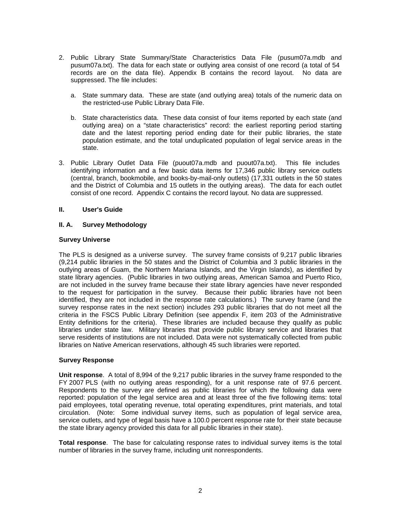- 2. Public Library State Summary/State Characteristics Data File (pusum07a.mdb and pusum07a.txt). The data for each state or outlying area consist of one record (a total of 54 records are on the data file). Appendix B contains the record layout. No data are suppressed. The file includes:
	- a. State summary data. These are state (and outlying area) totals of the numeric data on the restricted-use Public Library Data File.
	- b. State characteristics data. These data consist of four items reported by each state (and outlying area) on a "state characteristics" record: the earliest reporting period starting date and the latest reporting period ending date for their public libraries, the state population estimate, and the total unduplicated population of legal service areas in the state.
- 3. Public Library Outlet Data File (puout07a.mdb and puout07a.txt). This file includes identifying information and a few basic data items for 17,346 public library service outlets (central, branch, bookmobile, and books-by-mail-only outlets) (17,331 outlets in the 50 states and the District of Columbia and 15 outlets in the outlying areas). The data for each outlet consist of one record. Appendix C contains the record layout. No data are suppressed.

#### **II. User's Guide**

#### **II. A. Survey Methodology**

#### **Survey Universe**

The PLS is designed as a universe survey. The survey frame consists of 9,217 public libraries (9,214 public libraries in the 50 states and the District of Columbia and 3 public libraries in the outlying areas of Guam, the Northern Mariana Islands, and the Virgin Islands), as identified by state library agencies. (Public libraries in two outlying areas, American Samoa and Puerto Rico, are not included in the survey frame because their state library agencies have never responded to the request for participation in the survey. Because their public libraries have not been identified, they are not included in the response rate calculations.) The survey frame (and the survey response rates in the next section) includes 293 public libraries that do not meet all the criteria in the FSCS Public Library Definition (see appendix F, item 203 of the Administrative Entity definitions for the criteria). These libraries are included because they qualify as public libraries under state law. Military libraries that provide public library service and libraries that serve residents of institutions are not included. Data were not systematically collected from public libraries on Native American reservations, although 45 such libraries were reported.

#### **Survey Response**

**Unit response**. A total of 8,994 of the 9,217 public libraries in the survey frame responded to the FY 2007 PLS (with no outlying areas responding), for a unit response rate of 97.6 percent. Respondents to the survey are defined as public libraries for which the following data were reported: population of the legal service area and at least three of the five following items: total paid employees, total operating revenue, total operating expenditures, print materials, and total circulation. (Note: Some individual survey items, such as population of legal service area, service outlets, and type of legal basis have a 100.0 percent response rate for their state because the state library agency provided this data for all public libraries in their state).

**Total response**. The base for calculating response rates to individual survey items is the total number of libraries in the survey frame, including unit nonrespondents.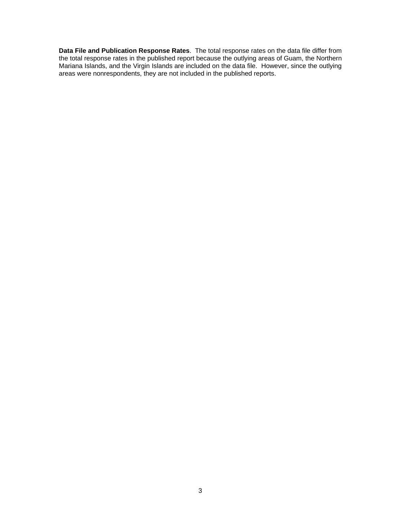**Data File and Publication Response Rates**. The total response rates on the data file differ from the total response rates in the published report because the outlying areas of Guam, the Northern Mariana Islands, and the Virgin Islands are included on the data file. However, since the outlying areas were nonrespondents, they are not included in the published reports.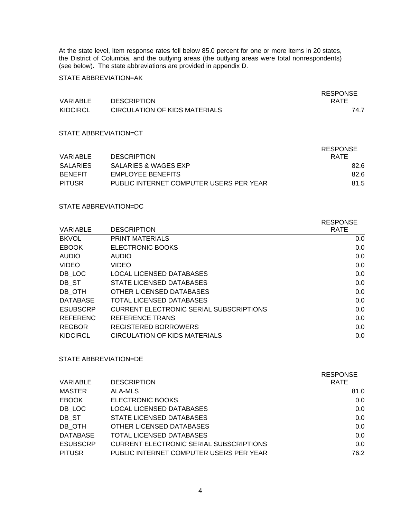At the state level, item response rates fell below 85.0 percent for one or more items in 20 states, the District of Columbia, and the outlying areas (the outlying areas were total nonrespondents) (see below). The state abbreviations are provided in appendix D.

STATE ABBREVIATION=AK

|          |                                      | <b>RESPONSE</b> |
|----------|--------------------------------------|-----------------|
| VARIABLE | <b>DESCRIPTION</b>                   | RATE            |
| KIDCIRCL | <b>CIRCULATION OF KIDS MATERIALS</b> | 74.7            |

#### STATE ABBREVIATION=CT

|                 |                                         | <b>RESPONSE</b> |
|-----------------|-----------------------------------------|-----------------|
| VARIABLE        | <b>DESCRIPTION</b>                      | RATE            |
| <b>SALARIES</b> | SALARIES & WAGES EXP                    | 82.6            |
| <b>BENEEIT</b>  | EMPLOYEE BENEFITS                       | 82.6            |
| <b>PITUSR</b>   | PUBLIC INTERNET COMPUTER USERS PER YEAR | 81.5            |

### STATE ABBREVIATION=DC

| <b>VARIABLE</b> | <b>DESCRIPTION</b>                             | <b>RESPONSE</b><br><b>RATE</b> |
|-----------------|------------------------------------------------|--------------------------------|
| <b>BKVOL</b>    | <b>PRINT MATERIALS</b>                         | 0.0                            |
| <b>EBOOK</b>    | ELECTRONIC BOOKS                               | 0.0                            |
| <b>AUDIO</b>    | <b>AUDIO</b>                                   | 0.0                            |
| <b>VIDEO</b>    | <b>VIDEO</b>                                   | 0.0                            |
| DB LOC          | LOCAL LICENSED DATABASES                       | 0.0                            |
| DB ST           | STATE LICENSED DATABASES                       | 0.0                            |
| DB OTH          | OTHER LICENSED DATABASES                       | 0.0                            |
| <b>DATABASE</b> | <b>TOTAL LICENSED DATABASES</b>                | 0.0                            |
| <b>ESUBSCRP</b> | <b>CURRENT ELECTRONIC SERIAL SUBSCRIPTIONS</b> | 0.0                            |
| <b>REFERENC</b> | REFERENCE TRANS                                | 0.0                            |
| <b>REGBOR</b>   | <b>REGISTERED BORROWERS</b>                    | 0.0                            |
| <b>KIDCIRCL</b> | CIRCULATION OF KIDS MATERIALS                  | 0.0                            |
|                 |                                                |                                |

### STATE ABBREVIATION=DE

|                                                | <b>RESPONSE</b> |
|------------------------------------------------|-----------------|
| <b>DESCRIPTION</b>                             | <b>RATE</b>     |
| ALA-MLS                                        | 81.0            |
| ELECTRONIC BOOKS                               | 0.0             |
| <b>LOCAL LICENSED DATABASES</b>                | 0.0             |
| STATE LICENSED DATABASES                       | 0.0             |
| OTHER LICENSED DATABASES                       | 0.0             |
| TOTAL LICENSED DATABASES                       | 0.0             |
| <b>CURRENT ELECTRONIC SERIAL SUBSCRIPTIONS</b> | 0.0             |
| PUBLIC INTERNET COMPUTER USERS PER YEAR        | 76.2            |
|                                                |                 |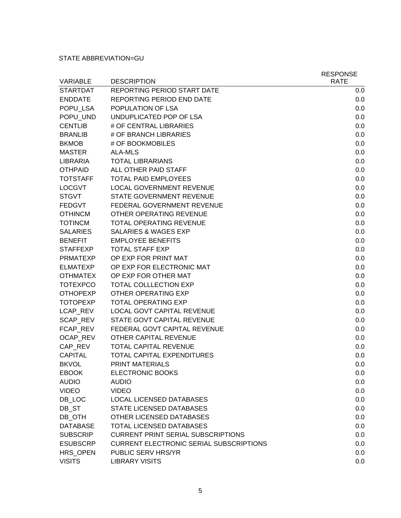### STATE ABBREVIATION=GU

|                 |                                                | <b>RESPONSE</b> |
|-----------------|------------------------------------------------|-----------------|
| <b>VARIABLE</b> | <b>DESCRIPTION</b>                             | <b>RATE</b>     |
| <b>STARTDAT</b> | REPORTING PERIOD START DATE                    | 0.0             |
| <b>ENDDATE</b>  | REPORTING PERIOD END DATE                      | 0.0             |
| POPU LSA        | POPULATION OF LSA                              | 0.0             |
| POPU UND        | UNDUPLICATED POP OF LSA                        | 0.0             |
| <b>CENTLIB</b>  | # OF CENTRAL LIBRARIES                         | 0.0             |
| <b>BRANLIB</b>  | # OF BRANCH LIBRARIES                          | 0.0             |
| <b>BKMOB</b>    | # OF BOOKMOBILES                               | 0.0             |
| <b>MASTER</b>   | ALA-MLS                                        | 0.0             |
| <b>LIBRARIA</b> | <b>TOTAL LIBRARIANS</b>                        | 0.0             |
| <b>OTHPAID</b>  | ALL OTHER PAID STAFF                           | 0.0             |
| <b>TOTSTAFF</b> | <b>TOTAL PAID EMPLOYEES</b>                    | 0.0             |
| <b>LOCGVT</b>   | <b>LOCAL GOVERNMENT REVENUE</b>                | 0.0             |
| <b>STGVT</b>    | STATE GOVERNMENT REVENUE                       | 0.0             |
| <b>FEDGVT</b>   | FEDERAL GOVERNMENT REVENUE                     | 0.0             |
| <b>OTHINCM</b>  | OTHER OPERATING REVENUE                        | 0.0             |
| <b>TOTINCM</b>  | <b>TOTAL OPERATING REVENUE</b>                 | 0.0             |
| <b>SALARIES</b> | <b>SALARIES &amp; WAGES EXP</b>                | 0.0             |
| <b>BENEFIT</b>  | <b>EMPLOYEE BENEFITS</b>                       | 0.0             |
| <b>STAFFEXP</b> | <b>TOTAL STAFF EXP</b>                         | 0.0             |
| <b>PRMATEXP</b> | OP EXP FOR PRINT MAT                           | 0.0             |
| <b>ELMATEXP</b> | OP EXP FOR ELECTRONIC MAT                      | 0.0             |
| <b>OTHMATEX</b> | OP EXP FOR OTHER MAT                           | 0.0             |
| <b>TOTEXPCO</b> | <b>TOTAL COLLLECTION EXP</b>                   | 0.0             |
| <b>OTHOPEXP</b> | <b>OTHER OPERATING EXP</b>                     | 0.0             |
| <b>TOTOPEXP</b> | <b>TOTAL OPERATING EXP</b>                     | 0.0             |
| LCAP REV        | LOCAL GOVT CAPITAL REVENUE                     | 0.0             |
| SCAP REV        | STATE GOVT CAPITAL REVENUE                     | 0.0             |
| FCAP REV        | FEDERAL GOVT CAPITAL REVENUE                   | 0.0             |
| OCAP_REV        | OTHER CAPITAL REVENUE                          | 0.0             |
| CAP REV         | TOTAL CAPITAL REVENUE                          | 0.0             |
| <b>CAPITAL</b>  | <b>TOTAL CAPITAL EXPENDITURES</b>              | 0.0             |
| <b>BKVOL</b>    | PRINT MATERIALS                                | 0.0             |
| <b>EBOOK</b>    | <b>ELECTRONIC BOOKS</b>                        | 0.0             |
| <b>AUDIO</b>    | <b>AUDIO</b>                                   | 0.0             |
| <b>VIDEO</b>    | <b>VIDEO</b>                                   | 0.0             |
| DB LOC          | <b>LOCAL LICENSED DATABASES</b>                | 0.0             |
| DB_ST           | STATE LICENSED DATABASES                       | 0.0             |
| DB_OTH          | OTHER LICENSED DATABASES                       | 0.0             |
| <b>DATABASE</b> | TOTAL LICENSED DATABASES                       | 0.0             |
| <b>SUBSCRIP</b> | <b>CURRENT PRINT SERIAL SUBSCRIPTIONS</b>      | 0.0             |
| <b>ESUBSCRP</b> | <b>CURRENT ELECTRONIC SERIAL SUBSCRIPTIONS</b> | 0.0             |
| HRS_OPEN        | PUBLIC SERV HRS/YR                             | 0.0             |
| <b>VISITS</b>   | <b>LIBRARY VISITS</b>                          | 0.0             |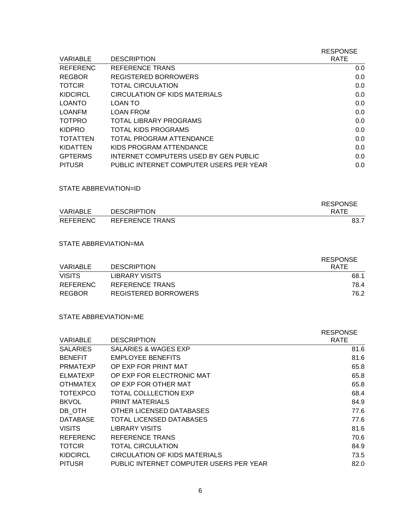|                 |                                         | <b>RESPONSE</b> |
|-----------------|-----------------------------------------|-----------------|
| VARIABLE        | <b>DESCRIPTION</b>                      | <b>RATE</b>     |
| <b>REFERENC</b> | REFERENCE TRANS                         | 0.0             |
| <b>REGBOR</b>   | <b>REGISTERED BORROWERS</b>             | 0.0             |
| <b>TOTCIR</b>   | TOTAL CIRCULATION                       | 0.0             |
| <b>KIDCIRCL</b> | CIRCULATION OF KIDS MATERIALS           | 0.0             |
| LOANTO          | LOAN TO                                 | 0.0             |
| LOANFM          | <b>LOAN FROM</b>                        | 0.0             |
| <b>TOTPRO</b>   | TOTAL LIBRARY PROGRAMS                  | 0.0             |
| <b>KIDPRO</b>   | TOTAL KIDS PROGRAMS                     | 0.0             |
| <b>TOTATTEN</b> | TOTAL PROGRAM ATTENDANCE                | 0.0             |
| KIDATTEN        | KIDS PROGRAM ATTENDANCE                 | 0.0             |
| <b>GPTERMS</b>  | INTERNET COMPUTERS USED BY GEN PUBLIC   | 0.0             |
| <b>PITUSR</b>   | PUBLIC INTERNET COMPUTER USERS PER YEAR | 0.0             |

### STATE ABBREVIATION=ID

|                 |                        | <b>RESPONSE</b> |
|-----------------|------------------------|-----------------|
| <b>VARIABLE</b> | <b>DESCRIPTION</b>     | <b>RATE</b>     |
| <b>REFERENC</b> | <b>REFERENCE TRANS</b> | 83.7            |

#### STATE ABBREVIATION=MA

|               |                      | RESPONSE    |
|---------------|----------------------|-------------|
| VARIABLE      | <b>DESCRIPTION</b>   | <b>RATE</b> |
| <b>VISITS</b> | LIBRARY VISITS       | 68.1        |
| REFERENC      | REFERENCE TRANS      | 78.4        |
| REGBOR        | REGISTERED BORROWERS | 76.2        |

### STATE ABBREVIATION=ME

|                 |                                         | <b>RESPONSE</b> |
|-----------------|-----------------------------------------|-----------------|
| VARIABLE        | <b>DESCRIPTION</b>                      | <b>RATE</b>     |
| <b>SALARIES</b> | SALARIES & WAGES EXP                    | 81.6            |
| <b>BENEFIT</b>  | <b>EMPLOYEE BENEFITS</b>                | 81.6            |
| <b>PRMATEXP</b> | OP EXP FOR PRINT MAT                    | 65.8            |
| <b>ELMATEXP</b> | OP EXP FOR ELECTRONIC MAT               | 65.8            |
| <b>OTHMATEX</b> | OP EXP FOR OTHER MAT                    | 65.8            |
| <b>TOTEXPCO</b> | TOTAL COLLLECTION EXP                   | 68.4            |
| <b>BKVOL</b>    | <b>PRINT MATERIALS</b>                  | 84.9            |
| DB OTH          | OTHER LICENSED DATABASES                | 77.6            |
| <b>DATABASE</b> | TOTAL LICENSED DATABASES                | 77.6            |
| <b>VISITS</b>   | LIBRARY VISITS                          | 81.6            |
| <b>REFERENC</b> | <b>REFERENCE TRANS</b>                  | 70.6            |
| <b>TOTCIR</b>   | TOTAL CIRCULATION                       | 84.9            |
| <b>KIDCIRCL</b> | <b>CIRCULATION OF KIDS MATERIALS</b>    | 73.5            |
| <b>PITUSR</b>   | PUBLIC INTERNET COMPUTER USERS PER YEAR | 82.0            |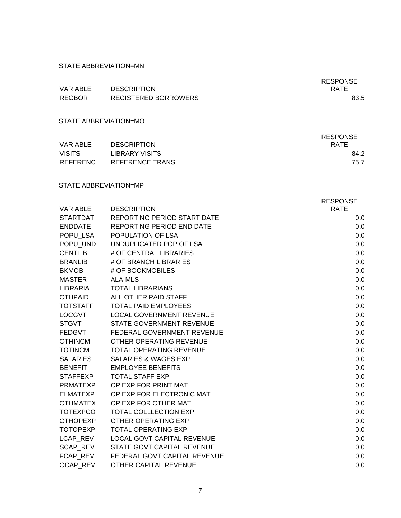STATE ABBREVIATION=MN

| <b>VARIABLE</b> | <b>DESCRIPTION</b>          | <b>RESPONSE</b><br><b>RATE</b> |
|-----------------|-----------------------------|--------------------------------|
| <b>REGBOR</b>   | <b>REGISTERED BORROWERS</b> | 83.5                           |

STATE ABBREVIATION=MO

|                 |                    | <b>RESPONSE</b> |
|-----------------|--------------------|-----------------|
| <b>VARIABLE</b> | <b>DESCRIPTION</b> | <b>RATE</b>     |
| <b>VISITS</b>   | LIBRARY VISITS     | 84.2            |
| <b>REFERENC</b> | REFERENCE TRANS    | 75.7            |

#### STATE ABBREVIATION=MP

|                 |                                    | <b>RESPONSE</b> |
|-----------------|------------------------------------|-----------------|
| <b>VARIABLE</b> | <b>DESCRIPTION</b>                 | <b>RATE</b>     |
| <b>STARTDAT</b> | <b>REPORTING PERIOD START DATE</b> | 0.0             |
| <b>ENDDATE</b>  | <b>REPORTING PERIOD END DATE</b>   | 0.0             |
| POPU LSA        | POPULATION OF LSA                  | 0.0             |
| POPU UND        | UNDUPLICATED POP OF LSA            | 0.0             |
| <b>CENTLIB</b>  | # OF CENTRAL LIBRARIES             | 0.0             |
| <b>BRANLIB</b>  | # OF BRANCH LIBRARIES              | 0.0             |
| <b>BKMOB</b>    | # OF BOOKMOBILES                   | 0.0             |
| <b>MASTER</b>   | <b>ALA-MLS</b>                     | 0.0             |
| <b>LIBRARIA</b> | <b>TOTAL LIBRARIANS</b>            | 0.0             |
| <b>OTHPAID</b>  | ALL OTHER PAID STAFF               | 0.0             |
| <b>TOTSTAFF</b> | <b>TOTAL PAID EMPLOYEES</b>        | 0.0             |
| <b>LOCGVT</b>   | <b>LOCAL GOVERNMENT REVENUE</b>    | 0.0             |
| <b>STGVT</b>    | <b>STATE GOVERNMENT REVENUE</b>    | 0.0             |
| <b>FEDGVT</b>   | FEDERAL GOVERNMENT REVENUE         | 0.0             |
| <b>OTHINCM</b>  | OTHER OPERATING REVENUE            | 0.0             |
| <b>TOTINCM</b>  | TOTAL OPERATING REVENUE            | 0.0             |
| <b>SALARIES</b> | <b>SALARIES &amp; WAGES EXP</b>    | 0.0             |
| <b>BENEFIT</b>  | <b>EMPLOYEE BENEFITS</b>           | 0.0             |
| <b>STAFFEXP</b> | <b>TOTAL STAFF EXP</b>             | 0.0             |
| <b>PRMATEXP</b> | OP EXP FOR PRINT MAT               | 0.0             |
| <b>ELMATEXP</b> | OP EXP FOR ELECTRONIC MAT          | 0.0             |
| <b>OTHMATEX</b> | OP EXP FOR OTHER MAT               | 0.0             |
| <b>TOTEXPCO</b> | <b>TOTAL COLLLECTION EXP</b>       | 0.0             |
| <b>OTHOPEXP</b> | OTHER OPERATING EXP                | 0.0             |
| <b>TOTOPEXP</b> | <b>TOTAL OPERATING EXP</b>         | 0.0             |
| LCAP REV        | <b>LOCAL GOVT CAPITAL REVENUE</b>  | 0.0             |
| SCAP REV        | STATE GOVT CAPITAL REVENUE         | 0.0             |
| FCAP REV        | FEDERAL GOVT CAPITAL REVENUE       | 0.0             |
| OCAP REV        | OTHER CAPITAL REVENUE              | 0.0             |
|                 |                                    |                 |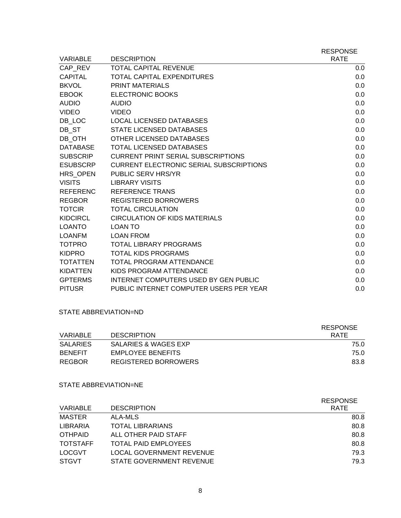| <b>VARIABLE</b> | <b>DESCRIPTION</b>                             | <b>RESPONSE</b><br><b>RATE</b> |
|-----------------|------------------------------------------------|--------------------------------|
| CAP REV         | <b>TOTAL CAPITAL REVENUE</b>                   | 0.0                            |
| CAPITAL         | <b>TOTAL CAPITAL EXPENDITURES</b>              | 0.0                            |
| <b>BKVOL</b>    | <b>PRINT MATERIALS</b>                         | 0.0                            |
| <b>EBOOK</b>    | <b>ELECTRONIC BOOKS</b>                        | 0.0                            |
| <b>AUDIO</b>    | <b>AUDIO</b>                                   | 0.0                            |
| <b>VIDEO</b>    | <b>VIDEO</b>                                   | 0.0                            |
| DB LOC          | <b>LOCAL LICENSED DATABASES</b>                | 0.0                            |
| DB ST           | STATE LICENSED DATABASES                       | 0.0                            |
| DB OTH          | OTHER LICENSED DATABASES                       | 0.0                            |
| <b>DATABASE</b> | <b>TOTAL LICENSED DATABASES</b>                | 0.0                            |
| <b>SUBSCRIP</b> | <b>CURRENT PRINT SERIAL SUBSCRIPTIONS</b>      | 0.0                            |
| <b>ESUBSCRP</b> | <b>CURRENT ELECTRONIC SERIAL SUBSCRIPTIONS</b> | 0.0                            |
| HRS OPEN        | PUBLIC SERV HRS/YR                             | 0.0                            |
| <b>VISITS</b>   | <b>LIBRARY VISITS</b>                          | 0.0                            |
| <b>REFERENC</b> | <b>REFERENCE TRANS</b>                         | 0.0                            |
| <b>REGBOR</b>   | <b>REGISTERED BORROWERS</b>                    | 0.0                            |
| <b>TOTCIR</b>   | <b>TOTAL CIRCULATION</b>                       | 0.0                            |
| <b>KIDCIRCL</b> | <b>CIRCULATION OF KIDS MATERIALS</b>           | 0.0                            |
| <b>LOANTO</b>   | <b>LOAN TO</b>                                 | 0.0                            |
| <b>LOANFM</b>   | <b>LOAN FROM</b>                               | 0.0                            |
| <b>TOTPRO</b>   | <b>TOTAL LIBRARY PROGRAMS</b>                  | 0.0                            |
| <b>KIDPRO</b>   | <b>TOTAL KIDS PROGRAMS</b>                     | 0.0                            |
| <b>TOTATTEN</b> | <b>TOTAL PROGRAM ATTENDANCE</b>                | 0.0                            |
| <b>KIDATTEN</b> | KIDS PROGRAM ATTENDANCE                        | 0.0                            |
| <b>GPTERMS</b>  | <b>INTERNET COMPUTERS USED BY GEN PUBLIC</b>   | 0.0                            |
| <b>PITUSR</b>   | PUBLIC INTERNET COMPUTER USERS PER YEAR        | 0.0                            |

#### STATE ABBREVIATION=ND

|                 |                      | <b>RESPONSE</b> |
|-----------------|----------------------|-----------------|
| VARIABLE        | <b>DESCRIPTION</b>   | <b>RATE</b>     |
| <b>SALARIES</b> | SALARIES & WAGES EXP | 75.0            |
| <b>BENEFIT</b>  | EMPLOYEE BENEFITS    | 75.0            |
| <b>REGBOR</b>   | REGISTERED BORROWERS | 83.8            |

### STATE ABBREVIATION=NE

|                 |                                 | <b>RESPONSE</b> |
|-----------------|---------------------------------|-----------------|
| <b>VARIABLE</b> | <b>DESCRIPTION</b>              | <b>RATE</b>     |
| <b>MASTER</b>   | ALA-MLS                         | 80.8            |
| LIBRARIA        | <b>TOTAL LIBRARIANS</b>         | 80.8            |
| <b>OTHPAID</b>  | ALL OTHER PAID STAFF            | 80.8            |
| <b>TOTSTAFF</b> | <b>TOTAL PAID EMPLOYEES</b>     | 80.8            |
| <b>LOCGVT</b>   | <b>LOCAL GOVERNMENT REVENUE</b> | 79.3            |
| <b>STGVT</b>    | STATE GOVERNMENT REVENUE        | 79.3            |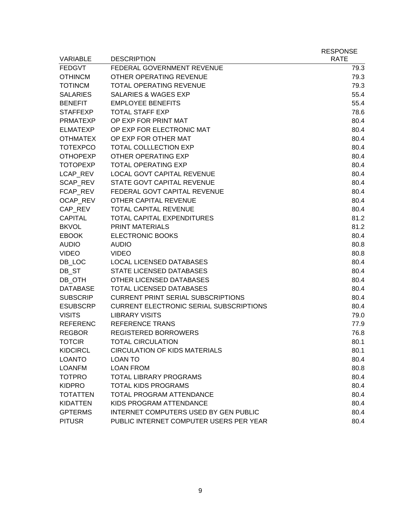| <b>VARIABLE</b> | <b>DESCRIPTION</b>                             | <b>RESPONSE</b><br><b>RATE</b> |
|-----------------|------------------------------------------------|--------------------------------|
| <b>FEDGVT</b>   | FEDERAL GOVERNMENT REVENUE                     | 79.3                           |
| <b>OTHINCM</b>  | OTHER OPERATING REVENUE                        | 79.3                           |
| <b>TOTINCM</b>  | <b>TOTAL OPERATING REVENUE</b>                 | 79.3                           |
| <b>SALARIES</b> | <b>SALARIES &amp; WAGES EXP</b>                | 55.4                           |
| <b>BENEFIT</b>  | <b>EMPLOYEE BENEFITS</b>                       | 55.4                           |
| <b>STAFFEXP</b> | <b>TOTAL STAFF EXP</b>                         | 78.6                           |
| <b>PRMATEXP</b> | OP EXP FOR PRINT MAT                           | 80.4                           |
| <b>ELMATEXP</b> | OP EXP FOR ELECTRONIC MAT                      | 80.4                           |
| <b>OTHMATEX</b> | OP EXP FOR OTHER MAT                           | 80.4                           |
| <b>TOTEXPCO</b> | <b>TOTAL COLLLECTION EXP</b>                   | 80.4                           |
| <b>OTHOPEXP</b> | <b>OTHER OPERATING EXP</b>                     | 80.4                           |
| <b>TOTOPEXP</b> | <b>TOTAL OPERATING EXP</b>                     | 80.4                           |
| LCAP REV        | <b>LOCAL GOVT CAPITAL REVENUE</b>              | 80.4                           |
| SCAP_REV        | STATE GOVT CAPITAL REVENUE                     | 80.4                           |
| FCAP REV        | FEDERAL GOVT CAPITAL REVENUE                   | 80.4                           |
| OCAP_REV        | OTHER CAPITAL REVENUE                          | 80.4                           |
| CAP REV         | <b>TOTAL CAPITAL REVENUE</b>                   | 80.4                           |
| <b>CAPITAL</b>  | <b>TOTAL CAPITAL EXPENDITURES</b>              | 81.2                           |
| <b>BKVOL</b>    | <b>PRINT MATERIALS</b>                         | 81.2                           |
| <b>EBOOK</b>    | <b>ELECTRONIC BOOKS</b>                        | 80.4                           |
| <b>AUDIO</b>    | <b>AUDIO</b>                                   | 80.8                           |
| <b>VIDEO</b>    | <b>VIDEO</b>                                   | 80.8                           |
| DB_LOC          | <b>LOCAL LICENSED DATABASES</b>                | 80.4                           |
| DB_ST           | STATE LICENSED DATABASES                       | 80.4                           |
| DB_OTH          | OTHER LICENSED DATABASES                       | 80.4                           |
| <b>DATABASE</b> | <b>TOTAL LICENSED DATABASES</b>                | 80.4                           |
| <b>SUBSCRIP</b> | <b>CURRENT PRINT SERIAL SUBSCRIPTIONS</b>      | 80.4                           |
| <b>ESUBSCRP</b> | <b>CURRENT ELECTRONIC SERIAL SUBSCRIPTIONS</b> | 80.4                           |
| <b>VISITS</b>   | <b>LIBRARY VISITS</b>                          | 79.0                           |
| <b>REFERENC</b> | <b>REFERENCE TRANS</b>                         | 77.9                           |
| <b>REGBOR</b>   | <b>REGISTERED BORROWERS</b>                    | 76.8                           |
| <b>TOTCIR</b>   | <b>TOTAL CIRCULATION</b>                       | 80.1                           |
| <b>KIDCIRCL</b> | <b>CIRCULATION OF KIDS MATERIALS</b>           | 80.1                           |
| <b>LOANTO</b>   | <b>LOAN TO</b>                                 | 80.4                           |
| <b>LOANFM</b>   | <b>LOAN FROM</b>                               | 80.8                           |
| <b>TOTPRO</b>   | <b>TOTAL LIBRARY PROGRAMS</b>                  | 80.4                           |
| <b>KIDPRO</b>   | <b>TOTAL KIDS PROGRAMS</b>                     | 80.4                           |
| <b>TOTATTEN</b> | <b>TOTAL PROGRAM ATTENDANCE</b>                | 80.4                           |
| <b>KIDATTEN</b> | KIDS PROGRAM ATTENDANCE                        | 80.4                           |
| <b>GPTERMS</b>  | <b>INTERNET COMPUTERS USED BY GEN PUBLIC</b>   | 80.4                           |
| <b>PITUSR</b>   | PUBLIC INTERNET COMPUTER USERS PER YEAR        | 80.4                           |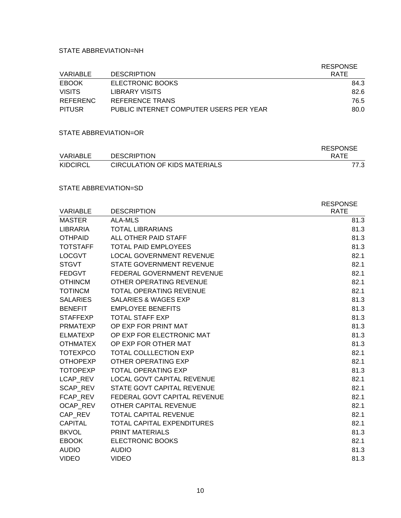#### STATE ABBREVIATION=NH

| VARIABLE        | <b>DESCRIPTION</b>                      | <b>RESPONSE</b><br><b>RATE</b> |
|-----------------|-----------------------------------------|--------------------------------|
| <b>EBOOK</b>    | ELECTRONIC BOOKS                        | 84.3                           |
| <b>VISITS</b>   | LIBRARY VISITS                          | 82.6                           |
| <b>REFERENC</b> | REFERENCE TRANS                         | 76.5                           |
| <b>PITUSR</b>   | PUBLIC INTERNET COMPUTER USERS PER YEAR | 80.0                           |

#### STATE ABBREVIATION=OR

|                 |                                      | <b>RESPONSE</b> |
|-----------------|--------------------------------------|-----------------|
| VARIABLE        | <b>DESCRIPTION</b>                   | <b>RATE</b>     |
| <b>KIDCIRCL</b> | <b>CIRCULATION OF KIDS MATERIALS</b> | 77.3            |

### STATE ABBREVIATION=SD

| <b>VARIABLE</b> | <b>DESCRIPTION</b>                | <b>RESPONSE</b><br><b>RATE</b> |
|-----------------|-----------------------------------|--------------------------------|
| <b>MASTER</b>   | ALA-MLS                           | 81.3                           |
| LIBRARIA        | <b>TOTAL LIBRARIANS</b>           | 81.3                           |
| <b>OTHPAID</b>  | ALL OTHER PAID STAFF              | 81.3                           |
| <b>TOTSTAFF</b> | <b>TOTAL PAID EMPLOYEES</b>       | 81.3                           |
| <b>LOCGVT</b>   | <b>LOCAL GOVERNMENT REVENUE</b>   | 82.1                           |
| <b>STGVT</b>    | STATE GOVERNMENT REVENUE          | 82.1                           |
| <b>FEDGVT</b>   | FEDERAL GOVERNMENT REVENUE        | 82.1                           |
| <b>OTHINCM</b>  | OTHER OPERATING REVENUE           | 82.1                           |
| <b>TOTINCM</b>  | <b>TOTAL OPERATING REVENUE</b>    | 82.1                           |
| <b>SALARIES</b> | <b>SALARIES &amp; WAGES EXP</b>   | 81.3                           |
| <b>BENEFIT</b>  | <b>EMPLOYEE BENEFITS</b>          | 81.3                           |
| <b>STAFFEXP</b> | <b>TOTAL STAFF EXP</b>            | 81.3                           |
| <b>PRMATEXP</b> |                                   |                                |
|                 | OP EXP FOR PRINT MAT              | 81.3                           |
| <b>ELMATEXP</b> | OP EXP FOR ELECTRONIC MAT         | 81.3                           |
| <b>OTHMATEX</b> | OP EXP FOR OTHER MAT              | 81.3                           |
| <b>TOTEXPCO</b> | <b>TOTAL COLLLECTION EXP</b>      | 82.1                           |
| <b>OTHOPEXP</b> | OTHER OPERATING EXP               | 82.1                           |
| <b>TOTOPEXP</b> | <b>TOTAL OPERATING EXP</b>        | 81.3                           |
| LCAP REV        | <b>LOCAL GOVT CAPITAL REVENUE</b> | 82.1                           |
| <b>SCAP REV</b> | STATE GOVT CAPITAL REVENUE        | 82.1                           |
| <b>FCAP REV</b> | FEDERAL GOVT CAPITAL REVENUE      | 82.1                           |
| <b>OCAP REV</b> | OTHER CAPITAL REVENUE             | 82.1                           |
| CAP REV         | <b>TOTAL CAPITAL REVENUE</b>      | 82.1                           |
| <b>CAPITAL</b>  | <b>TOTAL CAPITAL EXPENDITURES</b> | 82.1                           |
| <b>BKVOL</b>    | <b>PRINT MATERIALS</b>            | 81.3                           |
| <b>EBOOK</b>    | <b>ELECTRONIC BOOKS</b>           | 82.1                           |
| <b>AUDIO</b>    | <b>AUDIO</b>                      | 81.3                           |
| <b>VIDEO</b>    | <b>VIDEO</b>                      | 81.3                           |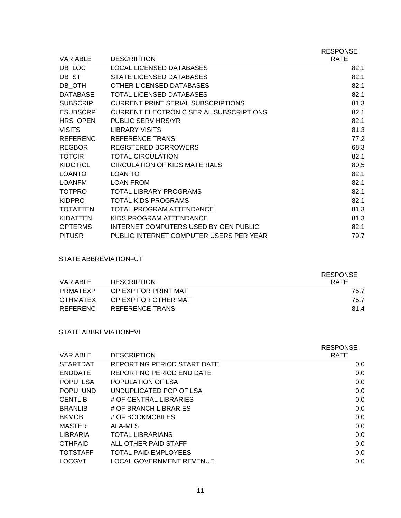| <b>VARIABLE</b> | <b>DESCRIPTION</b>                             | <b>RESPONSE</b><br><b>RATE</b> |
|-----------------|------------------------------------------------|--------------------------------|
| DB LOC          | LOCAL LICENSED DATABASES                       | 82.1                           |
| DB ST           | STATE LICENSED DATABASES                       | 82.1                           |
| DB OTH          | OTHER LICENSED DATABASES                       | 82.1                           |
| <b>DATABASE</b> | <b>TOTAL LICENSED DATABASES</b>                | 82.1                           |
| <b>SUBSCRIP</b> | <b>CURRENT PRINT SERIAL SUBSCRIPTIONS</b>      | 81.3                           |
| <b>ESUBSCRP</b> | <b>CURRENT ELECTRONIC SERIAL SUBSCRIPTIONS</b> | 82.1                           |
| HRS OPEN        | PUBLIC SERV HRS/YR                             | 82.1                           |
| <b>VISITS</b>   | <b>LIBRARY VISITS</b>                          | 81.3                           |
| <b>REFERENC</b> | REFERENCE TRANS                                | 77.2                           |
| <b>REGBOR</b>   | <b>REGISTERED BORROWERS</b>                    | 68.3                           |
| <b>TOTCIR</b>   | <b>TOTAL CIRCULATION</b>                       | 82.1                           |
| <b>KIDCIRCL</b> | <b>CIRCULATION OF KIDS MATERIALS</b>           | 80.5                           |
| <b>LOANTO</b>   | LOAN TO                                        | 82.1                           |
| <b>LOANFM</b>   | <b>LOAN FROM</b>                               | 82.1                           |
| <b>TOTPRO</b>   | <b>TOTAL LIBRARY PROGRAMS</b>                  | 82.1                           |
| <b>KIDPRO</b>   | <b>TOTAL KIDS PROGRAMS</b>                     | 82.1                           |
| <b>TOTATTEN</b> | TOTAL PROGRAM ATTENDANCE                       | 81.3                           |
| <b>KIDATTEN</b> | KIDS PROGRAM ATTENDANCE                        | 81.3                           |
| <b>GPTERMS</b>  | INTERNET COMPUTERS USED BY GEN PUBLIC          | 82.1                           |
| <b>PITUSR</b>   | PUBLIC INTERNET COMPUTER USERS PER YEAR        | 79.7                           |

### STATE ABBREVIATION=UT

| VARIABLE | <b>DESCRIPTION</b>   | <b>RESPONSE</b><br><b>RATE</b> |
|----------|----------------------|--------------------------------|
| PRMATFXP | OP EXP FOR PRINT MAT | 75.7                           |
| OTHMATEX | OP EXP FOR OTHER MAT | 75.7                           |
| REFERENC | REFERENCE TRANS      | 81.4                           |

### STATE ABBREVIATION=VI

| <b>VARIABLE</b> | <b>DESCRIPTION</b>              | <b>RESPONSE</b><br><b>RATE</b> |
|-----------------|---------------------------------|--------------------------------|
| <b>STARTDAT</b> | REPORTING PERIOD START DATE     | $0.0\,$                        |
| <b>ENDDATE</b>  | REPORTING PERIOD END DATE       | 0.0                            |
| POPU LSA        | POPULATION OF LSA               | 0.0                            |
| POPU UND        | UNDUPLICATED POP OF LSA         | 0.0                            |
| <b>CENTLIB</b>  | # OF CENTRAL LIBRARIES          | 0.0                            |
| <b>BRANLIB</b>  | # OF BRANCH LIBRARIES           | 0.0                            |
| <b>BKMOB</b>    | # OF BOOKMOBILES                | 0.0                            |
| <b>MASTER</b>   | ALA-MLS                         | 0.0                            |
| LIBRARIA        | <b>TOTAL LIBRARIANS</b>         | 0.0                            |
| <b>OTHPAID</b>  | ALL OTHER PAID STAFF            | 0.0                            |
| <b>TOTSTAFF</b> | <b>TOTAL PAID EMPLOYEES</b>     | 0.0                            |
| <b>LOCGVT</b>   | <b>LOCAL GOVERNMENT REVENUE</b> | 0.0                            |
|                 |                                 |                                |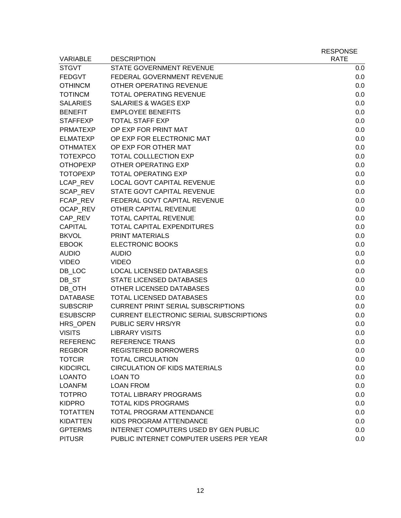|                 |                                                | <b>RESPONSE</b> |
|-----------------|------------------------------------------------|-----------------|
| <b>VARIABLE</b> | <b>DESCRIPTION</b>                             | <b>RATE</b>     |
| <b>STGVT</b>    | STATE GOVERNMENT REVENUE                       | 0.0             |
| <b>FEDGVT</b>   | FEDERAL GOVERNMENT REVENUE                     | 0.0             |
| <b>OTHINCM</b>  | OTHER OPERATING REVENUE                        | 0.0             |
| <b>TOTINCM</b>  | <b>TOTAL OPERATING REVENUE</b>                 | 0.0             |
| <b>SALARIES</b> | <b>SALARIES &amp; WAGES EXP</b>                | 0.0             |
| <b>BENEFIT</b>  | <b>EMPLOYEE BENEFITS</b>                       | 0.0             |
| <b>STAFFEXP</b> | <b>TOTAL STAFF EXP</b>                         | 0.0             |
| <b>PRMATEXP</b> | OP EXP FOR PRINT MAT                           | 0.0             |
| <b>ELMATEXP</b> | OP EXP FOR ELECTRONIC MAT                      | 0.0             |
| <b>OTHMATEX</b> | OP EXP FOR OTHER MAT                           | 0.0             |
| <b>TOTEXPCO</b> | <b>TOTAL COLLLECTION EXP</b>                   | 0.0             |
| <b>OTHOPEXP</b> | <b>OTHER OPERATING EXP</b>                     | 0.0             |
| <b>TOTOPEXP</b> | <b>TOTAL OPERATING EXP</b>                     | 0.0             |
| LCAP_REV        | LOCAL GOVT CAPITAL REVENUE                     | 0.0             |
| SCAP_REV        | STATE GOVT CAPITAL REVENUE                     | 0.0             |
| FCAP_REV        | FEDERAL GOVT CAPITAL REVENUE                   | 0.0             |
| OCAP_REV        | OTHER CAPITAL REVENUE                          | 0.0             |
| CAP_REV         | <b>TOTAL CAPITAL REVENUE</b>                   | 0.0             |
| <b>CAPITAL</b>  | <b>TOTAL CAPITAL EXPENDITURES</b>              | 0.0             |
| <b>BKVOL</b>    | <b>PRINT MATERIALS</b>                         | 0.0             |
| <b>EBOOK</b>    | <b>ELECTRONIC BOOKS</b>                        | 0.0             |
| <b>AUDIO</b>    | <b>AUDIO</b>                                   | 0.0             |
| <b>VIDEO</b>    | <b>VIDEO</b>                                   | 0.0             |
| DB LOC          | <b>LOCAL LICENSED DATABASES</b>                | 0.0             |
| DB_ST           | <b>STATE LICENSED DATABASES</b>                | 0.0             |
| DB_OTH          | OTHER LICENSED DATABASES                       | 0.0             |
| <b>DATABASE</b> | <b>TOTAL LICENSED DATABASES</b>                | 0.0             |
| <b>SUBSCRIP</b> | <b>CURRENT PRINT SERIAL SUBSCRIPTIONS</b>      | 0.0             |
| <b>ESUBSCRP</b> | <b>CURRENT ELECTRONIC SERIAL SUBSCRIPTIONS</b> | 0.0             |
| HRS OPEN        | PUBLIC SERV HRS/YR                             | 0.0             |
| <b>VISITS</b>   | <b>LIBRARY VISITS</b>                          | 0.0             |
| <b>REFERENC</b> | REFERENCE TRANS                                | 0.0             |
| <b>REGBOR</b>   | <b>REGISTERED BORROWERS</b>                    | 0.0             |
| <b>TOTCIR</b>   | <b>TOTAL CIRCULATION</b>                       | 0.0             |
| <b>KIDCIRCL</b> | <b>CIRCULATION OF KIDS MATERIALS</b>           | 0.0             |
| <b>LOANTO</b>   | <b>LOAN TO</b>                                 | 0.0             |
| <b>LOANFM</b>   | <b>LOAN FROM</b>                               | 0.0             |
| <b>TOTPRO</b>   | <b>TOTAL LIBRARY PROGRAMS</b>                  | 0.0             |
| <b>KIDPRO</b>   | <b>TOTAL KIDS PROGRAMS</b>                     | 0.0             |
| <b>TOTATTEN</b> | TOTAL PROGRAM ATTENDANCE                       | 0.0             |
| <b>KIDATTEN</b> | KIDS PROGRAM ATTENDANCE                        | 0.0             |
| <b>GPTERMS</b>  | <b>INTERNET COMPUTERS USED BY GEN PUBLIC</b>   | 0.0             |
| <b>PITUSR</b>   | PUBLIC INTERNET COMPUTER USERS PER YEAR        | 0.0             |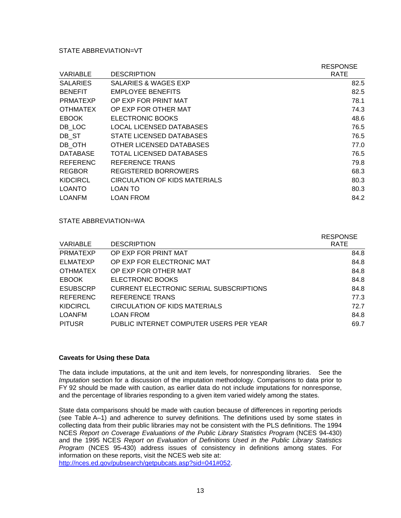#### STATE ABBREVIATION=VT

|                 |                                 | <b>RESPONSE</b> |
|-----------------|---------------------------------|-----------------|
| <b>VARIABLE</b> | <b>DESCRIPTION</b>              | <b>RATE</b>     |
| <b>SALARIES</b> | <b>SALARIES &amp; WAGES EXP</b> | 82.5            |
| <b>BENEFIT</b>  | <b>EMPLOYEE BENEFITS</b>        | 82.5            |
| <b>PRMATEXP</b> | OP EXP FOR PRINT MAT            | 78.1            |
| <b>OTHMATEX</b> | OP EXP FOR OTHER MAT            | 74.3            |
| <b>EBOOK</b>    | ELECTRONIC BOOKS                | 48.6            |
| DB LOC          | LOCAL LICENSED DATABASES        | 76.5            |
| DB ST           | STATE LICENSED DATABASES        | 76.5            |
| DB OTH          | OTHER LICENSED DATABASES        | 77.0            |
| <b>DATABASE</b> | TOTAL LICENSED DATABASES        | 76.5            |
| <b>REFERENC</b> | REFERENCE TRANS                 | 79.8            |
| <b>REGBOR</b>   | REGISTERED BORROWERS            | 68.3            |
| <b>KIDCIRCL</b> | CIRCULATION OF KIDS MATERIALS   | 80.3            |
| <b>LOANTO</b>   | LOAN TO                         | 80.3            |
| LOANFM          | <b>LOAN FROM</b>                | 84.2            |

#### STATE ABBREVIATION=WA

| <b>VARIABLE</b> | <b>DESCRIPTION</b>                      | <b>RESPONSE</b><br><b>RATE</b> |
|-----------------|-----------------------------------------|--------------------------------|
| <b>PRMATEXP</b> | OP EXP FOR PRINT MAT                    | 84.8                           |
| <b>ELMATEXP</b> | OP EXP FOR ELECTRONIC MAT               | 84.8                           |
| <b>OTHMATEX</b> | OP EXP FOR OTHER MAT                    | 84.8                           |
| <b>EBOOK</b>    | ELECTRONIC BOOKS                        | 84.8                           |
| <b>ESUBSCRP</b> | CURRENT ELECTRONIC SERIAL SUBSCRIPTIONS | 84.8                           |
| <b>REFERENC</b> | REFERENCE TRANS                         | 77.3                           |
| <b>KIDCIRCL</b> | CIRCULATION OF KIDS MATERIALS           | 72.7                           |
| <b>LOANFM</b>   | <b>LOAN FROM</b>                        | 84.8                           |
| <b>PITUSR</b>   | PUBLIC INTERNET COMPUTER USERS PER YEAR | 69.7                           |

#### **Caveats for Using these Data**

The data include imputations, at the unit and item levels, for nonresponding libraries. See the *Imputation* section for a discussion of the imputation methodology. Comparisons to data prior to FY 92 should be made with caution, as earlier data do not include imputations for nonresponse, and the percentage of libraries responding to a given item varied widely among the states.

State data comparisons should be made with caution because of differences in reporting periods (see Table A–1) and adherence to survey definitions. The definitions used by some states in collecting data from their public libraries may not be consistent with the PLS definitions. The 1994 NCES *Report on Coverage Evaluations of the Public Library Statistics Program* (NCES 94-430) and the 1995 NCES *Report on Evaluation of Definitions Used in the Public Library Statistics Program* (NCES 95-430) address issues of consistency in definitions among states. For information on these reports, visit the NCES web site at: <http://nces.ed.gov/pubsearch/getpubcats.asp?sid=041#052>.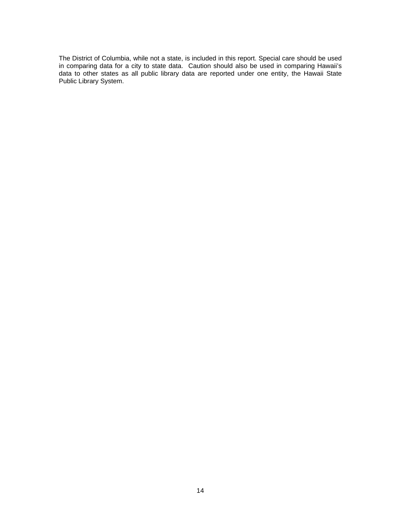The District of Columbia, while not a state, is included in this report. Special care should be used in comparing data for a city to state data. Caution should also be used in comparing Hawaii's data to other states as all public library data are reported under one entity, the Hawaii State Public Library System.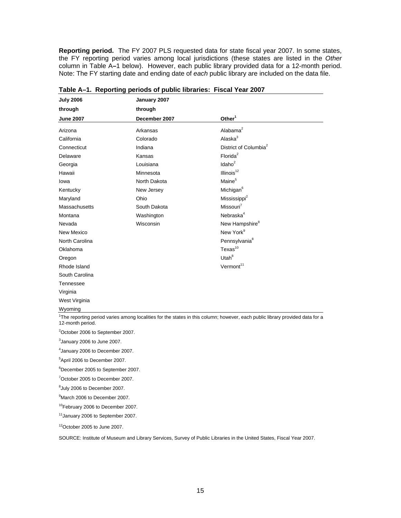**Reporting period.** The FY 2007 PLS requested data for state fiscal year 2007. In some states, the FY reporting period varies among local jurisdictions (these states are listed in the *Other* column in Table A**–**1 below). However, each public library provided data for a 12-month period. Note: The FY starting date and ending date of *each* public library are included on the data file.

| <b>July 2006</b> | January 2007  |                                   |  |
|------------------|---------------|-----------------------------------|--|
| through          | through       |                                   |  |
| <b>June 2007</b> | December 2007 | Other <sup>1</sup>                |  |
| Arizona          | Arkansas      | Alabama <sup>2</sup>              |  |
| California       | Colorado      | Alaska $3$                        |  |
| Connecticut      | Indiana       | District of Columbia <sup>2</sup> |  |
| Delaware         | Kansas        | Florida <sup>2</sup>              |  |
| Georgia          | Louisiana     | $\text{Idaho}^2$                  |  |
| Hawaii           | Minnesota     | Illinois <sup>12</sup>            |  |
| lowa             | North Dakota  | Maine <sup>5</sup>                |  |
| Kentucky         | New Jersey    | Michigan <sup>6</sup>             |  |
| Maryland         | Ohio          | Mississippi <sup>2</sup>          |  |
| Massachusetts    | South Dakota  | Missouri <sup>7</sup>             |  |
| Montana          | Washington    | Nebraska <sup>4</sup>             |  |
| Nevada           | Wisconsin     | New Hampshire <sup>8</sup>        |  |
| New Mexico       |               | New York <sup>9</sup>             |  |
| North Carolina   |               | Pennsylvania <sup>8</sup>         |  |
| Oklahoma         |               | $T$ exas $^{10}$                  |  |
| Oregon           |               | Utah $8$                          |  |
| Rhode Island     |               | Vermont <sup>11</sup>             |  |
| South Carolina   |               |                                   |  |
| Tennessee        |               |                                   |  |
| Virginia         |               |                                   |  |
| West Virginia    |               |                                   |  |
| Wyoming          |               |                                   |  |

**Table A–1. Reporting periods of public libraries: Fiscal Year 2007** 

<sup>2</sup>October 2006 to September 2007.

 $3$ January 2006 to June 2007.

4 January 2006 to December 2007.

5 April 2006 to December 2007.

6 December 2005 to September 2007.

7 October 2005 to December 2007.

 ${}^{8}$ July 2006 to December 2007.

9 March 2006 to December 2007.

10February 2006 to December 2007.

11January 2006 to September 2007.

12October 2005 to June 2007.

SOURCE: Institute of Museum and Library Services, Survey of Public Libraries in the United States, Fiscal Year 2007.

<sup>&</sup>lt;sup>1</sup>The reporting period varies among localities for the states in this column; however, each public library provided data for a 12-month period.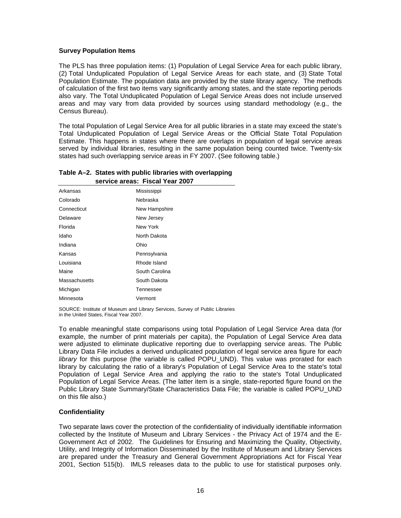#### **Survey Population Items**

The PLS has three population items: (1) Population of Legal Service Area for each public library, (2) Total Unduplicated Population of Legal Service Areas for each state, and (3) State Total Population Estimate. The population data are provided by the state library agency. The methods of calculation of the first two items vary significantly among states, and the state reporting periods also vary. The Total Unduplicated Population of Legal Service Areas does not include unserved areas and may vary from data provided by sources using standard methodology (e.g., the Census Bureau).

The total Population of Legal Service Area for all public libraries in a state may exceed the state's Total Unduplicated Population of Legal Service Areas or the Official State Total Population Estimate. This happens in states where there are overlaps in population of legal service areas served by individual libraries, resulting in the same population being counted twice. Twenty-six states had such overlapping service areas in FY 2007. (See following table.)

#### **Table A–2. States with public libraries with overlapping Table B–2. service areas: Fiscal Year 2007**

| Arkansas      | Mississippi    |
|---------------|----------------|
| Colorado      | Nebraska       |
| Connecticut   | New Hampshire  |
| Delaware      | New Jersey     |
| Florida       | New York       |
| Idaho         | North Dakota   |
| Indiana       | Ohio           |
| Kansas        | Pennsylvania   |
| Louisiana     | Rhode Island   |
| Maine         | South Carolina |
| Massachusetts | South Dakota   |
| Michigan      | Tennessee      |
| Minnesota     | Vermont        |

SOURCE: Institute of Museum and Library Services, Survey of Public Libraries in the United States, Fiscal Year 2007.

To enable meaningful state comparisons using total Population of Legal Service Area data (for example, the number of print materials per capita), the Population of Legal Service Area data were adjusted to eliminate duplicative reporting due to overlapping service areas. The Public Library Data File includes a derived unduplicated population of legal service area figure for *each library* for this purpose (the variable is called POPU UND). This value was prorated for each library by calculating the ratio of a library's Population of Legal Service Area to the state's total Population of Legal Service Area and applying the ratio to the state's Total Unduplicated Population of Legal Service Areas. (The latter item is a single, state-reported figure found on the Public Library State Summary/State Characteristics Data File; the variable is called POPU\_UND on this file also.)

#### **Confidentiality**

Two separate laws cover the protection of the confidentiality of individually identifiable information collected by the Institute of Museum and Library Services - the Privacy Act of 1974 and the E-Government Act of 2002. The Guidelines for Ensuring and Maximizing the Quality, Objectivity, Utility, and Integrity of Information Disseminated by the Institute of Museum and Library Services are prepared under the Treasury and General Government Appropriations Act for Fiscal Year 2001, Section 515(b). IMLS releases data to the public to use for statistical purposes only.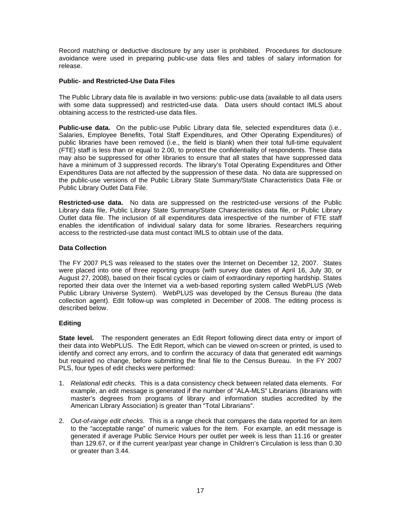Record matching or deductive disclosure by any user is prohibited. Procedures for disclosure avoidance were used in preparing public-use data files and tables of salary information for release.

#### **Public- and Restricted-Use Data Files**

The Public Library data file is available in two versions: public-use data (available to all data users with some data suppressed) and restricted-use data. Data users should contact IMLS about obtaining access to the restricted-use data files.

**Public-use data.** On the public-use Public Library data file, selected expenditures data (i.e., Salaries, Employee Benefits, Total Staff Expenditures, and Other Operating Expenditures) of public libraries have been removed (i.e., the field is blank) when their total full-time equivalent (FTE) staff is less than or equal to 2.00, to protect the confidentiality of respondents. These data may also be suppressed for other libraries to ensure that all states that have suppressed data have a minimum of 3 suppressed records. The library's Total Operating Expenditures and Other Expenditures Data are not affected by the suppression of these data. No data are suppressed on the public-use versions of the Public Library State Summary/State Characteristics Data File or Public Library Outlet Data File.

**Restricted-use data.** No data are suppressed on the restricted-use versions of the Public Library data file, Public Library State Summary/State Characteristics data file, or Public Library Outlet data file. The inclusion of all expenditures data irrespective of the number of FTE staff enables the identification of individual salary data for some libraries. Researchers requiring access to the restricted-use data must contact IMLS to obtain use of the data.

#### **Data Collection**

The FY 2007 PLS was released to the states over the Internet on December 12, 2007. States were placed into one of three reporting groups (with survey due dates of April 16, July 30, or August 27, 2008), based on their fiscal cycles or claim of extraordinary reporting hardship. States reported their data over the Internet via a web-based reporting system called WebPLUS (Web Public Library Universe System). WebPLUS was developed by the Census Bureau (the data collection agent). Edit follow-up was completed in December of 2008. The editing process is described below.

#### **Editing**

**State level.** The respondent generates an Edit Report following direct data entry or import of their data into WebPLUS. The Edit Report, which can be viewed on-screen or printed, is used to identify and correct any errors, and to confirm the accuracy of data that generated edit warnings but required no change, before submitting the final file to the Census Bureau. In the FY 2007 PLS, four types of edit checks were performed:

- 1. *Relational edit checks.* This is a data consistency check between related data elements. For example, an edit message is generated if the number of "ALA-MLS" Librarians (librarians with master's degrees from programs of library and information studies accredited by the American Library Association) is greater than "Total Librarians".
- 2. *Out-of-range edit checks.* This is a range check that compares the data reported for an item to the "acceptable range" of numeric values for the item. For example, an edit message is generated if average Public Service Hours per outlet per week is less than 11.16 or greater than 129.67, or if the current year/past year change in Children's Circulation is less than 0.30 or greater than 3.44.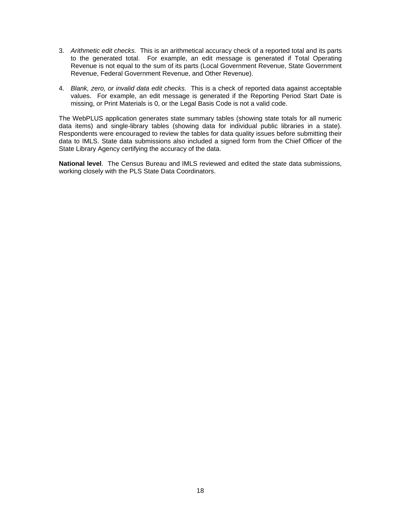- 3. *Arithmetic edit checks.* This is an arithmetical accuracy check of a reported total and its parts to the generated total. For example, an edit message is generated if Total Operating Revenue is not equal to the sum of its parts (Local Government Revenue, State Government Revenue, Federal Government Revenue, and Other Revenue).
- 4. *Blank, zero, or invalid data edit checks.* This is a check of reported data against acceptable values. For example, an edit message is generated if the Reporting Period Start Date is missing, or Print Materials is 0, or the Legal Basis Code is not a valid code.

The WebPLUS application generates state summary tables (showing state totals for all numeric data items) and single-library tables (showing data for individual public libraries in a state). Respondents were encouraged to review the tables for data quality issues before submitting their data to IMLS. State data submissions also included a signed form from the Chief Officer of the State Library Agency certifying the accuracy of the data.

**National level**. The Census Bureau and IMLS reviewed and edited the state data submissions, working closely with the PLS State Data Coordinators.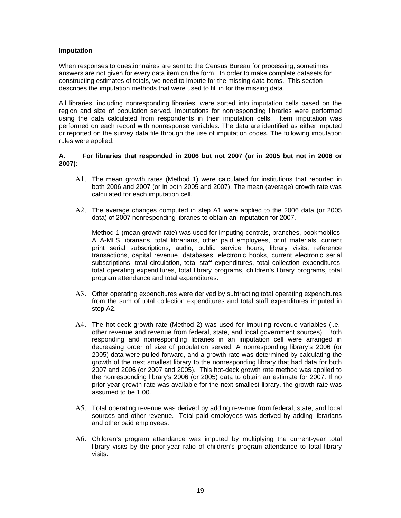#### **Imputation**

When responses to questionnaires are sent to the Census Bureau for processing, sometimes answers are not given for every data item on the form. In order to make complete datasets for constructing estimates of totals, we need to impute for the missing data items. This section describes the imputation methods that were used to fill in for the missing data.

All libraries, including nonresponding libraries, were sorted into imputation cells based on the region and size of population served. Imputations for nonresponding libraries were performed using the data calculated from respondents in their imputation cells. Item imputation was performed on each record with nonresponse variables. The data are identified as either imputed or reported on the survey data file through the use of imputation codes. The following imputation rules were applied:

#### **A. For libraries that responded in 2006 but not 2007 (or in 2005 but not in 2006 or 2007):**

- A1. The mean growth rates (Method 1) were calculated for institutions that reported in both 2006 and 2007 (or in both 2005 and 2007). The mean (average) growth rate was calculated for each imputation cell.
- A2. The average changes computed in step A1 were applied to the 2006 data (or 2005 data) of 2007 nonresponding libraries to obtain an imputation for 2007.

Method 1 (mean growth rate) was used for imputing centrals, branches, bookmobiles, ALA-MLS librarians, total librarians, other paid employees, print materials, current print serial subscriptions, audio, public service hours, library visits, reference transactions, capital revenue, databases, electronic books, current electronic serial subscriptions, total circulation, total staff expenditures, total collection expenditures, total operating expenditures, total library programs, children's library programs, total program attendance and total expenditures.

- A3. Other operating expenditures were derived by subtracting total operating expenditures from the sum of total collection expenditures and total staff expenditures imputed in step A2.
- A4. The hot-deck growth rate (Method 2) was used for imputing revenue variables (i.e., other revenue and revenue from federal, state, and local government sources). Both responding and nonresponding libraries in an imputation cell were arranged in decreasing order of size of population served. A nonresponding library's 2006 (or 2005) data were pulled forward, and a growth rate was determined by calculating the growth of the next smallest library to the nonresponding library that had data for both 2007 and 2006 (or 2007 and 2005). This hot-deck growth rate method was applied to the nonresponding library's 2006 (or 2005) data to obtain an estimate for 2007. If no prior year growth rate was available for the next smallest library, the growth rate was assumed to be 1.00.
- A5. Total operating revenue was derived by adding revenue from federal, state, and local sources and other revenue. Total paid employees was derived by adding librarians and other paid employees.
- A6. Children's program attendance was imputed by multiplying the current-year total library visits by the prior-year ratio of children's program attendance to total library visits.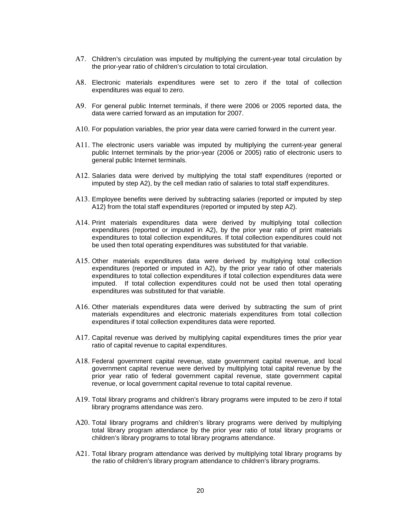- A7. Children's circulation was imputed by multiplying the current-year total circulation by the prior-year ratio of children's circulation to total circulation.
- A8. Electronic materials expenditures were set to zero if the total of collection expenditures was equal to zero.
- A9. For general public Internet terminals, if there were 2006 or 2005 reported data, the data were carried forward as an imputation for 2007.
- A10. For population variables, the prior year data were carried forward in the current year.
- A11. The electronic users variable was imputed by multiplying the current-year general public Internet terminals by the prior-year (2006 or 2005) ratio of electronic users to general public Internet terminals.
- A12. Salaries data were derived by multiplying the total staff expenditures (reported or imputed by step A2), by the cell median ratio of salaries to total staff expenditures.
- A13. Employee benefits were derived by subtracting salaries (reported or imputed by step A12) from the total staff expenditures (reported or imputed by step A2).
- A14. Print materials expenditures data were derived by multiplying total collection expenditures (reported or imputed in A2), by the prior year ratio of print materials expenditures to total collection expenditures. If total collection expenditures could not be used then total operating expenditures was substituted for that variable.
- A15. Other materials expenditures data were derived by multiplying total collection expenditures (reported or imputed in A2), by the prior year ratio of other materials expenditures to total collection expenditures if total collection expenditures data were imputed. If total collection expenditures could not be used then total operating expenditures was substituted for that variable.
- A16. Other materials expenditures data were derived by subtracting the sum of print materials expenditures and electronic materials expenditures from total collection expenditures if total collection expenditures data were reported.
- A17. Capital revenue was derived by multiplying capital expenditures times the prior year ratio of capital revenue to capital expenditures.
- A18. Federal government capital revenue, state government capital revenue, and local government capital revenue were derived by multiplying total capital revenue by the prior year ratio of federal government capital revenue, state government capital revenue, or local government capital revenue to total capital revenue.
- A19. Total library programs and children's library programs were imputed to be zero if total library programs attendance was zero.
- A20. Total library programs and children's library programs were derived by multiplying total library program attendance by the prior year ratio of total library programs or children's library programs to total library programs attendance.
- A21. Total library program attendance was derived by multiplying total library programs by the ratio of children's library program attendance to children's library programs.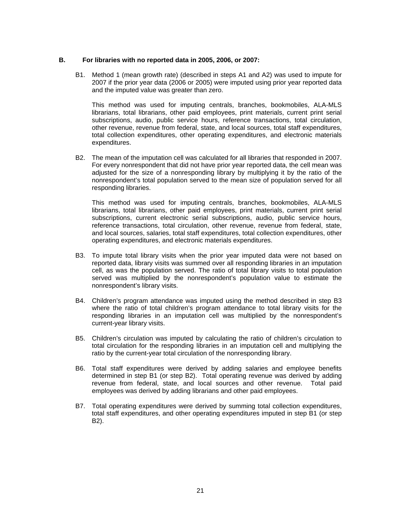#### **B. For libraries with no reported data in 2005, 2006, or 2007:**

B1. Method 1 (mean growth rate) (described in steps A1 and A2) was used to impute for 2007 if the prior year data (2006 or 2005) were imputed using prior year reported data and the imputed value was greater than zero.

This method was used for imputing centrals, branches, bookmobiles, ALA-MLS librarians, total librarians, other paid employees, print materials, current print serial subscriptions, audio, public service hours, reference transactions, total circulation, other revenue, revenue from federal, state, and local sources, total staff expenditures, total collection expenditures, other operating expenditures, and electronic materials expenditures.

B2. The mean of the imputation cell was calculated for all libraries that responded in 2007. For every nonrespondent that did not have prior year reported data, the cell mean was adjusted for the size of a nonresponding library by multiplying it by the ratio of the nonrespondent's total population served to the mean size of population served for all responding libraries.

This method was used for imputing centrals, branches, bookmobiles, ALA-MLS librarians, total librarians, other paid employees, print materials, current print serial subscriptions, current electronic serial subscriptions, audio, public service hours, reference transactions, total circulation, other revenue, revenue from federal, state, and local sources, salaries, total staff expenditures, total collection expenditures, other operating expenditures, and electronic materials expenditures.

- B3. To impute total library visits when the prior year imputed data were not based on reported data, library visits was summed over all responding libraries in an imputation cell, as was the population served. The ratio of total library visits to total population served was multiplied by the nonrespondent's population value to estimate the nonrespondent's library visits.
- B4. Children's program attendance was imputed using the method described in step B3 where the ratio of total children's program attendance to total library visits for the responding libraries in an imputation cell was multiplied by the nonrespondent's current-year library visits.
- B5. Children's circulation was imputed by calculating the ratio of children's circulation to total circulation for the responding libraries in an imputation cell and multiplying the ratio by the current-year total circulation of the nonresponding library.
- B6. Total staff expenditures were derived by adding salaries and employee benefits determined in step B1 (or step B2). Total operating revenue was derived by adding revenue from federal, state, and local sources and other revenue. Total paid employees was derived by adding librarians and other paid employees.
- B7. Total operating expenditures were derived by summing total collection expenditures, total staff expenditures, and other operating expenditures imputed in step B1 (or step B2).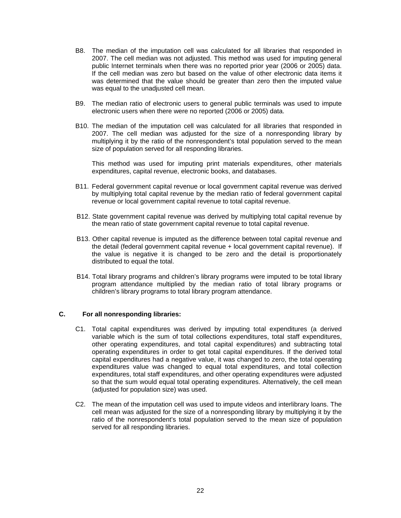- B8. The median of the imputation cell was calculated for all libraries that responded in 2007. The cell median was not adjusted. This method was used for imputing general public Internet terminals when there was no reported prior year (2006 or 2005) data. If the cell median was zero but based on the value of other electronic data items it was determined that the value should be greater than zero then the imputed value was equal to the unadiusted cell mean.
- B9. The median ratio of electronic users to general public terminals was used to impute electronic users when there were no reported (2006 or 2005) data.
- B10. The median of the imputation cell was calculated for all libraries that responded in 2007. The cell median was adjusted for the size of a nonresponding library by multiplying it by the ratio of the nonrespondent's total population served to the mean size of population served for all responding libraries.

This method was used for imputing print materials expenditures, other materials expenditures, capital revenue, electronic books, and databases.

- B11. Federal government capital revenue or local government capital revenue was derived by multiplying total capital revenue by the median ratio of federal government capital revenue or local government capital revenue to total capital revenue.
- B12. State government capital revenue was derived by multiplying total capital revenue by the mean ratio of state government capital revenue to total capital revenue.
- B13. Other capital revenue is imputed as the difference between total capital revenue and the detail (federal government capital revenue + local government capital revenue). If the value is negative it is changed to be zero and the detail is proportionately distributed to equal the total.
- B14. Total library programs and children's library programs were imputed to be total library program attendance multiplied by the median ratio of total library programs or children's library programs to total library program attendance.

#### **C. For all nonresponding libraries:**

- C1. Total capital expenditures was derived by imputing total expenditures (a derived variable which is the sum of total collections expenditures, total staff expenditures, other operating expenditures, and total capital expenditures) and subtracting total operating expenditures in order to get total capital expenditures. If the derived total capital expenditures had a negative value, it was changed to zero, the total operating expenditures value was changed to equal total expenditures, and total collection expenditures, total staff expenditures, and other operating expenditures were adjusted so that the sum would equal total operating expenditures. Alternatively, the cell mean (adjusted for population size) was used.
- C2. The mean of the imputation cell was used to impute videos and interlibrary loans. The cell mean was adjusted for the size of a nonresponding library by multiplying it by the ratio of the nonrespondent's total population served to the mean size of population served for all responding libraries.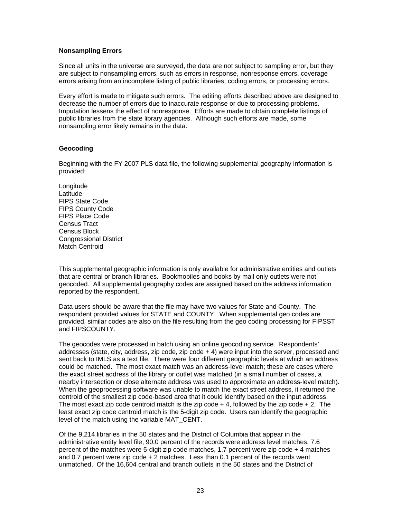#### **Nonsampling Errors**

Since all units in the universe are surveyed, the data are not subject to sampling error, but they are subject to nonsampling errors, such as errors in response, nonresponse errors, coverage errors arising from an incomplete listing of public libraries, coding errors, or processing errors.

Every effort is made to mitigate such errors. The editing efforts described above are designed to decrease the number of errors due to inaccurate response or due to processing problems. Imputation lessens the effect of nonresponse. Efforts are made to obtain complete listings of public libraries from the state library agencies. Although such efforts are made, some nonsampling error likely remains in the data.

#### **Geocoding**

Beginning with the FY 2007 PLS data file, the following supplemental geography information is provided:

Longitude **Latitude** FIPS State Code FIPS County Code FIPS Place Code Census Tract Census Block Congressional District Match Centroid

This supplemental geographic information is only available for administrative entities and outlets that are central or branch libraries. Bookmobiles and books by mail only outlets were not geocoded. All supplemental geography codes are assigned based on the address information reported by the respondent.

Data users should be aware that the file may have two values for State and County. The respondent provided values for STATE and COUNTY. When supplemental geo codes are provided, similar codes are also on the file resulting from the geo coding processing for FIPSST and FIPSCOUNTY.

The geocodes were processed in batch using an online geocoding service. Respondents' addresses (state, city, address, zip code, zip code + 4) were input into the server, processed and sent back to IMLS as a text file. There were four different geographic levels at which an address could be matched. The most exact match was an address-level match; these are cases where the exact street address of the library or outlet was matched (in a small number of cases, a nearby intersection or close alternate address was used to approximate an address-level match). When the geoprocessing software was unable to match the exact street address, it returned the centroid of the smallest zip code-based area that it could identify based on the input address. The most exact zip code centroid match is the zip code  $+4$ , followed by the zip code  $+2$ . The least exact zip code centroid match is the 5-digit zip code. Users can identify the geographic level of the match using the variable MAT\_CENT.

Of the 9,214 libraries in the 50 states and the District of Columbia that appear in the administrative entity level file, 90.0 percent of the records were address level matches, 7.6 percent of the matches were 5-digit zip code matches, 1.7 percent were zip code + 4 matches and 0.7 percent were zip code  $+2$  matches. Less than 0.1 percent of the records went unmatched. Of the 16,604 central and branch outlets in the 50 states and the District of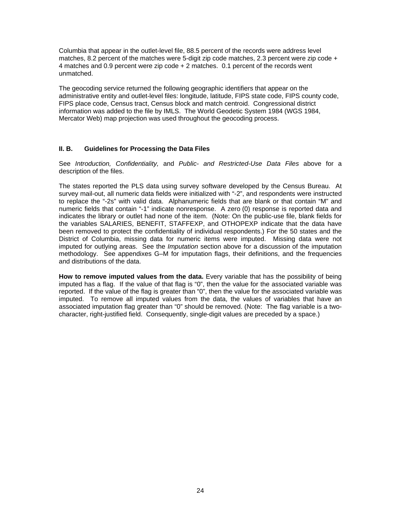Columbia that appear in the outlet-level file, 88.5 percent of the records were address level matches, 8.2 percent of the matches were 5-digit zip code matches, 2.3 percent were zip code  $+$ 4 matches and 0.9 percent were zip code + 2 matches. 0.1 percent of the records went unmatched.

The geocoding service returned the following geographic identifiers that appear on the administrative entity and outlet-level files: longitude, latitude, FIPS state code, FIPS county code, FIPS place code, Census tract, Census block and match centroid. Congressional district information was added to the file by IMLS. The World Geodetic System 1984 (WGS 1984, Mercator Web) map projection was used throughout the geocoding process.

#### **II. B. Guidelines for Processing the Data Files**

See *Introduction, Confidentiality,* and *Public- and Restricted-Use Data Files* above for a description of the files.

The states reported the PLS data using survey software developed by the Census Bureau. At survey mail-out, all numeric data fields were initialized with "-2", and respondents were instructed to replace the "-2s" with valid data. Alphanumeric fields that are blank or that contain "M" and numeric fields that contain "-1" indicate nonresponse. A zero (0) response is reported data and indicates the library or outlet had none of the item. (Note: On the public-use file, blank fields for the variables SALARIES, BENEFIT, STAFFEXP, and OTHOPEXP indicate that the data have been removed to protect the confidentiality of individual respondents.) For the 50 states and the District of Columbia, missing data for numeric items were imputed. Missing data were not imputed for outlying areas. See the *Imputation* section above for a discussion of the imputation methodology. See appendixes G–M for imputation flags, their definitions, and the frequencies and distributions of the data.

**How to remove imputed values from the data.** Every variable that has the possibility of being imputed has a flag. If the value of that flag is "0", then the value for the associated variable was reported. If the value of the flag is greater than "0", then the value for the associated variable was imputed. To remove all imputed values from the data, the values of variables that have an associated imputation flag greater than "0" should be removed. (Note: The flag variable is a twocharacter, right-justified field. Consequently, single-digit values are preceded by a space.)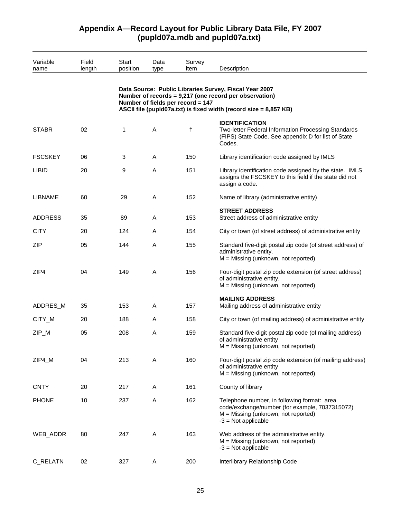| Variable       | Field  | Start    | Data         | Survey                            |                                                                                                                                                                                       |
|----------------|--------|----------|--------------|-----------------------------------|---------------------------------------------------------------------------------------------------------------------------------------------------------------------------------------|
| name           | length | position | type         | item                              | Description                                                                                                                                                                           |
|                |        |          |              | Number of fields per record = 147 | Data Source: Public Libraries Survey, Fiscal Year 2007<br>Number of records = 9,217 (one record per observation)<br>ASCII file (pupId07a.txt) is fixed width (record size = 8,857 KB) |
| <b>STABR</b>   | 02     | 1        | A            | $^\dagger$                        | <b>IDENTIFICATION</b><br>Two-letter Federal Information Processing Standards<br>(FIPS) State Code. See appendix D for list of State<br>Codes.                                         |
| <b>FSCSKEY</b> | 06     | 3        | A            | 150                               | Library identification code assigned by IMLS                                                                                                                                          |
| <b>LIBID</b>   | 20     | 9        | A            | 151                               | Library identification code assigned by the state. IMLS<br>assigns the FSCSKEY to this field if the state did not<br>assign a code.                                                   |
| <b>LIBNAME</b> | 60     | 29       | A            | 152                               | Name of library (administrative entity)                                                                                                                                               |
| <b>ADDRESS</b> | 35     | 89       | Α            | 153                               | <b>STREET ADDRESS</b><br>Street address of administrative entity                                                                                                                      |
| <b>CITY</b>    | 20     | 124      | A            | 154                               | City or town (of street address) of administrative entity                                                                                                                             |
| <b>ZIP</b>     | 05     | 144      | A            | 155                               | Standard five-digit postal zip code (of street address) of<br>administrative entity.<br>$M = M$ issing (unknown, not reported)                                                        |
| ZIP4           | 04     | 149      | $\mathsf{A}$ | 156                               | Four-digit postal zip code extension (of street address)<br>of administrative entity.<br>$M = M$ issing (unknown, not reported)                                                       |
| ADDRES_M       | 35     | 153      | A            | 157                               | <b>MAILING ADDRESS</b><br>Mailing address of administrative entity                                                                                                                    |
| CITY_M         | 20     | 188      | Α            | 158                               | City or town (of mailing address) of administrative entity                                                                                                                            |
| ZIP_M          | 05     | 208      | A            | 159                               | Standard five-digit postal zip code (of mailing address)<br>of administrative entity<br>$M =$ Missing (unknown, not reported)                                                         |
| ZIP4_M         | 04     | 213      | Α            | 160                               | Four-digit postal zip code extension (of mailing address)<br>of administrative entity<br>$M = M$ issing (unknown, not reported)                                                       |
| <b>CNTY</b>    | 20     | 217      | Α            | 161                               | County of library                                                                                                                                                                     |
| <b>PHONE</b>   | 10     | 237      | A            | 162                               | Telephone number, in following format: area<br>code/exchange/number (for example, 7037315072)<br>$M =$ Missing (unknown, not reported)<br>$-3$ = Not applicable                       |
| WEB_ADDR       | 80     | 247      | A            | 163                               | Web address of the administrative entity.<br>$M = M$ issing (unknown, not reported)<br>$-3$ = Not applicable                                                                          |
| C_RELATN       | 02     | 327      | Α            | 200                               | Interlibrary Relationship Code                                                                                                                                                        |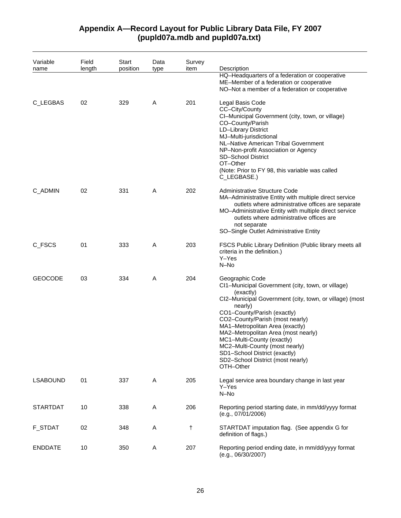#### Variable name Field length **Start** position Data type Survey item Description HQ–Headquarters of a federation or cooperative ME–Member of a federation or cooperative NO–Not a member of a federation or cooperative C\_LEGBAS 02 329 A 201 Legal Basis Code CC–City/County CI–Municipal Government (city, town, or village) CO–County/Parish LD–Library District MJ–Multi-jurisdictional NL–Native American Tribal Government NP–Non-profit Association or Agency SD–School District OT–Other (Note: Prior to FY 98, this variable was called C\_LEGBASE.) C\_ADMIN 02 331 A 202 Administrative Structure Code MA–Administrative Entity with multiple direct service outlets where administrative offices are separate MO–Administrative Entity with multiple direct service outlets where administrative offices are not separate SO–Single Outlet Administrative Entity C\_FSCS 01 333 A 203 FSCS Public Library Definition (Public library meets all criteria in the definition.) Y–Yes N–No GEOCODE 03 334 A 204 Geographic Code CI1–Municipal Government (city, town, or village) (exactly) CI2–Municipal Government (city, town, or village) (most nearly) CO1–County/Parish (exactly) CO2–County/Parish (most nearly) MA1–Metropolitan Area (exactly) MA2–Metropolitan Area (most nearly) MC1–Multi-County (exactly) MC2–Multi-County (most nearly) SD1–School District (exactly) SD2–School District (most nearly) OTH–Other LSABOUND 01 337 A 205 Legal service area boundary change in last year Y–Yes N–No STARTDAT 10 338 A 206 Reporting period starting date, in mm/dd/yyyy format (e.g., 07/01/2006) F\_STDAT 02 348 A † STARTDAT imputation flag. (See appendix G for definition of flags.) ENDDATE 10 350 A 207 Reporting period ending date, in mm/dd/yyyy format (e.g., 06/30/2007)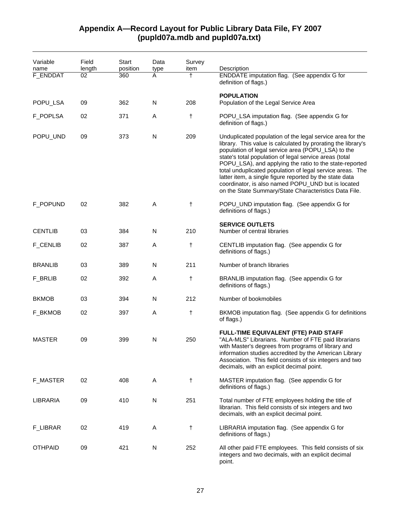| Variable<br>name | Field<br>length | <b>Start</b><br>position | Data<br>type            | Survey<br>item | Description                                                                                                                                                                                                                                                                                                                                                                                                                                                                                                                                 |
|------------------|-----------------|--------------------------|-------------------------|----------------|---------------------------------------------------------------------------------------------------------------------------------------------------------------------------------------------------------------------------------------------------------------------------------------------------------------------------------------------------------------------------------------------------------------------------------------------------------------------------------------------------------------------------------------------|
| F_ENDDAT         | 02              | 360                      | A                       | $\dagger$      | ENDDATE imputation flag. (See appendix G for<br>definition of flags.)                                                                                                                                                                                                                                                                                                                                                                                                                                                                       |
|                  |                 |                          |                         |                | <b>POPULATION</b>                                                                                                                                                                                                                                                                                                                                                                                                                                                                                                                           |
| POPU_LSA         | 09              | 362                      | N                       | 208            | Population of the Legal Service Area                                                                                                                                                                                                                                                                                                                                                                                                                                                                                                        |
| F_POPLSA         | 02              | 371                      | A                       | t              | POPU_LSA imputation flag. (See appendix G for<br>definition of flags.)                                                                                                                                                                                                                                                                                                                                                                                                                                                                      |
| POPU_UND         | 09              | 373                      | $\overline{\mathsf{N}}$ | 209            | Unduplicated population of the legal service area for the<br>library. This value is calculated by prorating the library's<br>population of legal service area (POPU_LSA) to the<br>state's total population of legal service areas (total<br>POPU_LSA), and applying the ratio to the state-reported<br>total unduplicated population of legal service areas. The<br>latter item, a single figure reported by the state data<br>coordinator, is also named POPU_UND but is located<br>on the State Summary/State Characteristics Data File. |
| F_POPUND         | 02              | 382                      | A                       | t              | POPU_UND imputation flag. (See appendix G for<br>definitions of flags.)                                                                                                                                                                                                                                                                                                                                                                                                                                                                     |
| <b>CENTLIB</b>   | 03              | 384                      | $\mathsf{N}$            | 210            | <b>SERVICE OUTLETS</b><br>Number of central libraries                                                                                                                                                                                                                                                                                                                                                                                                                                                                                       |
| <b>F_CENLIB</b>  | 02              | 387                      | A                       | t              | CENTLIB imputation flag. (See appendix G for<br>definitions of flags.)                                                                                                                                                                                                                                                                                                                                                                                                                                                                      |
| <b>BRANLIB</b>   | 03              | 389                      | N                       | 211            | Number of branch libraries                                                                                                                                                                                                                                                                                                                                                                                                                                                                                                                  |
| F_BRLIB          | 02              | 392                      | A                       | t              | BRANLIB imputation flag. (See appendix G for<br>definitions of flags.)                                                                                                                                                                                                                                                                                                                                                                                                                                                                      |
| <b>BKMOB</b>     | 03              | 394                      | N                       | 212            | Number of bookmobiles                                                                                                                                                                                                                                                                                                                                                                                                                                                                                                                       |
| F_BKMOB          | 02              | 397                      | A                       | t              | BKMOB imputation flag. (See appendix G for definitions<br>of flags.)                                                                                                                                                                                                                                                                                                                                                                                                                                                                        |
| <b>MASTER</b>    | 09              | 399                      | N                       | 250            | FULL-TIME EQUIVALENT (FTE) PAID STAFF<br>"ALA-MLS" Librarians. Number of FTE paid librarians<br>with Master's degrees from programs of library and<br>information studies accredited by the American Library<br>Association. This field consists of six integers and two<br>decimals, with an explicit decimal point.                                                                                                                                                                                                                       |
| F_MASTER         | 02              | 408                      | A                       | t              | MASTER imputation flag. (See appendix G for<br>definitions of flags.)                                                                                                                                                                                                                                                                                                                                                                                                                                                                       |
| LIBRARIA         | 09              | 410                      | N                       | 251            | Total number of FTE employees holding the title of<br>librarian. This field consists of six integers and two<br>decimals, with an explicit decimal point.                                                                                                                                                                                                                                                                                                                                                                                   |
| <b>F_LIBRAR</b>  | 02              | 419                      | A                       | t              | LIBRARIA imputation flag. (See appendix G for<br>definitions of flags.)                                                                                                                                                                                                                                                                                                                                                                                                                                                                     |
| <b>OTHPAID</b>   | 09              | 421                      | N                       | 252            | All other paid FTE employees. This field consists of six<br>integers and two decimals, with an explicit decimal<br>point.                                                                                                                                                                                                                                                                                                                                                                                                                   |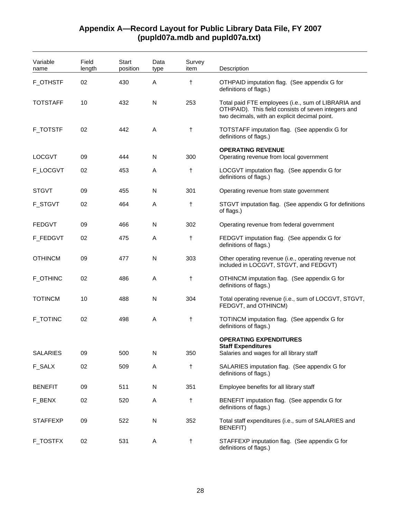| Variable<br>name | Field<br>length | Start<br>position | Data<br>type | Survey<br>item | Description                                                                                                                                                 |
|------------------|-----------------|-------------------|--------------|----------------|-------------------------------------------------------------------------------------------------------------------------------------------------------------|
| <b>F_OTHSTF</b>  | 02              | 430               | Α            | $\ddagger$     | OTHPAID imputation flag. (See appendix G for<br>definitions of flags.)                                                                                      |
| TOTSTAFF         | 10              | 432               | N            | 253            | Total paid FTE employees (i.e., sum of LIBRARIA and<br>OTHPAID). This field consists of seven integers and<br>two decimals, with an explicit decimal point. |
| <b>F_TOTSTF</b>  | 02              | 442               | A            | $^\dagger$     | TOTSTAFF imputation flag. (See appendix G for<br>definitions of flags.)                                                                                     |
| <b>LOCGVT</b>    | 09              | 444               | N            | 300            | <b>OPERATING REVENUE</b><br>Operating revenue from local government                                                                                         |
| F_LOCGVT         | 02              | 453               | Α            | t              | LOCGVT imputation flag. (See appendix G for<br>definitions of flags.)                                                                                       |
| <b>STGVT</b>     | 09              | 455               | N            | 301            | Operating revenue from state government                                                                                                                     |
| <b>F_STGVT</b>   | 02              | 464               | Α            | $^\dagger$     | STGVT imputation flag. (See appendix G for definitions<br>of flags.)                                                                                        |
| <b>FEDGVT</b>    | 09              | 466               | N            | 302            | Operating revenue from federal government                                                                                                                   |
| F_FEDGVT         | 02              | 475               | A            | $^\dagger$     | FEDGVT imputation flag. (See appendix G for<br>definitions of flags.)                                                                                       |
| <b>OTHINCM</b>   | 09              | 477               | N            | 303            | Other operating revenue (i.e., operating revenue not<br>included in LOCGVT, STGVT, and FEDGVT)                                                              |
| F_OTHINC         | 02              | 486               | Α            | $^\dagger$     | OTHINCM imputation flag. (See appendix G for<br>definitions of flags.)                                                                                      |
| <b>TOTINCM</b>   | 10              | 488               | N            | 304            | Total operating revenue (i.e., sum of LOCGVT, STGVT,<br>FEDGVT, and OTHINCM)                                                                                |
| <b>F_TOTINC</b>  | 02              | 498               | A            | $^\dagger$     | TOTINCM imputation flag. (See appendix G for<br>definitions of flags.)                                                                                      |
|                  |                 |                   |              |                | <b>OPERATING EXPENDITURES</b>                                                                                                                               |
| <b>SALARIES</b>  | 09              | 500               | N            | 350            | <b>Staff Expenditures</b><br>Salaries and wages for all library staff                                                                                       |
| <b>F_SALX</b>    | 02              | 509               | A            | $\ddagger$     | SALARIES imputation flag. (See appendix G for<br>definitions of flags.)                                                                                     |
| <b>BENEFIT</b>   | 09              | 511               | N            | 351            | Employee benefits for all library staff                                                                                                                     |
| F_BENX           | 02              | 520               | Α            | $^\dagger$     | BENEFIT imputation flag. (See appendix G for<br>definitions of flags.)                                                                                      |
| <b>STAFFEXP</b>  | 09              | 522               | N            | 352            | Total staff expenditures (i.e., sum of SALARIES and<br><b>BENEFIT)</b>                                                                                      |
| F_TOSTFX         | 02              | 531               | Α            | $\ddagger$     | STAFFEXP imputation flag. (See appendix G for<br>definitions of flags.)                                                                                     |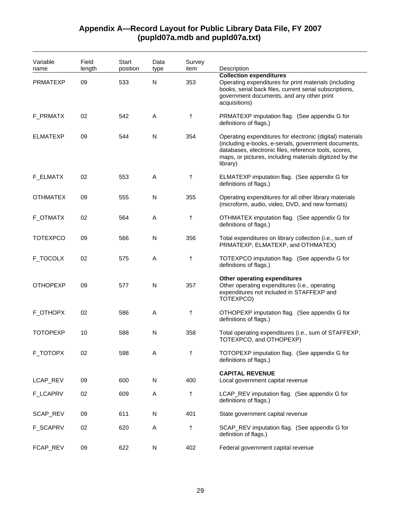#### Variable name Field length **Start** position Data type Survey item Description **Collection expenditures**  PRMATEXP 09 533 N 353 Operating expenditures for print materials (including books, serial back files, current serial subscriptions, government documents, and any other print acquisitions) F\_PRMATX 02 542 A  $\uparrow$  PRMATEXP imputation flag. (See appendix G for definitions of flags.) ELMATEXP 09 544 N 354 Operating expenditures for electronic (digital) materials (including e-books, e-serials, government documents, databases, electronic files, reference tools, scores, maps, or pictures, including materials digitized by the library) F\_ELMATX 02 553 A † ELMATEXP imputation flag. (See appendix G for definitions of flags.) OTHMATEX 09 555 N 355 Operating expenditures for all other library materials (microform, audio, video, DVD, and new formats) F\_OTMATX 02 564 A † OTHMATEX imputation flag. (See appendix G for definitions of flags.) TOTEXPCO 09 566 N 356 Total expenditures on library collection (i.e., sum of PRMATEXP, ELMATEXP, and OTHMATEX) F\_TOCOLX 02 575 A † TOTEXPCO imputation flag. (See appendix G for definitions of flags.) **Other operating expenditures**  OTHOPEXP 09 577 N 357 Other operating expenditures (i.e., operating expenditures not included in STAFFEXP and TOTEXPCO) F\_OTHOPX 02 586 A † OTHOPEXP imputation flag. (See appendix G for definitions of flags.) TOTOPEXP 10 588 N 358 Total operating expenditures (i.e., sum of STAFFEXP, TOTEXPCO, and OTHOPEXP) F\_TOTOPX 02 598 A † TOTOPEXP imputation flag. (See appendix G for definitions of flags.) **CAPITAL REVENUE**  LCAP\_REV 09 600 N 400 Local government capital revenue F\_LCAPRV 02 609 A † LCAP\_REV imputation flag. (See appendix G for definitions of flags.) SCAP\_REV 09 611 N 401 State government capital revenue F\_SCAPRV 02 620 A † SCAP\_REV imputation flag. (See appendix G for definition of flags.) FCAP\_REV 09 622 N 402 Federal government capital revenue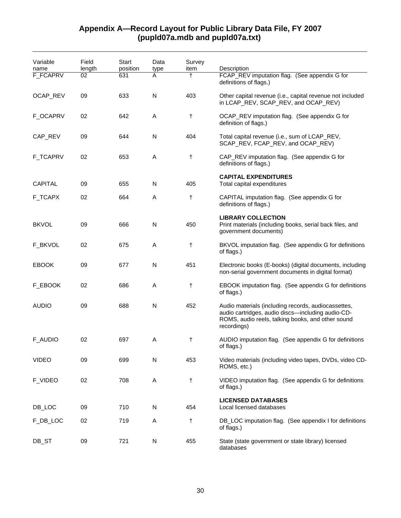| Variable<br>name<br>F_FCAPRV | Field<br>length<br>02 | <b>Start</b><br>position<br>631 | Data<br>type<br>A | Survey<br>item<br>$\ddagger$ | Description<br>FCAP_REV imputation flag. (See appendix G for<br>definitions of flags.)                                                                                       |
|------------------------------|-----------------------|---------------------------------|-------------------|------------------------------|------------------------------------------------------------------------------------------------------------------------------------------------------------------------------|
| OCAP_REV                     | 09                    | 633                             | N                 | 403                          | Other capital revenue (i.e., capital revenue not included<br>in LCAP_REV, SCAP_REV, and OCAP_REV)                                                                            |
| F_OCAPRV                     | 02                    | 642                             | A                 | t                            | OCAP_REV imputation flag. (See appendix G for<br>definition of flags.)                                                                                                       |
| CAP_REV                      | 09                    | 644                             | $\mathsf{N}$      | 404                          | Total capital revenue (i.e., sum of LCAP_REV,<br>SCAP_REV, FCAP_REV, and OCAP_REV)                                                                                           |
| <b>F_TCAPRV</b>              | 02                    | 653                             | A                 | t                            | CAP_REV imputation flag. (See appendix G for<br>definitions of flags.)                                                                                                       |
| <b>CAPITAL</b>               | 09                    | 655                             | N                 | 405                          | <b>CAPITAL EXPENDITURES</b><br>Total capital expenditures                                                                                                                    |
| F_TCAPX                      | 02                    | 664                             | A                 | t                            | CAPITAL imputation flag. (See appendix G for<br>definitions of flags.)                                                                                                       |
| <b>BKVOL</b>                 | 09                    | 666                             | N                 | 450                          | <b>LIBRARY COLLECTION</b><br>Print materials (including books, serial back files, and<br>government documents)                                                               |
| F_BKVOL                      | 02                    | 675                             | A                 | t                            | BKVOL imputation flag. (See appendix G for definitions<br>of flags.)                                                                                                         |
| <b>EBOOK</b>                 | 09                    | 677                             | N                 | 451                          | Electronic books (E-books) (digital documents, including<br>non-serial government documents in digital format)                                                               |
| F_EBOOK                      | 02                    | 686                             | A                 | t                            | EBOOK imputation flag. (See appendix G for definitions<br>of flags.)                                                                                                         |
| <b>AUDIO</b>                 | 09                    | 688                             | N                 | 452                          | Audio materials (including records, audiocassettes,<br>audio cartridges, audio discs-including audio-CD-<br>ROMS, audio reels, talking books, and other sound<br>recordings) |
| <b>F_AUDIO</b>               | 02                    | 697                             | A                 | $^\dagger$                   | AUDIO imputation flag. (See appendix G for definitions<br>of flags.)                                                                                                         |
| <b>VIDEO</b>                 | 09                    | 699                             | N                 | 453                          | Video materials (including video tapes, DVDs, video CD-<br>ROMS, etc.)                                                                                                       |
| F_VIDEO                      | 02                    | 708                             | A                 | t                            | VIDEO imputation flag. (See appendix G for definitions<br>of flags.)                                                                                                         |
| DB_LOC                       | 09                    | 710                             | ${\sf N}$         | 454                          | <b>LICENSED DATABASES</b><br>Local licensed databases                                                                                                                        |
| F_DB_LOC                     | 02                    | 719                             | Α                 | $^\dagger$                   | DB_LOC imputation flag. (See appendix I for definitions<br>of flags.)                                                                                                        |
| DB_ST                        | 09                    | 721                             | ${\sf N}$         | 455                          | State (state government or state library) licensed<br>databases                                                                                                              |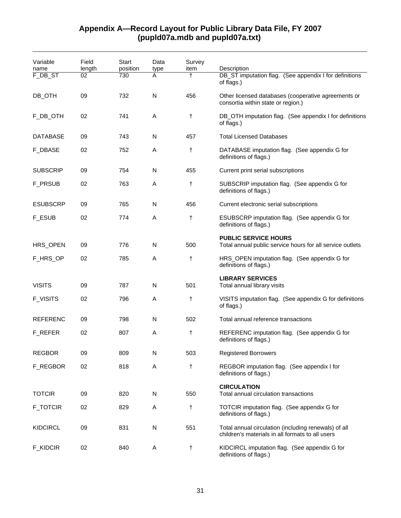| Variable<br>name | Field<br>length | Start<br>position | Data<br>type | Survey<br>item | Description                                                                                              |
|------------------|-----------------|-------------------|--------------|----------------|----------------------------------------------------------------------------------------------------------|
| F_DB_ST          | 02              | 730               | A            | t              | DB_ST imputation flag. (See appendix I for definitions<br>of flags.)                                     |
| DB_OTH           | 09              | 732               | N            | 456            | Other licensed databases (cooperative agreements or<br>consortia within state or region.)                |
| F_DB_OTH         | 02              | 741               | A            | t              | DB_OTH imputation flag. (See appendix I for definitions<br>of flags.)                                    |
| <b>DATABASE</b>  | 09              | 743               | N            | 457            | <b>Total Licensed Databases</b>                                                                          |
| <b>F_DBASE</b>   | 02              | 752               | Α            | t              | DATABASE imputation flag. (See appendix G for<br>definitions of flags.)                                  |
| <b>SUBSCRIP</b>  | 09              | 754               | N            | 455            | Current print serial subscriptions                                                                       |
| <b>F_PRSUB</b>   | 02              | 763               | A            | t              | SUBSCRIP imputation flag. (See appendix G for<br>definitions of flags.)                                  |
| <b>ESUBSCRP</b>  | 09              | 765               | N            | 456            | Current electronic serial subscriptions                                                                  |
| <b>F_ESUB</b>    | 02              | 774               | A            | t              | ESUBSCRP imputation flag. (See appendix G for<br>definitions of flags.)                                  |
| HRS_OPEN         | 09              | 776               | N            | 500            | <b>PUBLIC SERVICE HOURS</b><br>Total annual public service hours for all service outlets                 |
| F_HRS_OP         | 02              | 785               | A            | t              | HRS_OPEN imputation flag. (See appendix G for<br>definitions of flags.)                                  |
| <b>VISITS</b>    | 09              | 787               | N            | 501            | <b>LIBRARY SERVICES</b><br>Total annual library visits                                                   |
| <b>F_VISITS</b>  | 02              | 796               | Α            | t              | VISITS imputation flag. (See appendix G for definitions<br>of flags.)                                    |
| <b>REFERENC</b>  | 09              | 798               | N            | 502            | Total annual reference transactions                                                                      |
| F_REFER          | 02              | 807               | Α            | t              | REFERENC imputation flag. (See appendix G for<br>definitions of flags.)                                  |
| <b>REGBOR</b>    | 09              | 809               | N            | 503            | <b>Registered Borrowers</b>                                                                              |
| F_REGBOR         | 02              | 818               | A            | t              | REGBOR imputation flag. (See appendix I for<br>definitions of flags.)                                    |
| <b>TOTCIR</b>    | 09              | 820               | N            | 550            | <b>CIRCULATION</b><br>Total annual circulation transactions                                              |
| <b>F_TOTCIR</b>  | 02              | 829               | Α            | t              | TOTCIR imputation flag. (See appendix G for<br>definitions of flags.)                                    |
| <b>KIDCIRCL</b>  | 09              | 831               | N            | 551            | Total annual circulation (including renewals) of all<br>children's materials in all formats to all users |
| <b>F_KIDCIR</b>  | 02              | 840               | Α            | t              | KIDCIRCL imputation flag. (See appendix G for<br>definitions of flags.)                                  |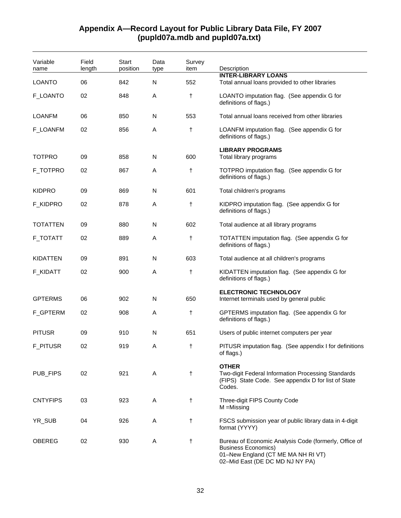| Variable<br>name | Field<br>length | Start<br>position | Data<br>type | Survey<br>item | Description                                                                                                                                                  |
|------------------|-----------------|-------------------|--------------|----------------|--------------------------------------------------------------------------------------------------------------------------------------------------------------|
|                  |                 |                   |              |                | <b>INTER-LIBRARY LOANS</b>                                                                                                                                   |
| <b>LOANTO</b>    | 06              | 842               | N            | 552            | Total annual loans provided to other libraries                                                                                                               |
| F_LOANTO         | 02              | 848               | Α            | t              | LOANTO imputation flag. (See appendix G for<br>definitions of flags.)                                                                                        |
| <b>LOANFM</b>    | 06              | 850               | N            | 553            | Total annual loans received from other libraries                                                                                                             |
| F_LOANFM         | 02              | 856               | A            | $\ddagger$     | LOANFM imputation flag. (See appendix G for<br>definitions of flags.)                                                                                        |
| <b>TOTPRO</b>    | 09              | 858               | N            | 600            | <b>LIBRARY PROGRAMS</b><br>Total library programs                                                                                                            |
| F_TOTPRO         | 02              | 867               | Α            | t              | TOTPRO imputation flag. (See appendix G for<br>definitions of flags.)                                                                                        |
| <b>KIDPRO</b>    | 09              | 869               | N            | 601            | Total children's programs                                                                                                                                    |
| F_KIDPRO         | 02              | 878               | Α            | $^\dagger$     | KIDPRO imputation flag. (See appendix G for<br>definitions of flags.)                                                                                        |
| <b>TOTATTEN</b>  | 09              | 880               | N            | 602            | Total audience at all library programs                                                                                                                       |
| <b>F_TOTATT</b>  | 02              | 889               | A            | $^\dagger$     | TOTATTEN imputation flag. (See appendix G for<br>definitions of flags.)                                                                                      |
| <b>KIDATTEN</b>  | 09              | 891               | N            | 603            | Total audience at all children's programs                                                                                                                    |
| F_KIDATT         | 02              | 900               | Α            | $^\dagger$     | KIDATTEN imputation flag. (See appendix G for<br>definitions of flags.)                                                                                      |
| <b>GPTERMS</b>   | 06              | 902               | N            | 650            | <b>ELECTRONIC TECHNOLOGY</b><br>Internet terminals used by general public                                                                                    |
| F_GPTERM         | 02              | 908               | Α            | $^\dagger$     | GPTERMS imputation flag. (See appendix G for<br>definitions of flags.)                                                                                       |
| <b>PITUSR</b>    | 09              | 910               | N            | 651            | Users of public internet computers per year                                                                                                                  |
| <b>F_PITUSR</b>  | 02              | 919               | Α            | t              | PITUSR imputation flag. (See appendix I for definitions<br>or riags.)                                                                                        |
| PUB_FIPS         | 02              | 921               | Α            | $\ddagger$     | <b>OTHER</b><br>Two-digit Federal Information Processing Standards<br>(FIPS) State Code. See appendix D for list of State<br>Codes.                          |
| <b>CNTYFIPS</b>  | 03              | 923               | Α            | $^\dagger$     | Three-digit FIPS County Code<br>$M = M$ issing                                                                                                               |
| YR_SUB           | 04              | 926               | A            | $\ddagger$     | FSCS submission year of public library data in 4-digit<br>format (YYYY)                                                                                      |
| <b>OBEREG</b>    | 02              | 930               | Α            | t              | Bureau of Economic Analysis Code (formerly, Office of<br><b>Business Economics)</b><br>01-New England (CT ME MA NH RI VT)<br>02-Mid East (DE DC MD NJ NY PA) |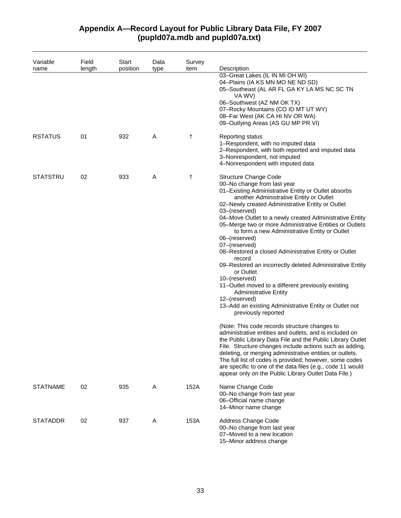## **Appendix A—Record Layout for Public Library Data File, FY 2007 (pupld07a.mdb and pupld07a.txt)**

| Variable        | Field  | Start<br>position | Data | Survey | Description                                                                                                                                                                                                                                                                                                                                                                                                                                                                                                                                                                                                                                                                                                                                                                                                                                                                                                                                                                                                                                                                                                                                                                                                                                                                       |
|-----------------|--------|-------------------|------|--------|-----------------------------------------------------------------------------------------------------------------------------------------------------------------------------------------------------------------------------------------------------------------------------------------------------------------------------------------------------------------------------------------------------------------------------------------------------------------------------------------------------------------------------------------------------------------------------------------------------------------------------------------------------------------------------------------------------------------------------------------------------------------------------------------------------------------------------------------------------------------------------------------------------------------------------------------------------------------------------------------------------------------------------------------------------------------------------------------------------------------------------------------------------------------------------------------------------------------------------------------------------------------------------------|
| name            | length |                   | type | item   | 03-Great Lakes (IL IN MI OH WI)<br>04-Plains (IA KS MN MO NE ND SD)<br>05-Southeast (AL AR FL GA KY LA MS NC SC TN<br>VA WV)<br>06-Southwest (AZ NM OK TX)<br>07-Rocky Mountains (CO ID MT UT WY)<br>08-Far West (AK CA HI NV OR WA)<br>09-Outlying Areas (AS GU MP PR VI)                                                                                                                                                                                                                                                                                                                                                                                                                                                                                                                                                                                                                                                                                                                                                                                                                                                                                                                                                                                                        |
| <b>RSTATUS</b>  | 01     | 932               | A    | t      | <b>Reporting status</b><br>1-Respondent, with no imputed data<br>2-Respondent, with both reported and imputed data<br>3-Nonrespondent, not imputed<br>4-Nonrespondent with imputed data                                                                                                                                                                                                                                                                                                                                                                                                                                                                                                                                                                                                                                                                                                                                                                                                                                                                                                                                                                                                                                                                                           |
| <b>STATSTRU</b> | 02     | 933               | Α    | t      | <b>Structure Change Code</b><br>00-No change from last year<br>01-Existing Administrative Entity or Outlet absorbs<br>another Administrative Entity or Outlet<br>02-Newly created Administrative Entity or Outlet<br>03-(reserved)<br>04-Move Outlet to a newly created Administrative Entity<br>05-Merge two or more Administrative Entities or Outlets<br>to form a new Administrative Entity or Outlet<br>06-(reserved)<br>07-(reserved)<br>08-Restored a closed Administrative Entity or Outlet<br>record<br>09-Restored an incorrectly deleted Administrative Entity<br>or Outlet<br>10-(reserved)<br>11-Outlet moved to a different previously existing<br><b>Administrative Entity</b><br>12-(reserved)<br>13-Add an existing Administrative Entity or Outlet not<br>previously reported<br>(Note: This code records structure changes to<br>administrative entities and outlets, and is included on<br>the Public Library Data File and the Public Library Outlet<br>File. Structure changes include actions such as adding,<br>deleting, or merging administrative entities or outlets.<br>The full list of codes is provided; however, some codes<br>are specific to one of the data files (e.g., code 11 would<br>appear only on the Public Library Outlet Data File.) |
| <b>STATNAME</b> | 02     | 935               | A    | 152A   | Name Change Code<br>00-No change from last year<br>06-Official name change<br>14-Minor name change                                                                                                                                                                                                                                                                                                                                                                                                                                                                                                                                                                                                                                                                                                                                                                                                                                                                                                                                                                                                                                                                                                                                                                                |
| <b>STATADDR</b> | 02     | 937               | A    | 153A   | Address Change Code<br>00-No change from last year<br>07-Moved to a new location<br>15-Minor address change                                                                                                                                                                                                                                                                                                                                                                                                                                                                                                                                                                                                                                                                                                                                                                                                                                                                                                                                                                                                                                                                                                                                                                       |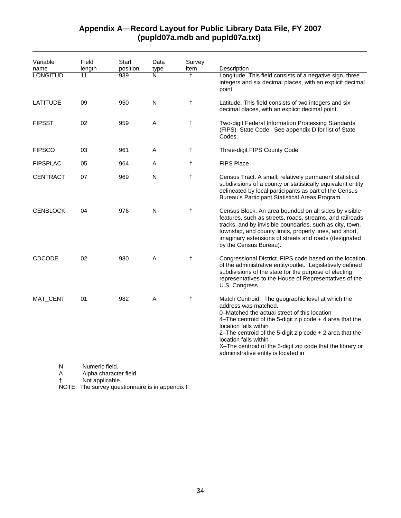## **Appendix A—Record Layout for Public Library Data File, FY 2007 (pupld07a.mdb and pupld07a.txt)**

| Variable<br>name | Field<br>length                                             | <b>Start</b><br>position | Data<br>type | Survey<br>item | Description                                                                                                                                                                                                                                                                                                                                                                                                  |
|------------------|-------------------------------------------------------------|--------------------------|--------------|----------------|--------------------------------------------------------------------------------------------------------------------------------------------------------------------------------------------------------------------------------------------------------------------------------------------------------------------------------------------------------------------------------------------------------------|
| <b>LONGITUD</b>  | 11                                                          | 939                      | N            | $\overline{+}$ | Longitude. This field consists of a negative sign, three<br>integers and six decimal places, with an explicit decimal<br>point.                                                                                                                                                                                                                                                                              |
| <b>LATITUDE</b>  | 09                                                          | 950                      | N            | $^\dagger$     | Latitude. This field consists of two integers and six<br>decimal places, with an explicit decimal point.                                                                                                                                                                                                                                                                                                     |
| <b>FIPSST</b>    | 02                                                          | 959                      | A            | $\ddagger$     | Two-digit Federal Information Processing Standards<br>(FIPS) State Code. See appendix D for list of State<br>Codes.                                                                                                                                                                                                                                                                                          |
| <b>FIPSCO</b>    | 03                                                          | 961                      | Α            | $\ddagger$     | Three-digit FIPS County Code                                                                                                                                                                                                                                                                                                                                                                                 |
| <b>FIPSPLAC</b>  | 05                                                          | 964                      | Α            | $^\dagger$     | <b>FIPS Place</b>                                                                                                                                                                                                                                                                                                                                                                                            |
| <b>CENTRACT</b>  | 07                                                          | 969                      | Ν            | $\ddagger$     | Census Tract. A small, relatively permanent statistical<br>subdivisions of a county or statistically equivalent entity<br>delineated by local participants as part of the Census<br>Bureau's Participant Statistical Areas Program.                                                                                                                                                                          |
| <b>CENBLOCK</b>  | 04                                                          | 976                      | N            | $\ddagger$     | Census Block. An area bounded on all sides by visible<br>features, such as streets, roads, streams, and railroads<br>tracks, and by invisible boundaries, such as city, town,<br>township, and county limits, property lines, and short,<br>imaginary extensions of streets and roads (designated<br>by the Census Bureau).                                                                                  |
| <b>CDCODE</b>    | 02                                                          | 980                      | A            | $\ddagger$     | Congressional District. FIPS code based on the location<br>of the administrative entity/outlet. Legislatively defined<br>subdivisions of the state for the purpose of electing<br>representatives to the House of Representatives of the<br>U.S. Congress.                                                                                                                                                   |
| MAT_CENT         | 01                                                          | 982                      | Α            | $\ddagger$     | Match Centroid. The geographic level at which the<br>address was matched.<br>0–Matched the actual street of this location<br>4-The centroid of the 5-digit zip code $+$ 4 area that the<br>location falls within<br>2-The centroid of the 5-digit zip code $+$ 2 area that the<br>location falls within<br>X-The centroid of the 5-digit zip code that the library or<br>administrative entity is located in |
| N<br>Α           | Numeric field.<br>Alpha character field.<br>Not applicable. |                          |              |                |                                                                                                                                                                                                                                                                                                                                                                                                              |

NOTE: The survey questionnaire is in appendix F.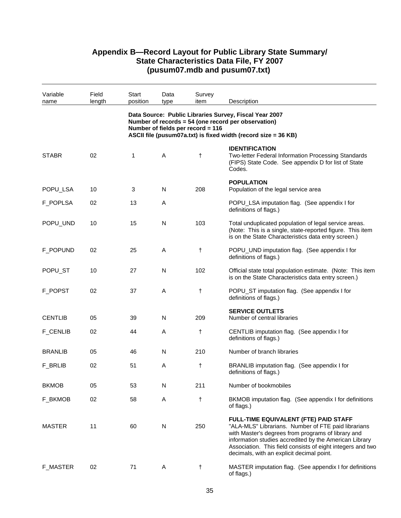| Variable<br>name | Field<br>length | Start<br>position | Data<br>type | Survey<br>item                    | Description                                                                                                                                                                                                                                                                                                             |
|------------------|-----------------|-------------------|--------------|-----------------------------------|-------------------------------------------------------------------------------------------------------------------------------------------------------------------------------------------------------------------------------------------------------------------------------------------------------------------------|
|                  |                 |                   |              | Number of fields per record = 116 | Data Source: Public Libraries Survey, Fiscal Year 2007<br>Number of records = 54 (one record per observation)<br>ASCII file (pusum07a.txt) is fixed width (record size = 36 KB)                                                                                                                                         |
| <b>STABR</b>     | 02              | 1                 | A            | t                                 | <b>IDENTIFICATION</b><br>Two-letter Federal Information Processing Standards<br>(FIPS) State Code. See appendix D for list of State<br>Codes.                                                                                                                                                                           |
| POPU_LSA         | 10              | 3                 | N            | 208                               | <b>POPULATION</b><br>Population of the legal service area                                                                                                                                                                                                                                                               |
| F_POPLSA         | 02              | 13                | A            |                                   | POPU_LSA imputation flag. (See appendix I for<br>definitions of flags.)                                                                                                                                                                                                                                                 |
| POPU_UND         | 10              | 15                | N            | 103                               | Total unduplicated population of legal service areas.<br>(Note: This is a single, state-reported figure. This item<br>is on the State Characteristics data entry screen.)                                                                                                                                               |
| F_POPUND         | 02              | 25                | A            | t                                 | POPU_UND imputation flag. (See appendix I for<br>definitions of flags.)                                                                                                                                                                                                                                                 |
| POPU_ST          | 10              | 27                | N            | 102                               | Official state total population estimate. (Note: This item<br>is on the State Characteristics data entry screen.)                                                                                                                                                                                                       |
| F_POPST          | 02              | 37                | A            | t                                 | POPU_ST imputation flag. (See appendix I for<br>definitions of flags.)                                                                                                                                                                                                                                                  |
| <b>CENTLIB</b>   | 05              | 39                | $\mathsf{N}$ | 209                               | <b>SERVICE OUTLETS</b><br>Number of central libraries                                                                                                                                                                                                                                                                   |
| <b>F_CENLIB</b>  | 02              | 44                | Α            | t                                 | CENTLIB imputation flag. (See appendix I for<br>definitions of flags.)                                                                                                                                                                                                                                                  |
| <b>BRANLIB</b>   | 05              | 46                | N            | 210                               | Number of branch libraries                                                                                                                                                                                                                                                                                              |
| F_BRLIB          | 02              | 51                | A            | t                                 | BRANLIB imputation flag. (See appendix I for<br>definitions of flags.)                                                                                                                                                                                                                                                  |
| <b>BKMOB</b>     | 05              | 53                | N            | 211                               | Number of bookmobiles                                                                                                                                                                                                                                                                                                   |
| F_BKMOB          | 02              | 58                | A            | t                                 | BKMOB imputation flag. (See appendix I for definitions<br>of flags.)                                                                                                                                                                                                                                                    |
| <b>MASTER</b>    | 11              | 60                | N            | 250                               | FULL-TIME EQUIVALENT (FTE) PAID STAFF<br>"ALA-MLS" Librarians. Number of FTE paid librarians<br>with Master's degrees from programs of library and<br>information studies accredited by the American Library<br>Association. This field consists of eight integers and two<br>decimals, with an explicit decimal point. |
| <b>F_MASTER</b>  | 02              | 71                | A            | $\dagger$                         | MASTER imputation flag. (See appendix I for definitions<br>of flags.)                                                                                                                                                                                                                                                   |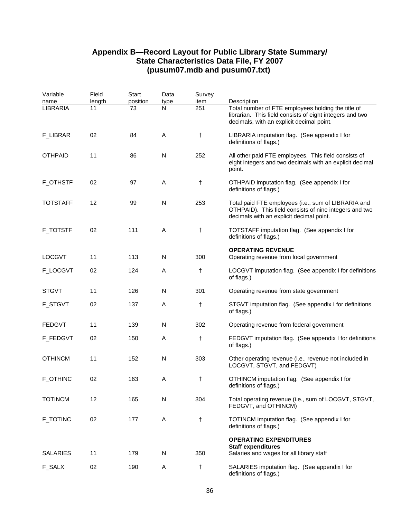| Variable<br>name | Field<br>length | Start<br>position | Data<br>type | Survey<br>item | Description                                                                                                                                                 |
|------------------|-----------------|-------------------|--------------|----------------|-------------------------------------------------------------------------------------------------------------------------------------------------------------|
| <b>LIBRARIA</b>  | 11              | 73                | N            | 251            | Total number of FTE employees holding the title of<br>librarian. This field consists of eight integers and two<br>decimals, with an explicit decimal point. |
| F_LIBRAR         | 02              | 84                | Α            | t              | LIBRARIA imputation flag. (See appendix I for<br>definitions of flags.)                                                                                     |
| <b>OTHPAID</b>   | 11              | 86                | N            | 252            | All other paid FTE employees. This field consists of<br>eight integers and two decimals with an explicit decimal<br>point.                                  |
| <b>F_OTHSTF</b>  | 02              | 97                | A            | t              | OTHPAID imputation flag. (See appendix I for<br>definitions of flags.)                                                                                      |
| <b>TOTSTAFF</b>  | 12              | 99                | N            | 253            | Total paid FTE employees (i.e., sum of LIBRARIA and<br>OTHPAID). This field consists of nine integers and two<br>decimals with an explicit decimal point.   |
| <b>F_TOTSTF</b>  | 02              | 111               | Α            | t              | TOTSTAFF imputation flag. (See appendix I for<br>definitions of flags.)                                                                                     |
| <b>LOCGVT</b>    | 11              | 113               | N            | 300            | <b>OPERATING REVENUE</b><br>Operating revenue from local government                                                                                         |
| F_LOCGVT         | 02              | 124               | A            | t              | LOCGVT imputation flag. (See appendix I for definitions<br>of flags.)                                                                                       |
| <b>STGVT</b>     | 11              | 126               | N            | 301            | Operating revenue from state government                                                                                                                     |
| <b>F_STGVT</b>   | 02              | 137               | A            | t              | STGVT imputation flag. (See appendix I for definitions<br>of flags.)                                                                                        |
| <b>FEDGVT</b>    | 11              | 139               | N            | 302            | Operating revenue from federal government                                                                                                                   |
| F_FEDGVT         | 02              | 150               | A            | t              | FEDGVT imputation flag. (See appendix I for definitions<br>of flags.)                                                                                       |
| <b>OTHINCM</b>   | 11              | 152               | N            | 303            | Other operating revenue (i.e., revenue not included in<br>LOCGVT, STGVT, and FEDGVT)                                                                        |
| <b>F_OTHINC</b>  | 02              | 163               | Α            | t              | OTHINCM imputation flag. (See appendix I for<br>definitions of flags.)                                                                                      |
| <b>TOTINCM</b>   | 12              | 165               | N            | 304            | Total operating revenue (i.e., sum of LOCGVT, STGVT,<br>FEDGVT, and OTHINCM)                                                                                |
| <b>F_TOTINC</b>  | 02              | 177               | A            | $^\dagger$     | TOTINCM imputation flag. (See appendix I for<br>definitions of flags.)                                                                                      |
|                  |                 |                   |              |                | <b>OPERATING EXPENDITURES</b><br><b>Staff expenditures</b>                                                                                                  |
| <b>SALARIES</b>  | 11              | 179               | N            | 350            | Salaries and wages for all library staff                                                                                                                    |
| F_SALX           | 02              | 190               | Α            | t              | SALARIES imputation flag. (See appendix I for<br>definitions of flags.)                                                                                     |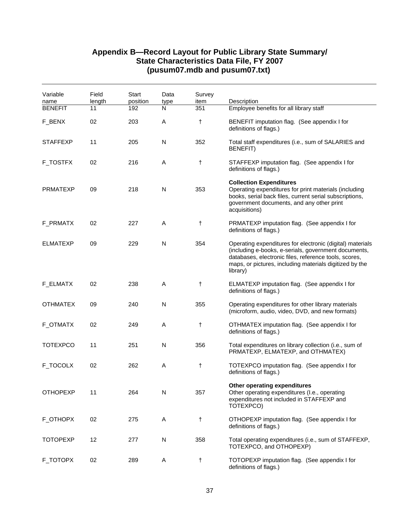| Variable<br>name | Field<br>length | Start<br>position | Data<br>type | Survey<br>item | Description                                                                                                                                                                                                                                       |
|------------------|-----------------|-------------------|--------------|----------------|---------------------------------------------------------------------------------------------------------------------------------------------------------------------------------------------------------------------------------------------------|
| <b>BENEFIT</b>   | 11              | 192               | N            | 351            | Employee benefits for all library staff                                                                                                                                                                                                           |
| F_BENX           | 02              | 203               | Α            | t              | BENEFIT imputation flag. (See appendix I for<br>definitions of flags.)                                                                                                                                                                            |
| <b>STAFFEXP</b>  | 11              | 205               | N            | 352            | Total staff expenditures (i.e., sum of SALARIES and<br><b>BENEFIT)</b>                                                                                                                                                                            |
| <b>F_TOSTFX</b>  | 02              | 216               | Α            | t              | STAFFEXP imputation flag. (See appendix I for<br>definitions of flags.)                                                                                                                                                                           |
| <b>PRMATEXP</b>  | 09              | 218               | N            | 353            | <b>Collection Expenditures</b><br>Operating expenditures for print materials (including<br>books, serial back files, current serial subscriptions,<br>government documents, and any other print<br>acquisitions)                                  |
| F_PRMATX         | 02              | 227               | Α            | $\ddagger$     | PRMATEXP imputation flag. (See appendix I for<br>definitions of flags.)                                                                                                                                                                           |
| <b>ELMATEXP</b>  | 09              | 229               | N            | 354            | Operating expenditures for electronic (digital) materials<br>(including e-books, e-serials, government documents,<br>databases, electronic files, reference tools, scores,<br>maps, or pictures, including materials digitized by the<br>library) |
| F_ELMATX         | 02              | 238               | Α            | t              | ELMATEXP imputation flag. (See appendix I for<br>definitions of flags.)                                                                                                                                                                           |
| <b>OTHMATEX</b>  | 09              | 240               | N            | 355            | Operating expenditures for other library materials<br>(microform, audio, video, DVD, and new formats)                                                                                                                                             |
| F_OTMATX         | 02              | 249               | Α            | t              | OTHMATEX imputation flag. (See appendix I for<br>definitions of flags.)                                                                                                                                                                           |
| <b>TOTEXPCO</b>  | 11              | 251               | N            | 356            | Total expenditures on library collection (i.e., sum of<br>PRMATEXP, ELMATEXP, and OTHMATEX)                                                                                                                                                       |
| F_TOCOLX         | 02              | 262               | Α            | t              | TOTEXPCO imputation flag. (See appendix I for<br>definitions of flags.)                                                                                                                                                                           |
| <b>OTHOPEXP</b>  | 11              | 264               | N            | 357            | Other operating expenditures<br>Other operating expenditures (I.e., operating<br>expenditures not included in STAFFEXP and<br>TOTEXPCO)                                                                                                           |
| F_OTHOPX         | 02              | 275               | Α            | t              | OTHOPEXP imputation flag. (See appendix I for<br>definitions of flags.)                                                                                                                                                                           |
| <b>TOTOPEXP</b>  | 12              | 277               | N            | 358            | Total operating expenditures (i.e., sum of STAFFEXP,<br>TOTEXPCO, and OTHOPEXP)                                                                                                                                                                   |
| F_TOTOPX         | 02              | 289               | Α            | t              | TOTOPEXP imputation flag. (See appendix I for<br>definitions of flags.)                                                                                                                                                                           |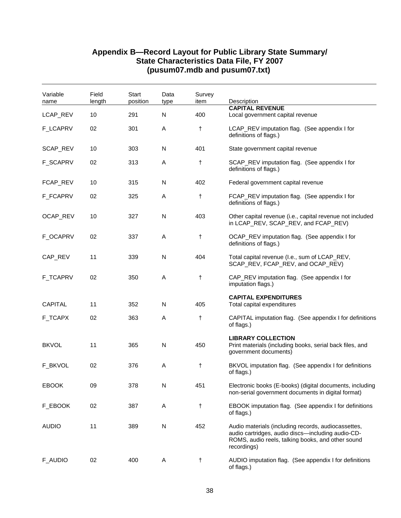| Variable<br>name | Field<br>length | Start<br>position | Data<br>type | Survey<br>item | Description<br><b>CAPITAL REVENUE</b>                                                                                                                                        |
|------------------|-----------------|-------------------|--------------|----------------|------------------------------------------------------------------------------------------------------------------------------------------------------------------------------|
| LCAP_REV         | 10              | 291               | N            | 400            | Local government capital revenue                                                                                                                                             |
| F_LCAPRV         | 02              | 301               | Α            | t              | LCAP_REV imputation flag. (See appendix I for<br>definitions of flags.)                                                                                                      |
| SCAP_REV         | 10              | 303               | N            | 401            | State government capital revenue                                                                                                                                             |
| F_SCAPRV         | 02              | 313               | A            | t              | SCAP_REV imputation flag. (See appendix I for<br>definitions of flags.)                                                                                                      |
| FCAP_REV         | 10              | 315               | N            | 402            | Federal government capital revenue                                                                                                                                           |
| <b>F_FCAPRV</b>  | 02              | 325               | Α            | t              | FCAP_REV imputation flag. (See appendix I for<br>definitions of flags.)                                                                                                      |
| OCAP_REV         | 10              | 327               | N            | 403            | Other capital revenue (i.e., capital revenue not included<br>in LCAP_REV, SCAP_REV, and FCAP_REV)                                                                            |
| F_OCAPRV         | 02              | 337               | Α            | t              | OCAP_REV imputation flag. (See appendix I for<br>definitions of flags.)                                                                                                      |
| CAP_REV          | 11              | 339               | N            | 404            | Total capital revenue (I.e., sum of LCAP_REV,<br>SCAP_REV, FCAP_REV, and OCAP_REV)                                                                                           |
| <b>F_TCAPRV</b>  | 02              | 350               | Α            | t              | CAP_REV imputation flag. (See appendix I for<br>imputation flags.)                                                                                                           |
| <b>CAPITAL</b>   | 11              | 352               | N            | 405            | <b>CAPITAL EXPENDITURES</b><br>Total capital expenditures                                                                                                                    |
| F_TCAPX          | 02              | 363               | A            | t              | CAPITAL imputation flag. (See appendix I for definitions<br>of flags.)                                                                                                       |
| <b>BKVOL</b>     | 11              | 365               | N            | 450            | <b>LIBRARY COLLECTION</b><br>Print materials (including books, serial back files, and<br>government documents)                                                               |
| F_BKVOL          | 02              | 376               | Α            | t              | BKVOL imputation flag. (See appendix I for definitions<br>of flags.)                                                                                                         |
| <b>EBOOK</b>     | 09              | 378               | N            | 451            | Electronic books (E-books) (digital documents, including<br>non-serial government documents in digital format)                                                               |
| F_EBOOK          | 02              | 387               | A            | t              | EBOOK imputation flag. (See appendix I for definitions<br>of flags.)                                                                                                         |
| <b>AUDIO</b>     | 11              | 389               | ${\sf N}$    | 452            | Audio materials (including records, audiocassettes,<br>audio cartridges, audio discs-including audio-CD-<br>ROMS, audio reels, talking books, and other sound<br>recordings) |
| F_AUDIO          | 02              | 400               | A            | t              | AUDIO imputation flag. (See appendix I for definitions<br>of flags.)                                                                                                         |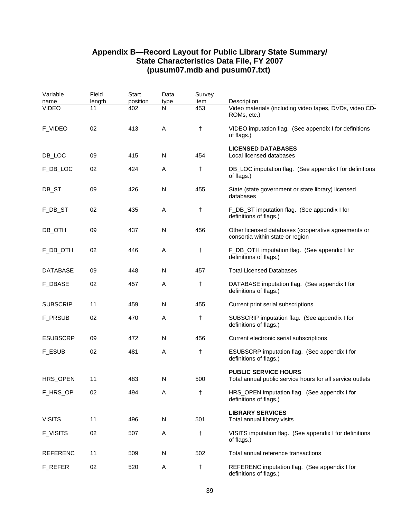| Variable<br>name | Field<br>length | Start<br>position | Data<br>type | Survey<br>item | Description                                                                              |
|------------------|-----------------|-------------------|--------------|----------------|------------------------------------------------------------------------------------------|
| <b>VIDEO</b>     | 11              | 402               | N            | 453            | Video materials (including video tapes, DVDs, video CD-<br>ROMs, etc.)                   |
| <b>F_VIDEO</b>   | 02              | 413               | A            | $\ddagger$     | VIDEO imputation flag. (See appendix I for definitions<br>of flags.)                     |
| DB_LOC           | 09              | 415               | N            | 454            | <b>LICENSED DATABASES</b><br>Local licensed databases                                    |
| F_DB_LOC         | 02              | 424               | A            | t              | DB_LOC imputation flag. (See appendix I for definitions<br>of flags.)                    |
| DB_ST            | 09              | 426               | N            | 455            | State (state government or state library) licensed<br>databases                          |
| F_DB_ST          | 02              | 435               | Α            | $^\dagger$     | F_DB_ST imputation flag. (See appendix I for<br>definitions of flags.)                   |
| DB_OTH           | 09              | 437               | N            | 456            | Other licensed databases (cooperative agreements or<br>consortia within state or region  |
| F_DB_OTH         | 02              | 446               | Α            | $\ddagger$     | F_DB_OTH imputation flag. (See appendix I for<br>definitions of flags.)                  |
| <b>DATABASE</b>  | 09              | 448               | N            | 457            | <b>Total Licensed Databases</b>                                                          |
| <b>F_DBASE</b>   | 02              | 457               | Α            | t              | DATABASE imputation flag. (See appendix I for<br>definitions of flags.)                  |
| <b>SUBSCRIP</b>  | 11              | 459               | N            | 455            | Current print serial subscriptions                                                       |
| <b>F_PRSUB</b>   | 02              | 470               | Α            | t              | SUBSCRIP imputation flag. (See appendix I for<br>definitions of flags.)                  |
| <b>ESUBSCRP</b>  | 09              | 472               | N            | 456            | Current electronic serial subscriptions                                                  |
| F_ESUB           | 02              | 481               | Α            | $\ddagger$     | ESUBSCRP imputation flag. (See appendix I for<br>definitions of flags.)                  |
| HRS_OPEN         | 11              | 483               | N            | 500            | <b>PUBLIC SERVICE HOURS</b><br>Total annual public service hours for all service outlets |
| F_HRS_OP         | 02              | 494               | Α            | $\ddagger$     | HRS_OPEN imputation flag. (See appendix I for<br>definitions of flags.)                  |
| <b>VISITS</b>    | 11              | 496               | N            | 501            | <b>LIBRARY SERVICES</b><br>Total annual library visits                                   |
| <b>F_VISITS</b>  | 02              | 507               | Α            | $^\dagger$     | VISITS imputation flag. (See appendix I for definitions<br>of flags.)                    |
| <b>REFERENC</b>  | 11              | 509               | N            | 502            | Total annual reference transactions                                                      |
| F_REFER          | 02              | 520               | Α            | $\ddagger$     | REFERENC imputation flag. (See appendix I for<br>definitions of flags.)                  |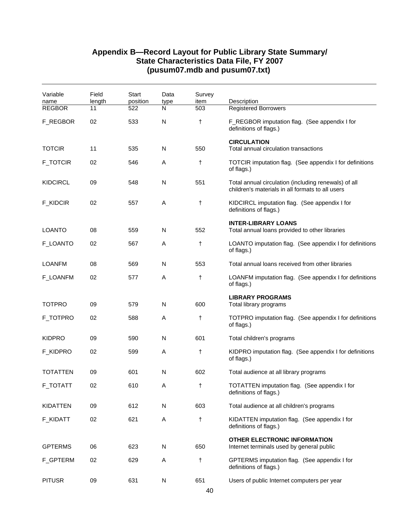| Variable<br>name | Field<br>length | Start<br>position | Data<br>type | Survey<br>item | Description                                                                                              |
|------------------|-----------------|-------------------|--------------|----------------|----------------------------------------------------------------------------------------------------------|
| <b>REGBOR</b>    | 11              | 522               | $\mathsf{N}$ | 503            | <b>Registered Borrowers</b>                                                                              |
| F_REGBOR         | 02              | 533               | N            | t              | F_REGBOR imputation flag. (See appendix I for<br>definitions of flags.)                                  |
| <b>TOTCIR</b>    | 11              | 535               | N            | 550            | <b>CIRCULATION</b><br>Total annual circulation transactions                                              |
| <b>F_TOTCIR</b>  | 02              | 546               | A            | t              | TOTCIR imputation flag. (See appendix I for definitions<br>of flags.)                                    |
| <b>KIDCIRCL</b>  | 09              | 548               | N            | 551            | Total annual circulation (including renewals) of all<br>children's materials in all formats to all users |
| F_KIDCIR         | 02              | 557               | A            | t              | KIDCIRCL imputation flag. (See appendix I for<br>definitions of flags.)                                  |
| <b>LOANTO</b>    | 08              | 559               | N            | 552            | <b>INTER-LIBRARY LOANS</b><br>Total annual loans provided to other libraries                             |
| F_LOANTO         | 02              | 567               | Α            | t              | LOANTO imputation flag. (See appendix I for definitions<br>of flags.)                                    |
| <b>LOANFM</b>    | 08              | 569               | N            | 553            | Total annual loans received from other libraries                                                         |
| <b>F_LOANFM</b>  | 02              | 577               | A            | t              | LOANFM imputation flag. (See appendix I for definitions<br>of flags.)                                    |
| <b>TOTPRO</b>    | 09              | 579               | N            | 600            | <b>LIBRARY PROGRAMS</b><br>Total library programs                                                        |
| F_TOTPRO         | 02              | 588               | Α            | t              | TOTPRO imputation flag. (See appendix I for definitions<br>of flags.)                                    |
| <b>KIDPRO</b>    | 09              | 590               | N            | 601            | Total children's programs                                                                                |
| <b>F_KIDPRO</b>  | 02              | 599               | A            | $^\dagger$     | KIDPRO imputation flag. (See appendix I for definitions<br>of flags.)                                    |
| <b>TOTATTEN</b>  | 09              | 601               | N            | 602            | Total audience at all library programs                                                                   |
| <b>F_TOTATT</b>  | 02              | 610               | Α            | t              | TOTATTEN imputation flag. (See appendix I for<br>definitions of flags.)                                  |
| <b>KIDATTEN</b>  | 09              | 612               | N            | 603            | Total audience at all children's programs                                                                |
| F_KIDATT         | 02              | 621               | A            | $^\dagger$     | KIDATTEN imputation flag. (See appendix I for<br>definitions of flags.)                                  |
| <b>GPTERMS</b>   | 06              | 623               | N            | 650            | <b>OTHER ELECTRONIC INFORMATION</b><br>Internet terminals used by general public                         |
| F_GPTERM         | 02              | 629               | Α            | t              | GPTERMS imputation flag. (See appendix I for<br>definitions of flags.)                                   |
| <b>PITUSR</b>    | 09              | 631               | ${\sf N}$    | 651            | Users of public Internet computers per year                                                              |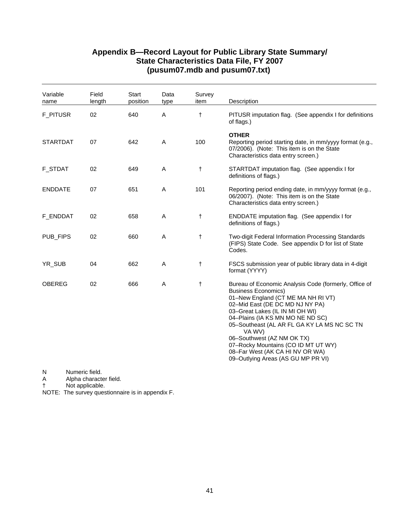| Variable<br>name | Field<br>length                          | <b>Start</b><br>position | Data<br>type | Survey<br>item | Description                                                                                                                                                                                                                                                                                                                                                                                                                                |
|------------------|------------------------------------------|--------------------------|--------------|----------------|--------------------------------------------------------------------------------------------------------------------------------------------------------------------------------------------------------------------------------------------------------------------------------------------------------------------------------------------------------------------------------------------------------------------------------------------|
| <b>F_PITUSR</b>  | 02                                       | 640                      | A            | $\ddagger$     | PITUSR imputation flag. (See appendix I for definitions<br>of flags.)                                                                                                                                                                                                                                                                                                                                                                      |
| <b>STARTDAT</b>  | 07                                       | 642                      | A            | 100            | <b>OTHER</b><br>Reporting period starting date, in mm/yyyy format (e.g.,<br>07/2006). (Note: This item is on the State<br>Characteristics data entry screen.)                                                                                                                                                                                                                                                                              |
| <b>F_STDAT</b>   | 02                                       | 649                      | A            | $\ddagger$     | STARTDAT imputation flag. (See appendix I for<br>definitions of flags.)                                                                                                                                                                                                                                                                                                                                                                    |
| <b>ENDDATE</b>   | 07                                       | 651                      | A            | 101            | Reporting period ending date, in mm/yyyy format (e.g.,<br>06/2007). (Note: This item is on the State<br>Characteristics data entry screen.)                                                                                                                                                                                                                                                                                                |
| F_ENDDAT         | 02                                       | 658                      | A            | $\ddagger$     | <b>ENDDATE</b> imputation flag. (See appendix I for<br>definitions of flags.)                                                                                                                                                                                                                                                                                                                                                              |
| PUB_FIPS         | 02                                       | 660                      | A            | $\ddagger$     | Two-digit Federal Information Processing Standards<br>(FIPS) State Code. See appendix D for list of State<br>Codes.                                                                                                                                                                                                                                                                                                                        |
| YR_SUB           | 04                                       | 662                      | A            | $\ddagger$     | FSCS submission year of public library data in 4-digit<br>format (YYYY)                                                                                                                                                                                                                                                                                                                                                                    |
| <b>OBEREG</b>    | 02                                       | 666                      | Α            | $\ddagger$     | Bureau of Economic Analysis Code (formerly, Office of<br><b>Business Economics)</b><br>01-New England (CT ME MA NH RI VT)<br>02-Mid East (DE DC MD NJ NY PA)<br>03-Great Lakes (IL IN MI OH WI)<br>04-Plains (IA KS MN MO NE ND SC)<br>05-Southeast (AL AR FL GA KY LA MS NC SC TN<br>VA WV)<br>06-Southwest (AZ NM OK TX)<br>07-Rocky Mountains (CO ID MT UT WY)<br>08-Far West (AK CA HI NV OR WA)<br>09-Outlying Areas (AS GU MP PR VI) |
| N<br>A           | Numeric field.<br>Alpha character field. |                          |              |                |                                                                                                                                                                                                                                                                                                                                                                                                                                            |

† Not applicable.

NOTE: The survey questionnaire is in appendix F.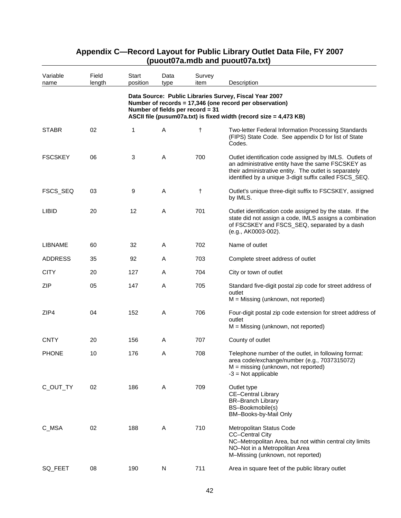| Variable<br>name | Field<br>length | <b>Start</b><br>position | Data<br>type | Survey<br>item                   | Description                                                                                                                                                                                                                     |
|------------------|-----------------|--------------------------|--------------|----------------------------------|---------------------------------------------------------------------------------------------------------------------------------------------------------------------------------------------------------------------------------|
|                  |                 |                          |              | Number of fields per record = 31 | Data Source: Public Libraries Survey, Fiscal Year 2007<br>Number of records = 17,346 (one record per observation)<br>ASCII file (pusum07a.txt) is fixed width (record size = 4,473 KB)                                          |
| <b>STABR</b>     | 02              | 1                        | A            | $\ddagger$                       | <b>Two-letter Federal Information Processing Standards</b><br>(FIPS) State Code. See appendix D for list of State<br>Codes.                                                                                                     |
| <b>FSCSKEY</b>   | 06              | 3                        | A            | 700                              | Outlet identification code assigned by IMLS. Outlets of<br>an administrative entity have the same FSCSKEY as<br>their administrative entity. The outlet is separately<br>identified by a unique 3-digit suffix called FSCS_SEQ. |
| FSCS_SEQ         | 03              | 9                        | Α            | t                                | Outlet's unique three-digit suffix to FSCSKEY, assigned<br>by IMLS.                                                                                                                                                             |
| <b>LIBID</b>     | 20              | 12                       | A            | 701                              | Outlet identification code assigned by the state. If the<br>state did not assign a code, IMLS assigns a combination<br>of FSCSKEY and FSCS_SEQ, separated by a dash<br>(e.g., AK0003-002).                                      |
| <b>LIBNAME</b>   | 60              | 32                       | Α            | 702                              | Name of outlet                                                                                                                                                                                                                  |
| <b>ADDRESS</b>   | 35              | 92                       | Α            | 703                              | Complete street address of outlet                                                                                                                                                                                               |
| <b>CITY</b>      | 20              | 127                      | Α            | 704                              | City or town of outlet                                                                                                                                                                                                          |
| ZIP              | 05              | 147                      | A            | 705                              | Standard five-digit postal zip code for street address of<br>outlet<br>$M =$ Missing (unknown, not reported)                                                                                                                    |
| ZIP4             | 04              | 152                      | A            | 706                              | Four-digit postal zip code extension for street address of<br>outlet<br>$M =$ Missing (unknown, not reported)                                                                                                                   |
| <b>CNTY</b>      | 20              | 156                      | Α            | 707                              | County of outlet                                                                                                                                                                                                                |
| <b>PHONE</b>     | 10              | 176                      | Α            | 708                              | Telephone number of the outlet, in following format:<br>area code/exchange/number (e.g., 7037315072)<br>$M =$ missing (unknown, not reported)<br>$-3$ = Not applicable                                                          |
| C_OUT_TY         | 02              | 186                      | Α            | 709                              | Outlet type<br><b>CE-Central Library</b><br><b>BR-Branch Library</b><br>BS-Bookmobile(s)<br>BM-Books-by-Mail Only                                                                                                               |
| C_MSA            | 02              | 188                      | Α            | 710                              | Metropolitan Status Code<br><b>CC-Central City</b><br>NC-Metropolitan Area, but not within central city limits<br>NO-Not in a Metropolitan Area<br>M-Missing (unknown, not reported)                                            |
| SQ_FEET          | 08              | 190                      | N            | 711                              | Area in square feet of the public library outlet                                                                                                                                                                                |

## **Appendix C—Record Layout for Public Library Outlet Data File, FY 2007 (puout07a.mdb and puout07a.txt)**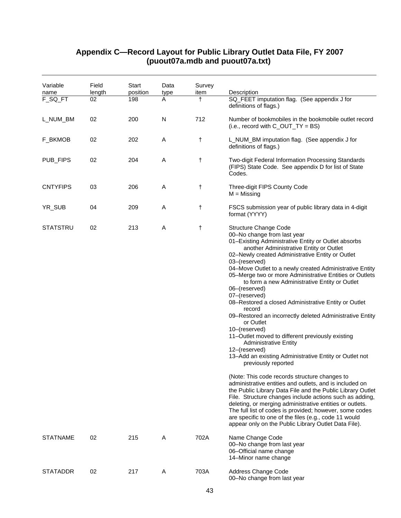| Variable<br>name | Field<br>length | Start<br>position | Data<br>type | Survey<br>item | Description                                                                                                                                                                                                                                                                                                                                                                                                                                                                                                                                                                                                                                                                                                                                                                                                                                                                                                                                                                                                                                                                                                                                                                                                                                                                |
|------------------|-----------------|-------------------|--------------|----------------|----------------------------------------------------------------------------------------------------------------------------------------------------------------------------------------------------------------------------------------------------------------------------------------------------------------------------------------------------------------------------------------------------------------------------------------------------------------------------------------------------------------------------------------------------------------------------------------------------------------------------------------------------------------------------------------------------------------------------------------------------------------------------------------------------------------------------------------------------------------------------------------------------------------------------------------------------------------------------------------------------------------------------------------------------------------------------------------------------------------------------------------------------------------------------------------------------------------------------------------------------------------------------|
| F_SQ_FT          | 02              | 198               | A            | $\ddagger$     | SQ_FEET imputation flag. (See appendix J for<br>definitions of flags.)                                                                                                                                                                                                                                                                                                                                                                                                                                                                                                                                                                                                                                                                                                                                                                                                                                                                                                                                                                                                                                                                                                                                                                                                     |
| L_NUM_BM         | 02              | 200               | N            | 712            | Number of bookmobiles in the bookmobile outlet record<br>(i.e., record with $C_$ <i>OUT_TY</i> = BS)                                                                                                                                                                                                                                                                                                                                                                                                                                                                                                                                                                                                                                                                                                                                                                                                                                                                                                                                                                                                                                                                                                                                                                       |
| F_BKMOB          | 02              | 202               | Α            | t              | L_NUM_BM imputation flag. (See appendix J for<br>definitions of flags.)                                                                                                                                                                                                                                                                                                                                                                                                                                                                                                                                                                                                                                                                                                                                                                                                                                                                                                                                                                                                                                                                                                                                                                                                    |
| PUB_FIPS         | 02              | 204               | A            | t              | Two-digit Federal Information Processing Standards<br>(FIPS) State Code. See appendix D for list of State<br>Codes.                                                                                                                                                                                                                                                                                                                                                                                                                                                                                                                                                                                                                                                                                                                                                                                                                                                                                                                                                                                                                                                                                                                                                        |
| <b>CNTYFIPS</b>  | 03              | 206               | Α            | $\ddagger$     | Three-digit FIPS County Code<br>$M = M$ issing                                                                                                                                                                                                                                                                                                                                                                                                                                                                                                                                                                                                                                                                                                                                                                                                                                                                                                                                                                                                                                                                                                                                                                                                                             |
| YR_SUB           | 04              | 209               | Α            | t              | FSCS submission year of public library data in 4-digit<br>format (YYYY)                                                                                                                                                                                                                                                                                                                                                                                                                                                                                                                                                                                                                                                                                                                                                                                                                                                                                                                                                                                                                                                                                                                                                                                                    |
| <b>STATSTRU</b>  | 02              | 213               | Α            | $\ddagger$     | <b>Structure Change Code</b><br>00-No change from last year<br>01-Existing Administrative Entity or Outlet absorbs<br>another Administrative Entity or Outlet<br>02-Newly created Administrative Entity or Outlet<br>03-(reserved)<br>04-Move Outlet to a newly created Administrative Entity<br>05-Merge two or more Administrative Entities or Outlets<br>to form a new Administrative Entity or Outlet<br>06-(reserved)<br>07-(reserved)<br>08-Restored a closed Administrative Entity or Outlet<br>record<br>09–Restored an incorrectly deleted Administrative Entity<br>or Outlet<br>10-(reserved)<br>11-Outlet moved to different previously existing<br><b>Administrative Entity</b><br>12-(reserved)<br>13-Add an existing Administrative Entity or Outlet not<br>previously reported<br>(Note: This code records structure changes to<br>administrative entities and outlets, and is included on<br>the Public Library Data File and the Public Library Outlet<br>File. Structure changes include actions such as adding,<br>deleting, or merging administrative entities or outlets.<br>The full list of codes is provided; however, some codes<br>are specific to one of the files (e.g., code 11 would<br>appear only on the Public Library Outlet Data File). |
| <b>STATNAME</b>  | 02              | 215               | A            | 702A           | Name Change Code<br>00-No change from last year<br>06-Official name change<br>14-Minor name change                                                                                                                                                                                                                                                                                                                                                                                                                                                                                                                                                                                                                                                                                                                                                                                                                                                                                                                                                                                                                                                                                                                                                                         |
| <b>STATADDR</b>  | 02              | 217               | Α            | 703A           | Address Change Code<br>00-No change from last year                                                                                                                                                                                                                                                                                                                                                                                                                                                                                                                                                                                                                                                                                                                                                                                                                                                                                                                                                                                                                                                                                                                                                                                                                         |

### **Appendix C—Record Layout for Public Library Outlet Data File, FY 2007 (puout07a.mdb and puout07a.txt)**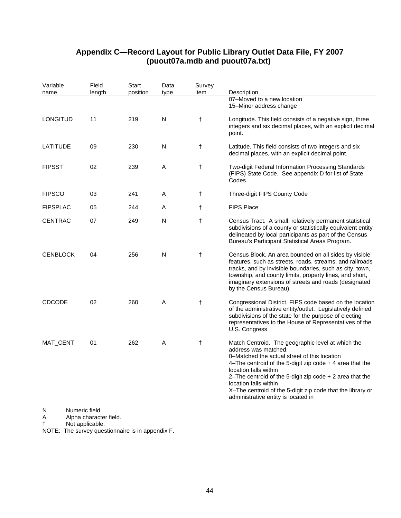| Variable<br>name | Field<br>length | Start<br>position | Data<br>type | Survey<br>item | Description                                                                                                                                                                                                                                                                                                                                                                                                |
|------------------|-----------------|-------------------|--------------|----------------|------------------------------------------------------------------------------------------------------------------------------------------------------------------------------------------------------------------------------------------------------------------------------------------------------------------------------------------------------------------------------------------------------------|
|                  |                 |                   |              |                | 07-Moved to a new location<br>15-Minor address change                                                                                                                                                                                                                                                                                                                                                      |
| <b>LONGITUD</b>  | 11              | 219               | N            | $\ddagger$     | Longitude. This field consists of a negative sign, three<br>integers and six decimal places, with an explicit decimal<br>point.                                                                                                                                                                                                                                                                            |
| <b>LATITUDE</b>  | 09              | 230               | N            | $\ddagger$     | Latitude. This field consists of two integers and six<br>decimal places, with an explicit decimal point.                                                                                                                                                                                                                                                                                                   |
| <b>FIPSST</b>    | 02              | 239               | Α            | $\ddagger$     | Two-digit Federal Information Processing Standards<br>(FIPS) State Code. See appendix D for list of State<br>Codes.                                                                                                                                                                                                                                                                                        |
| <b>FIPSCO</b>    | 03              | 241               | Α            | $\ddagger$     | Three-digit FIPS County Code                                                                                                                                                                                                                                                                                                                                                                               |
| <b>FIPSPLAC</b>  | 05              | 244               | Α            | $\ddagger$     | <b>FIPS Place</b>                                                                                                                                                                                                                                                                                                                                                                                          |
| <b>CENTRAC</b>   | 07              | 249               | N            | $\ddagger$     | Census Tract. A small, relatively permanent statistical<br>subdivisions of a county or statistically equivalent entity<br>delineated by local participants as part of the Census<br>Bureau's Participant Statistical Areas Program.                                                                                                                                                                        |
| <b>CENBLOCK</b>  | 04              | 256               | N            | $\ddagger$     | Census Block. An area bounded on all sides by visible<br>features, such as streets, roads, streams, and railroads<br>tracks, and by invisible boundaries, such as city, town,<br>township, and county limits, property lines, and short,<br>imaginary extensions of streets and roads (designated<br>by the Census Bureau).                                                                                |
| <b>CDCODE</b>    | 02              | 260               | Α            | $\ddagger$     | Congressional District. FIPS code based on the location<br>of the administrative entity/outlet. Legislatively defined<br>subdivisions of the state for the purpose of electing<br>representatives to the House of Representatives of the<br>U.S. Congress.                                                                                                                                                 |
| MAT_CENT         | 01              | 262               | Α            | $\ddagger$     | Match Centroid. The geographic level at which the<br>address was matched.<br>0–Matched the actual street of this location<br>4-The centroid of the 5-digit zip code + 4 area that the<br>location falls within<br>2-The centroid of the 5-digit zip code $+$ 2 area that the<br>location falls within<br>X-The centroid of the 5-digit zip code that the library or<br>administrative entity is located in |
| N                | Numeric field.  |                   |              |                |                                                                                                                                                                                                                                                                                                                                                                                                            |

## **Appendix C—Record Layout for Public Library Outlet Data File, FY 2007 (puout07a.mdb and puout07a.txt)**

A Alpha character field.

† Not applicable.

NOTE: The survey questionnaire is in appendix F.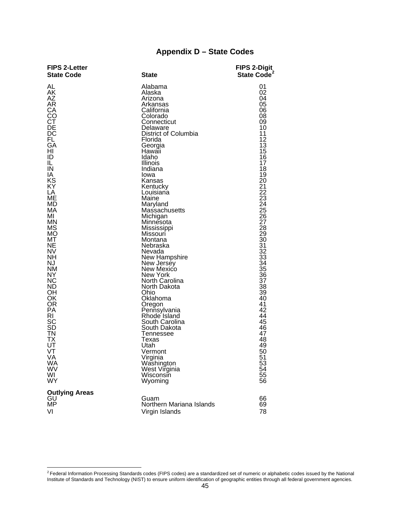## **Appendix D – State Codes**

| <b>FIPS 2-Letter</b><br><b>State Code</b>                                                                                                                                                                                                                                                                                                                          | <b>State</b>                                                                                                                                                                                                                                                                                                                                                                                                                                                                                                                                                                                                                     | <b>FIPS 2-Digit</b><br>State Code <sup>2</sup>                                                                                                                                                                                                                                                                                                                |
|--------------------------------------------------------------------------------------------------------------------------------------------------------------------------------------------------------------------------------------------------------------------------------------------------------------------------------------------------------------------|----------------------------------------------------------------------------------------------------------------------------------------------------------------------------------------------------------------------------------------------------------------------------------------------------------------------------------------------------------------------------------------------------------------------------------------------------------------------------------------------------------------------------------------------------------------------------------------------------------------------------------|---------------------------------------------------------------------------------------------------------------------------------------------------------------------------------------------------------------------------------------------------------------------------------------------------------------------------------------------------------------|
| AL<br>AK<br>AΖ<br>AR<br>СA<br>CO<br>СT<br>DE<br>DC<br><b>FL</b><br>GA<br>HI<br>ID<br>IL<br>IN<br>IA<br>KS<br>ΚY<br>LA<br>ME<br>MD<br>МA<br>MI<br><b>MN</b><br>MS<br><b>MO</b><br>МT<br>NE<br><b>NV</b><br><b>NH</b><br><b>NJ</b><br><b>NM</b><br>NY<br><b>NC</b><br><b>ND</b><br>ΟH<br>OK<br>OR<br>PA<br>RI<br>SC<br><b>SD</b><br>ΤN<br>TХ<br>UT<br>VT<br>VA<br>WA | Alabama<br>Alaska<br>Arizona<br>Arkansas<br>California<br>Colorado<br>Connecticut<br>Delaware<br>District of Columbia<br>Florida<br>Georgia<br>Hawaii<br>Idaho<br>Illinois<br>Indiana<br>Iowa<br>Kansas<br>Kentucky<br>Louisiana<br>Maine<br>Maryland<br>Massachusetts<br>Michigan<br>Minnesota<br>Mississippi<br>Missouri<br>Montana<br>Nebraska<br>Nevada<br>New Hampshire<br>New Jersey<br>New Mexico<br>New York<br>North Carolina<br>North Dakota<br>Ohio<br>Oklahoma<br>Oregon<br>Pennsylvania<br>Rhode Island<br>South Carolina<br>South Dakota<br><b>Tennessee</b><br>Texas<br>Utah<br>Vermont<br>Virginia<br>Washington | 01<br>02<br>04<br>05<br>06<br>08<br>09<br>10<br>11<br>12<br>13<br>15<br>16<br>17<br>18<br>19<br>20<br>21<br>22<br>23<br>24<br>25<br>26<br>27<br>28<br>29<br>30 <sup>°</sup><br>31<br>$\overline{32}$<br>33<br>$\overline{34}$<br>35<br>$\overline{36}$<br>$\overline{37}$<br>38<br>39<br>40<br>41<br>42<br>44<br>45<br>46<br>47<br>48<br>49<br>50<br>51<br>53 |
| WV<br>WI                                                                                                                                                                                                                                                                                                                                                           | West Virginia<br>Wisconsin                                                                                                                                                                                                                                                                                                                                                                                                                                                                                                                                                                                                       | 54<br>55                                                                                                                                                                                                                                                                                                                                                      |
| <b>WY</b><br><b>Outlying Areas</b>                                                                                                                                                                                                                                                                                                                                 | Wyoming                                                                                                                                                                                                                                                                                                                                                                                                                                                                                                                                                                                                                          | 56                                                                                                                                                                                                                                                                                                                                                            |
| GU<br>MP                                                                                                                                                                                                                                                                                                                                                           | Guam<br>Northern Mariana Islands                                                                                                                                                                                                                                                                                                                                                                                                                                                                                                                                                                                                 | 66<br>69                                                                                                                                                                                                                                                                                                                                                      |
| VI                                                                                                                                                                                                                                                                                                                                                                 | Virgin Islands                                                                                                                                                                                                                                                                                                                                                                                                                                                                                                                                                                                                                   | 78                                                                                                                                                                                                                                                                                                                                                            |

 $\overline{a}$ 

<span id="page-48-0"></span> $^2$  Federal Information Processing Standards codes (FIPS codes) are a standardized set of numeric or alphabetic codes issued by the National Institute of Standards and Technology (NIST) to ensure uniform identification of geographic entities through all federal government agencies.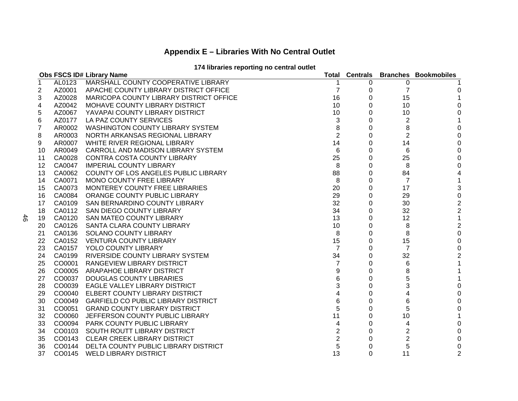## **Appendix E – Libraries With No Central Outlet**

### **174 libraries reporting no central outlet**

|    |        | Obs FSCS ID# Library Name                  | Total          |   |                | <b>Centrals Branches Bookmobiles</b> |
|----|--------|--------------------------------------------|----------------|---|----------------|--------------------------------------|
| 1  | AL0123 | MARSHALL COUNTY COOPERATIVE LIBRARY        |                | 0 | 0              |                                      |
| 2  | AZ0001 | APACHE COUNTY LIBRARY DISTRICT OFFICE      | 7              | 0 | 7              | 0                                    |
| 3  | AZ0028 | MARICOPA COUNTY LIBRARY DISTRICT OFFICE    | 16             | 0 | 15             |                                      |
| 4  | AZ0042 | MOHAVE COUNTY LIBRARY DISTRICT             | 10             | 0 | 10             | 0                                    |
| 5  | AZ0067 | YAVAPAI COUNTY LIBRARY DISTRICT            | 10             | 0 | 10             | 0                                    |
| 6  | AZ0177 | LA PAZ COUNTY SERVICES                     | 3              | 0 | 2              | 1                                    |
| 7  | AR0002 | <b>WASHINGTON COUNTY LIBRARY SYSTEM</b>    | 8              | 0 | 8              | 0                                    |
| 8  | AR0003 | NORTH ARKANSAS REGIONAL LIBRARY            | $\overline{2}$ | 0 | $\overline{2}$ | $\mathbf 0$                          |
| 9  | AR0007 | WHITE RIVER REGIONAL LIBRARY               | 14             | 0 | 14             | $\mathbf 0$                          |
| 10 | AR0049 | CARROLL AND MADISON LIBRARY SYSTEM         | $\,6$          | 0 | 6              | $\pmb{0}$                            |
| 11 | CA0028 | CONTRA COSTA COUNTY LIBRARY                | 25             | 0 | 25             | $\mathbf 0$                          |
| 12 | CA0047 | <b>IMPERIAL COUNTY LIBRARY</b>             | 8              | 0 | 8              | 0                                    |
| 13 | CA0062 | COUNTY OF LOS ANGELES PUBLIC LIBRARY       | 88             | 0 | 84             | 4                                    |
| 14 | CA0071 | MONO COUNTY FREE LIBRARY                   | 8              | 0 | $\overline{7}$ | 1                                    |
| 15 | CA0073 | MONTEREY COUNTY FREE LIBRARIES             | 20             | 0 | 17             | $\sqrt{3}$                           |
| 16 | CA0084 | ORANGE COUNTY PUBLIC LIBRARY               | 29             | 0 | 29             | $\pmb{0}$                            |
| 17 | CA0109 | SAN BERNARDINO COUNTY LIBRARY              | 32             | 0 | 30             | $\overline{\mathbf{c}}$              |
| 18 | CA0112 | SAN DIEGO COUNTY LIBRARY                   | 34             | 0 | 32             | $\boldsymbol{2}$                     |
| 19 | CA0120 | <b>SAN MATEO COUNTY LIBRARY</b>            | 13             | 0 | 12             | $\mathbf{1}$                         |
| 20 | CA0126 | SANTA CLARA COUNTY LIBRARY                 | 10             | 0 | 8              | $\sqrt{2}$                           |
| 21 | CA0136 | SOLANO COUNTY LIBRARY                      | 8              | 0 | 8              | $\pmb{0}$                            |
| 22 | CA0152 | <b>VENTURA COUNTY LIBRARY</b>              | 15             | 0 | 15             | $\pmb{0}$                            |
| 23 | CA0157 | YOLO COUNTY LIBRARY                        | 7              | 0 | 7              | $\pmb{0}$                            |
| 24 | CA0199 | RIVERSIDE COUNTY LIBRARY SYSTEM            | 34             | 0 | 32             | $\overline{2}$                       |
| 25 | CO0001 | RANGEVIEW LIBRARY DISTRICT                 | 7              | 0 | 6              | 1                                    |
| 26 | CO0005 | ARAPAHOE LIBRARY DISTRICT                  | 9              | 0 | 8              |                                      |
| 27 | CO0037 | <b>DOUGLAS COUNTY LIBRARIES</b>            | 6              | 0 | 5              | 1                                    |
| 28 | CO0039 | EAGLE VALLEY LIBRARY DISTRICT              | 3              | 0 | 3              | $\boldsymbol{0}$                     |
| 29 | CO0040 | ELBERT COUNTY LIBRARY DISTRICT             | 4              | 0 | 4              | $\mathbf 0$                          |
| 30 | CO0049 | <b>GARFIELD CO PUBLIC LIBRARY DISTRICT</b> | 6              | 0 | 6              | 0                                    |
| 31 | CO0051 | <b>GRAND COUNTY LIBRARY DISTRICT</b>       | 5              | 0 | 5              | $\mathbf 0$                          |
| 32 | CO0060 | JEFFERSON COUNTY PUBLIC LIBRARY            | 11             | 0 | 10             | 1                                    |
| 33 | CO0094 | <b>PARK COUNTY PUBLIC LIBRARY</b>          | 4              | 0 | 4              | 0                                    |
| 34 | CO0103 | SOUTH ROUTT LIBRARY DISTRICT               | $\overline{c}$ | 0 | $\overline{2}$ | $\pmb{0}$                            |
| 35 | CO0143 | <b>CLEAR CREEK LIBRARY DISTRICT</b>        | $\overline{c}$ | 0 | 2              | 0                                    |
| 36 | CO0144 | DELTA COUNTY PUBLIC LIBRARY DISTRICT       | 5              | 0 | 5              | 0                                    |
| 37 | CO0145 | <b>WELD LIBRARY DISTRICT</b>               | 13             | 0 | 11             | 2                                    |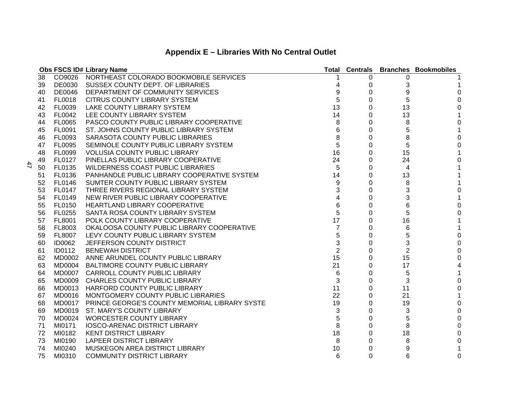| Appendix E – Libraries With No Central Outlet |  |  |  |  |  |
|-----------------------------------------------|--|--|--|--|--|
|-----------------------------------------------|--|--|--|--|--|

|    |               | <b>Obs FSCS ID# Library Name</b>                     |                |          |                | <b>Total Centrals Branches Bookmobiles</b> |
|----|---------------|------------------------------------------------------|----------------|----------|----------------|--------------------------------------------|
| 38 |               | CO9026 NORTHEAST COLORADO BOOKMOBILE SERVICES        |                | 0        | 0              |                                            |
| 39 |               | DE0030 SUSSEX COUNTY DEPT. OF LIBRARIES              |                | 0        | 3              |                                            |
| 40 | DE0046        | DEPARTMENT OF COMMUNITY SERVICES                     | 9              | 0        | 9              | 0                                          |
| 41 | <b>FL0018</b> | <b>CITRUS COUNTY LIBRARY SYSTEM</b>                  | 5              | 0        | 5              | $\Omega$                                   |
| 42 | FL0039        | LAKE COUNTY LIBRARY SYSTEM                           | 13             | 0        | 13             | 0                                          |
| 43 | FL0042        | LEE COUNTY LIBRARY SYSTEM                            | 14             | 0        | 13             | 1                                          |
| 44 | <b>FL0065</b> | PASCO COUNTY PUBLIC LIBRARY COOPERATIVE              | 8              | 0        | 8              | 0                                          |
| 45 | <b>FL0091</b> | ST. JOHNS COUNTY PUBLIC LIBRARY SYSTEM               | 6              | 0        | 5              |                                            |
| 46 | FL0093        | SARASOTA COUNTY PUBLIC LIBRARIES                     | 8              | 0        | 8              | 0                                          |
| 47 | FL0095        | SEMINOLE COUNTY PUBLIC LIBRARY SYSTEM                | 5              | $\Omega$ | 5              | $\Omega$                                   |
| 48 | FL0099        | <b>VOLUSIA COUNTY PUBLIC LIBRARY</b>                 | 16             | 0        | 15             |                                            |
| 49 | FL0127        | PINELLAS PUBLIC LIBRARY COOPERATIVE                  | 24             | 0        | 24             | $\Omega$                                   |
| 50 | FL0135        | <b>WILDERNESS COAST PUBLIC LIBRARIES</b>             | 5              | 0        | 4              |                                            |
| 51 | FL0136        | PANHANDLE PUBLIC LIBRARY COOPERATIVE SYSTEM          | 14             | 0        | 13             |                                            |
| 52 | <b>FL0146</b> | SUMTER COUNTY PUBLIC LIBRARY SYSTEM                  | 9              | 0        | 8              |                                            |
| 53 | <b>FL0147</b> | THREE RIVERS REGIONAL LIBRARY SYSTEM                 | 3              | 0        | 3              | 0                                          |
| 54 | FL0149        | NEW RIVER PUBLIC LIBRARY COOPERATIVE                 | 4              | 0        | 3              |                                            |
| 55 | FL0150        | HEARTLAND LIBRARY COOPERATIVE                        | 6              | 0        | 6              | 0                                          |
| 56 | <b>FL0255</b> | SANTA ROSA COUNTY LIBRARY SYSTEM                     | 5              | 0        | 5              | 0                                          |
| 57 | FL8001        | POLK COUNTY LIBRARY COOPERATIVE                      | 17             | 0        | 16             |                                            |
| 58 | FL8003        | OKALOOSA COUNTY PUBLIC LIBRARY COOPERATIVE           | 7              | 0        | 6              |                                            |
| 59 | FL8007        | LEVY COUNTY PUBLIC LIBRARY SYSTEM                    | 5              | $\Omega$ | 5              | 0                                          |
| 60 | <b>ID0062</b> | JEFFERSON COUNTY DISTRICT                            | 3              | 0        | 3              | 0                                          |
| 61 | <b>ID0112</b> | <b>BENEWAH DISTRICT</b>                              | $\overline{2}$ | 0        | $\overline{2}$ | $\mathbf{0}$                               |
| 62 | MD0002        | ANNE ARUNDEL COUNTY PUBLIC LIBRARY                   | 15             | 0        | 15             | 0                                          |
| 63 |               | MD0004 BALTIMORE COUNTY PUBLIC LIBRARY               | 21             | 0        | 17             | 4                                          |
| 64 |               | MD0007 CARROLL COUNTY PUBLIC LIBRARY                 | 6              | 0        | 5              | 1                                          |
| 65 |               | MD0009 CHARLES COUNTY PUBLIC LIBRARY                 | 3              | 0        | 3              | 0                                          |
| 66 |               | MD0013 HARFORD COUNTY PUBLIC LIBRARY                 | 11             | 0        | 11             | $\pmb{0}$                                  |
| 67 |               | MD0016 MONTGOMERY COUNTY PUBLIC LIBRARIES            | 22             | 0        | 21             | 1                                          |
| 68 |               | MD0017 PRINCE GEORGE'S COUNTY MEMORIAL LIBRARY SYSTE | 19             | 0        | 19             | 0                                          |
| 69 |               | MD0019 ST. MARY'S COUNTY LIBRARY                     | 3              | 0        | 3              | 0                                          |
| 70 |               | MD0024 WORCESTER COUNTY LIBRARY                      | 5              | $\Omega$ | 5              | 0                                          |
| 71 | MI0171        | <b>IOSCO-ARENAC DISTRICT LIBRARY</b>                 | 8              | 0        | 8              | 0                                          |
| 72 | MI0182        | <b>KENT DISTRICT LIBRARY</b>                         | 18             | 0        | 18             | 0                                          |
| 73 | MI0190        | <b>LAPEER DISTRICT LIBRARY</b>                       | 8              | 0        | 8              | 0                                          |
| 74 | MI0240        | MUSKEGON AREA DISTRICT LIBRARY                       | 10             | 0        | 9              |                                            |
| 75 | MI0310        | <b>COMMUNITY DISTRICT LIBRARY</b>                    | 6              | 0        | 6              | 0                                          |

47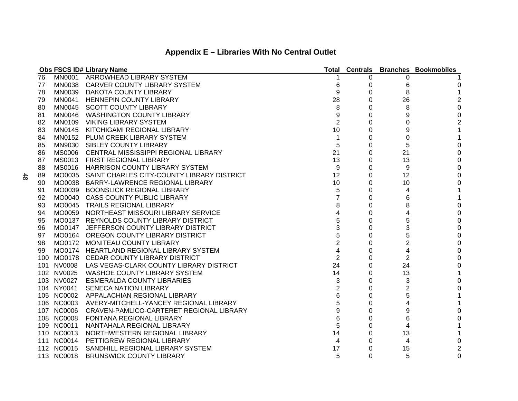|    |               | <b>Obs FSCS ID# Library Name</b>                   | Total          | <b>Centrals</b> |                | <b>Branches Bookmobiles</b> |
|----|---------------|----------------------------------------------------|----------------|-----------------|----------------|-----------------------------|
| 76 | <b>MN0001</b> | ARROWHEAD LIBRARY SYSTEM                           |                | 0               | 0              |                             |
| 77 | MN0038        | CARVER COUNTY LIBRARY SYSTEM                       | 6              | O               | 6              | 0                           |
| 78 |               | MN0039 DAKOTA COUNTY LIBRARY                       | 9              | 0               | 8              |                             |
| 79 | MN0041        | <b>HENNEPIN COUNTY LIBRARY</b>                     | 28             | 0               | 26             | $\overline{c}$              |
| 80 | MN0045        | <b>SCOTT COUNTY LIBRARY</b>                        | 8              | 0               | 8              | $\pmb{0}$                   |
| 81 | MN0046        | <b>WASHINGTON COUNTY LIBRARY</b>                   | 9              | 0               | 9              | $\pmb{0}$                   |
| 82 | MN0109        | <b>VIKING LIBRARY SYSTEM</b>                       | 2              | 0               | 0              | $\overline{\mathbf{c}}$     |
| 83 | MN0145        | KITCHIGAMI REGIONAL LIBRARY                        | 10             | 0               | 9              | $\mathbf 1$                 |
| 84 |               | MN0152 PLUM CREEK LIBRARY SYSTEM                   | 1              | 0               | 0              | 1                           |
| 85 | MN9030        | SIBLEY COUNTY LIBRARY                              | 5              | 0               | 5              | 0                           |
| 86 | MS0006        | CENTRAL MISSISSIPPI REGIONAL LIBRARY               | 21             | 0               | 21             | $\pmb{0}$                   |
| 87 | MS0013        | FIRST REGIONAL LIBRARY                             | 13             | 0               | 13             | 0                           |
| 88 | MS0016        | HARRISON COUNTY LIBRARY SYSTEM                     | 9              | 0               | 9              | 0                           |
| 89 | MO0035        | SAINT CHARLES CITY-COUNTY LIBRARY DISTRICT         | 12             | 0               | 12             | $\mathbf 0$                 |
| 90 | MO0038        | BARRY-LAWRENCE REGIONAL LIBRARY                    | 10             | 0               | 10             | $\pmb{0}$                   |
| 91 | MO0039        | <b>BOONSLICK REGIONAL LIBRARY</b>                  | 5              | 0               | 4              |                             |
| 92 |               | MO0040 CASS COUNTY PUBLIC LIBRARY                  |                | 0               | 6              |                             |
| 93 |               | MO0045 TRAILS REGIONAL LIBRARY                     | 8              | 0               | 8              | 0                           |
| 94 |               | MO0059 NORTHEAST MISSOURI LIBRARY SERVICE          |                | 0               | 4              | 0                           |
| 95 |               | MO0137 REYNOLDS COUNTY LIBRARY DISTRICT            | 5              | 0               | 5              | 0                           |
| 96 |               | MO0147 JEFFERSON COUNTY LIBRARY DISTRICT           | 3              | 0               | 3              | 0                           |
| 97 |               | MO0164 OREGON COUNTY LIBRARY DISTRICT              | 5              | 0               | 5              | 0                           |
| 98 | MO0172        | <b>MONITEAU COUNTY LIBRARY</b>                     | 2              | 0               | 2              | 0                           |
| 99 |               | MO0174 HEARTLAND REGIONAL LIBRARY SYSTEM           | 4              | 0               | 4              | 0                           |
|    |               | 100 MO0178 CEDAR COUNTY LIBRARY DISTRICT           | $\overline{2}$ | 0               | $\overline{2}$ | 0                           |
|    |               | 101 NV0008 LAS VEGAS-CLARK COUNTY LIBRARY DISTRICT | 24             | 0               | 24             | 0                           |
|    | 102 NV0025    | <b>WASHOE COUNTY LIBRARY SYSTEM</b>                | 14             | 0               | 13             | 1                           |
|    |               | 103 NV0027 ESMERALDA COUNTY LIBRARIES              | 3              | 0               | 3              | 0                           |
|    | 104 NY0041    | <b>SENECA NATION LIBRARY</b>                       | 2              | 0               | 2              | 0                           |
|    |               | 105 NC0002 APPALACHIAN REGIONAL LIBRARY            | 6              | 0               | 5              | 1                           |
|    |               | 106 NC0003 AVERY-MITCHELL-YANCEY REGIONAL LIBRARY  | 5              | 0               | 4              |                             |
|    | 107 NC0006    | CRAVEN-PAMLICO-CARTERET REGIONAL LIBRARY           | 9              | 0               | 9              | 0                           |
|    | 108 NC0008    | FONTANA REGIONAL LIBRARY                           | 6              | 0               | 6              | 0                           |
|    | 109 NC0011    | NANTAHALA REGIONAL LIBRARY                         | 5              | 0               | 4              |                             |
|    | 110 NC0013    | NORTHWESTERN REGIONAL LIBRARY                      | 14             | 0               | 13             |                             |
|    | 111 NC0014    | PETTIGREW REGIONAL LIBRARY                         | 4              | 0               | 4              | 0                           |
|    | 112 NC0015    | SANDHILL REGIONAL LIBRARY SYSTEM                   | 17             | 0               | 15             | 2                           |
|    | 113 NC0018    | <b>BRUNSWICK COUNTY LIBRARY</b>                    | 5              | $\Omega$        | 5              | $\Omega$                    |

48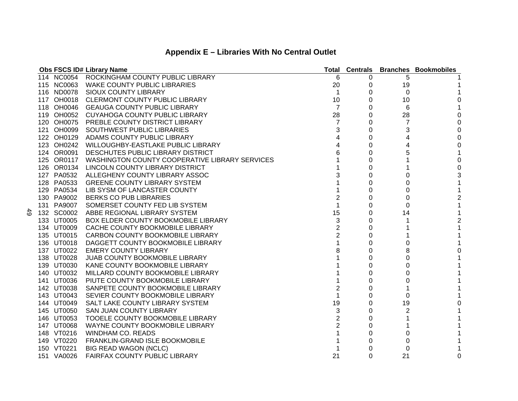|               |            | Obs FSCS ID# Library Name                                 | Total          | <b>Centrals</b> |                         | <b>Branches Bookmobiles</b> |
|---------------|------------|-----------------------------------------------------------|----------------|-----------------|-------------------------|-----------------------------|
|               |            | 114 NC0054 ROCKINGHAM COUNTY PUBLIC LIBRARY               | 6              | 0               | 5                       |                             |
|               |            | 115 NC0063 WAKE COUNTY PUBLIC LIBRARIES                   | 20             | 0               | 19                      |                             |
|               |            | 116 ND0078 SIOUX COUNTY LIBRARY                           | 1              | 0               | 0                       |                             |
|               |            | 117 OH0018 CLERMONT COUNTY PUBLIC LIBRARY                 | 10             | 0               | 10                      | 0                           |
|               |            | 118 OH0046 GEAUGA COUNTY PUBLIC LIBRARY                   | $\overline{7}$ | 0               | 6                       |                             |
|               |            | 119 OH0052 CUYAHOGA COUNTY PUBLIC LIBRARY                 | 28             | 0               | 28                      | 0                           |
|               |            | 120 OH0075 PREBLE COUNTY DISTRICT LIBRARY                 | 7              | 0               | 7                       | $\mathbf 0$                 |
|               |            | 121 OH0099 SOUTHWEST PUBLIC LIBRARIES                     | 3              | 0               | 3                       | $\mathbf 0$                 |
|               |            | 122 OH0129 ADAMS COUNTY PUBLIC LIBRARY                    | 4              | 0               | 4                       | $\mathbf 0$                 |
|               |            | 123 OH0242 WILLOUGHBY-EASTLAKE PUBLIC LIBRARY             | 4              | 0               | $\overline{\mathbf{4}}$ | 0                           |
|               |            | 124 OR0091 DESCHUTES PUBLIC LIBRARY DISTRICT              |                | $\Omega$        | 5                       |                             |
|               |            | 125 OR0117 WASHINGTON COUNTY COOPERATIVE LIBRARY SERVICES |                | 0               |                         | $\mathbf 0$                 |
|               |            | 126 OR0134 LINCOLN COUNTY LIBRARY DISTRICT                |                | 0               |                         | $\mathbf 0$                 |
|               | 127 PA0532 | ALLEGHENY COUNTY LIBRARY ASSOC                            | 3              | 0               | 0                       | 3                           |
|               | 128 PA0533 | <b>GREENE COUNTY LIBRARY SYSTEM</b>                       |                | 0               | 0                       |                             |
|               | 129 PA0534 | LIB SYSM OF LANCASTER COUNTY                              |                | 0               | 0                       | 1                           |
|               | 130 PA9002 | <b>BERKS CO PUB LIBRARIES</b>                             | $\overline{2}$ | 0               | 0                       | 2                           |
|               | 131 PA9007 | SOMERSET COUNTY FED LIB SYSTEM                            |                | 0               | 0                       | 1                           |
| $\frac{4}{9}$ | 132 SC0002 | ABBE REGIONAL LIBRARY SYSTEM                              | 15             | 0               | 14                      |                             |
|               | 133 UT0005 | <b>BOX ELDER COUNTY BOOKMOBILE LIBRARY</b>                | 3              | 0               |                         | 2                           |
|               | 134 UT0009 | CACHE COUNTY BOOKMOBILE LIBRARY                           | $\overline{2}$ | 0               |                         |                             |
|               | 135 UT0015 | CARBON COUNTY BOOKMOBILE LIBRARY                          | $\overline{2}$ | $\Omega$        |                         |                             |
|               | 136 UT0018 | DAGGETT COUNTY BOOKMOBILE LIBRARY                         |                | 0               | 0                       |                             |
|               | 137 UT0022 | <b>EMERY COUNTY LIBRARY</b>                               | 8              | 0               | 8                       | 0                           |
|               | 138 UT0028 | <b>JUAB COUNTY BOOKMOBILE LIBRARY</b>                     |                | 0               | 0                       |                             |
|               | 139 UT0030 | KANE COUNTY BOOKMOBILE LIBRARY                            |                | 0               | 0                       |                             |
|               | 140 UT0032 | MILLARD COUNTY BOOKMOBILE LIBRARY                         |                | 0               | 0                       |                             |
|               | 141 UT0036 | PIUTE COUNTY BOOKMOBILE LIBRARY                           |                | 0               | 0                       |                             |
|               | 142 UT0038 | SANPETE COUNTY BOOKMOBILE LIBRARY                         | $\overline{2}$ | 0               |                         |                             |
|               | 143 UT0043 | SEVIER COUNTY BOOKMOBILE LIBRARY                          |                | 0               | 0                       |                             |
|               | 144 UT0049 | SALT LAKE COUNTY LIBRARY SYSTEM                           | 19             | 0               | 19                      | 0                           |
|               | 145 UT0050 | <b>SAN JUAN COUNTY LIBRARY</b>                            | 3              | 0               | 2                       |                             |
|               | 146 UT0053 | <b>TOOELE COUNTY BOOKMOBILE LIBRARY</b>                   | $\overline{2}$ | $\Omega$        |                         |                             |
|               | 147 UT0068 | WAYNE COUNTY BOOKMOBILE LIBRARY                           | $\overline{2}$ | 0               |                         |                             |
|               | 148 VT0216 | <b>WINDHAM CO. READS</b>                                  |                | 0               | 0                       |                             |
|               | 149 VT0220 | <b>FRANKLIN-GRAND ISLE BOOKMOBILE</b>                     |                | 0               | 0                       |                             |
|               | 150 VT0221 | <b>BIG READ WAGON (NCLC)</b>                              |                | 0               | 0                       |                             |
|               | 151 VA0026 | <b>FAIRFAX COUNTY PUBLIC LIBRARY</b>                      | 21             | $\Omega$        | 21                      | 0                           |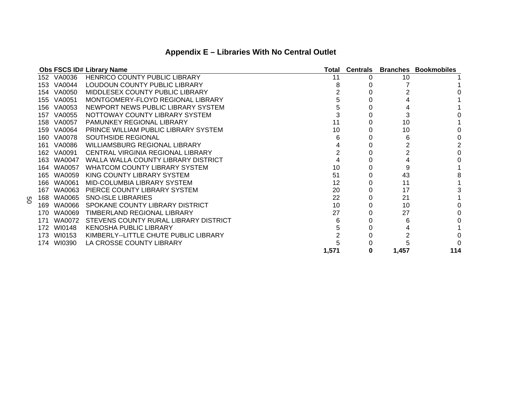|     |            | <b>Obs FSCS ID# Library Name</b>      |       | <b>Total Centrals</b> |       | <b>Branches Bookmobiles</b> |
|-----|------------|---------------------------------------|-------|-----------------------|-------|-----------------------------|
|     | 152 VA0036 | HENRICO COUNTY PUBLIC LIBRARY         | 11    |                       | 10    |                             |
|     | 153 VA0044 | LOUDOUN COUNTY PUBLIC LIBRARY         |       |                       |       |                             |
|     | 154 VA0050 | MIDDLESEX COUNTY PUBLIC LIBRARY       |       |                       |       |                             |
|     | 155 VA0051 | MONTGOMERY-FLOYD REGIONAL LIBRARY     |       |                       |       |                             |
|     | 156 VA0053 | NEWPORT NEWS PUBLIC LIBRARY SYSTEM    |       |                       |       |                             |
|     | 157 VA0055 | NOTTOWAY COUNTY LIBRARY SYSTEM        |       |                       |       |                             |
|     | 158 VA0057 | <b>PAMUNKEY REGIONAL LIBRARY</b>      | 11    |                       | 10    |                             |
|     | 159 VA0064 | PRINCE WILLIAM PUBLIC LIBRARY SYSTEM  | 10    |                       | 10    |                             |
|     | 160 VA0078 | <b>SOUTHSIDE REGIONAL</b>             |       |                       | h     |                             |
|     | 161 VA0086 | WILLIAMSBURG REGIONAL LIBRARY         |       |                       |       |                             |
|     | 162 VA0091 | CENTRAL VIRGINIA REGIONAL LIBRARY     |       |                       |       |                             |
|     | 163 WA0047 | WALLA WALLA COUNTY LIBRARY DISTRICT   |       |                       |       |                             |
|     | 164 WA0057 | WHATCOM COUNTY LIBRARY SYSTEM         | 10    |                       |       |                             |
|     | 165 WA0059 | KING COUNTY LIBRARY SYSTEM            | 51    |                       | 43    |                             |
|     | 166 WA0061 | MID-COLUMBIA LIBRARY SYSTEM           | 12    |                       | 11    |                             |
|     | 167 WA0063 | PIERCE COUNTY LIBRARY SYSTEM          | 20    |                       | 17    |                             |
| 168 | WA0065     | <b>SNO-ISLE LIBRARIES</b>             | 22    |                       | 21    |                             |
|     | 169 WA0066 | SPOKANE COUNTY LIBRARY DISTRICT       | 10    |                       | 10    |                             |
| 170 | WA0069     | TIMBERLAND REGIONAL LIBRARY           | 27    |                       | 27    |                             |
| 171 | WA0072     | STEVENS COUNTY RURAL LIBRARY DISTRICT |       |                       | 6     |                             |
| 172 | WI0148     | KENOSHA PUBLIC LIBRARY                |       |                       |       |                             |
|     | 173 WI0153 | KIMBERLY--LITTLE CHUTE PUBLIC LIBRARY |       |                       |       |                             |
|     | 174 WI0390 | LA CROSSE COUNTY LIBRARY              |       |                       |       |                             |
|     |            |                                       | 1,571 | 0                     | 1,457 | 114                         |

50

## **Appendix E – Libraries With No Central Outlet**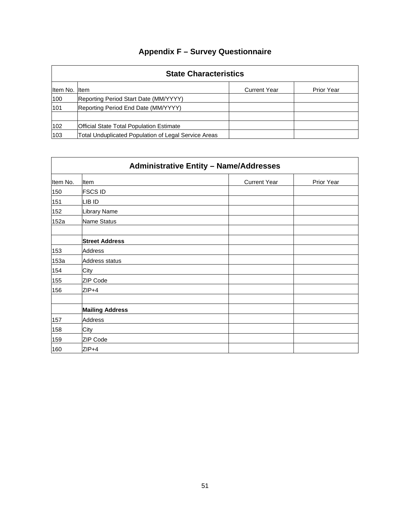|               | <b>State Characteristics</b>                         |                     |                   |  |  |  |
|---------------|------------------------------------------------------|---------------------|-------------------|--|--|--|
| Item No. Item |                                                      | <b>Current Year</b> | <b>Prior Year</b> |  |  |  |
| 100           | Reporting Period Start Date (MM/YYYY)                |                     |                   |  |  |  |
| 101           | Reporting Period End Date (MM/YYYY)                  |                     |                   |  |  |  |
| 102           | <b>Official State Total Population Estimate</b>      |                     |                   |  |  |  |
| 103           | Total Unduplicated Population of Legal Service Areas |                     |                   |  |  |  |

|          | <b>Administrative Entity - Name/Addresses</b> |                     |            |  |  |  |
|----------|-----------------------------------------------|---------------------|------------|--|--|--|
| Item No. | <b>I</b> tem                                  | <b>Current Year</b> | Prior Year |  |  |  |
| 150      | <b>FSCS ID</b>                                |                     |            |  |  |  |
| 151      | LIB ID                                        |                     |            |  |  |  |
| 152      | Library Name                                  |                     |            |  |  |  |
| 152a     | Name Status                                   |                     |            |  |  |  |
|          | <b>Street Address</b>                         |                     |            |  |  |  |
| 153      | <b>Address</b>                                |                     |            |  |  |  |
| 153a     | Address status                                |                     |            |  |  |  |
| 154      | City                                          |                     |            |  |  |  |
| 155      | ZIP Code                                      |                     |            |  |  |  |
| 156      | $ZIP+4$                                       |                     |            |  |  |  |
|          |                                               |                     |            |  |  |  |
|          | <b>Mailing Address</b>                        |                     |            |  |  |  |
| 157      | Address                                       |                     |            |  |  |  |
| 158      | City                                          |                     |            |  |  |  |
| 159      | ZIP Code                                      |                     |            |  |  |  |
| 160      | $ZIP+4$                                       |                     |            |  |  |  |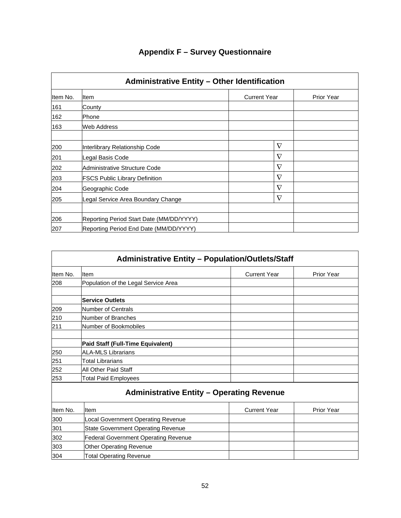| <b>Administrative Entity - Other Identification</b> |                                          |                     |                   |  |  |  |
|-----------------------------------------------------|------------------------------------------|---------------------|-------------------|--|--|--|
| Item No.                                            | <b>I</b> tem                             | <b>Current Year</b> | <b>Prior Year</b> |  |  |  |
| 161                                                 | County                                   |                     |                   |  |  |  |
| 162                                                 | lPhone.                                  |                     |                   |  |  |  |
| 163                                                 | Web Address                              |                     |                   |  |  |  |
| 200                                                 | Interlibrary Relationship Code           | $\nabla$            |                   |  |  |  |
| 201                                                 | Legal Basis Code                         | $\nabla$            |                   |  |  |  |
| 202                                                 | Administrative Structure Code            | $\nabla$            |                   |  |  |  |
| 203                                                 | <b>FSCS Public Library Definition</b>    | $\nabla$            |                   |  |  |  |
| 204                                                 | Geographic Code                          | $\nabla$            |                   |  |  |  |
| 205                                                 | Legal Service Area Boundary Change       | $\nabla$            |                   |  |  |  |
| 206                                                 | Reporting Period Start Date (MM/DD/YYYY) |                     |                   |  |  |  |
| 207                                                 | Reporting Period End Date (MM/DD/YYYY)   |                     |                   |  |  |  |

|          | <b>Administrative Entity - Population/Outlets/Staff</b> |                     |            |  |
|----------|---------------------------------------------------------|---------------------|------------|--|
| Item No. | Item                                                    | <b>Current Year</b> | Prior Year |  |
| 208      | Population of the Legal Service Area                    |                     |            |  |
|          | <b>Service Outlets</b>                                  |                     |            |  |
| 209      | Number of Centrals                                      |                     |            |  |
| 210      | Number of Branches                                      |                     |            |  |
| 211      | Number of Bookmobiles                                   |                     |            |  |
|          | Paid Staff (Full-Time Equivalent)                       |                     |            |  |
| 250      | <b>ALA-MLS Librarians</b>                               |                     |            |  |
| 251      | Total Librarians                                        |                     |            |  |
| 252      | All Other Paid Staff                                    |                     |            |  |
| 253      | <b>Total Paid Employees</b>                             |                     |            |  |
|          | <b>Administrative Entity - Operating Revenue</b>        |                     |            |  |
| Item No. | Item                                                    | <b>Current Year</b> | Prior Year |  |
| 300      | Local Government Operating Revenue                      |                     |            |  |
| 301      | <b>State Government Operating Revenue</b>               |                     |            |  |
| 302      | <b>Federal Government Operating Revenue</b>             |                     |            |  |
| 303      | <b>Other Operating Revenue</b>                          |                     |            |  |
| 304      | <b>Total Operating Revenue</b>                          |                     |            |  |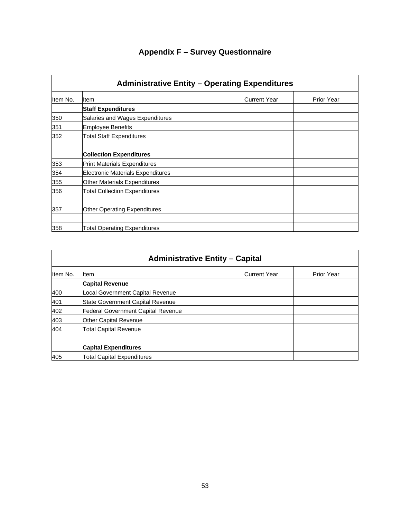| <b>Administrative Entity - Operating Expenditures</b> |                                          |                     |            |
|-------------------------------------------------------|------------------------------------------|---------------------|------------|
| Item No.                                              | ltem                                     | <b>Current Year</b> | Prior Year |
|                                                       | <b>Staff Expenditures</b>                |                     |            |
| 350                                                   | Salaries and Wages Expenditures          |                     |            |
| 351                                                   | <b>Employee Benefits</b>                 |                     |            |
| 352                                                   | <b>Total Staff Expenditures</b>          |                     |            |
|                                                       | <b>Collection Expenditures</b>           |                     |            |
| 353                                                   | <b>Print Materials Expenditures</b>      |                     |            |
| 354                                                   | <b>Electronic Materials Expenditures</b> |                     |            |
| 355                                                   | Other Materials Expenditures             |                     |            |
| 356                                                   | <b>Total Collection Expenditures</b>     |                     |            |
| 357                                                   | Other Operating Expenditures             |                     |            |
|                                                       |                                          |                     |            |
| 358                                                   | <b>Total Operating Expenditures</b>      |                     |            |

|          | <b>Administrative Entity - Capital</b>    |                     |                   |
|----------|-------------------------------------------|---------------------|-------------------|
| Item No. | lltem                                     | <b>Current Year</b> | <b>Prior Year</b> |
|          | <b>Capital Revenue</b>                    |                     |                   |
| 400      | Local Government Capital Revenue          |                     |                   |
| 401      | State Government Capital Revenue          |                     |                   |
| 402      | <b>Federal Government Capital Revenue</b> |                     |                   |
| 403      | <b>Other Capital Revenue</b>              |                     |                   |
| 404      | <b>Total Capital Revenue</b>              |                     |                   |
|          | <b>Capital Expenditures</b>               |                     |                   |
| 405      | <b>Total Capital Expenditures</b>         |                     |                   |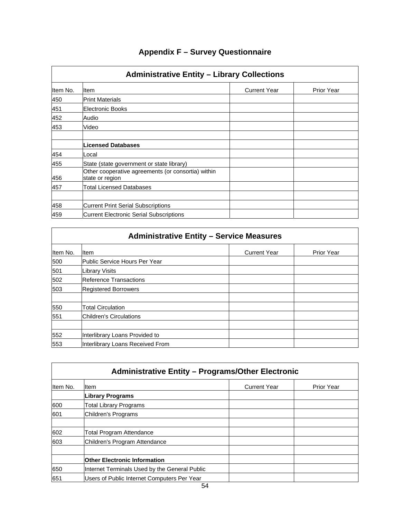|          | <b>Administrative Entity - Library Collections</b>                    |                     |                   |
|----------|-----------------------------------------------------------------------|---------------------|-------------------|
| Item No. | Item                                                                  | <b>Current Year</b> | <b>Prior Year</b> |
| 450      | <b>Print Materials</b>                                                |                     |                   |
| 451      | <b>Electronic Books</b>                                               |                     |                   |
| 452      | Audio                                                                 |                     |                   |
| 453      | Video                                                                 |                     |                   |
|          | <b>Licensed Databases</b>                                             |                     |                   |
| 454      | Local                                                                 |                     |                   |
| 455      | State (state government or state library)                             |                     |                   |
| 456      | Other cooperative agreements (or consortia) within<br>state or region |                     |                   |
| 457      | Total Licensed Databases                                              |                     |                   |
|          |                                                                       |                     |                   |
| 458      | <b>Current Print Serial Subscriptions</b>                             |                     |                   |
| 459      | <b>Current Electronic Serial Subscriptions</b>                        |                     |                   |

| <b>Administrative Entity - Service Measures</b> |                                  |                     |                   |
|-------------------------------------------------|----------------------------------|---------------------|-------------------|
| Item No.                                        | <b>I</b> tem                     | <b>Current Year</b> | <b>Prior Year</b> |
| 500                                             | Public Service Hours Per Year    |                     |                   |
| 501                                             | <b>Library Visits</b>            |                     |                   |
| 502                                             | <b>Reference Transactions</b>    |                     |                   |
| 503                                             | <b>Registered Borrowers</b>      |                     |                   |
| 550                                             | <b>Total Circulation</b>         |                     |                   |
| 551                                             | <b>IChildren's Circulations</b>  |                     |                   |
|                                                 |                                  |                     |                   |
| 552                                             | Interlibrary Loans Provided to   |                     |                   |
| 553                                             | Interlibrary Loans Received From |                     |                   |

|          | <b>Administrative Entity - Programs/Other Electronic</b> |                     |                   |  |
|----------|----------------------------------------------------------|---------------------|-------------------|--|
| Item No. | Item                                                     | <b>Current Year</b> | <b>Prior Year</b> |  |
|          | Library Programs                                         |                     |                   |  |
| 600      | Total Library Programs                                   |                     |                   |  |
| 601      | <b>Children's Programs</b>                               |                     |                   |  |
|          |                                                          |                     |                   |  |
| 602      | <b>Total Program Attendance</b>                          |                     |                   |  |
| 603      | Children's Program Attendance                            |                     |                   |  |
|          | <b>Other Electronic Information</b>                      |                     |                   |  |
| 650      | Internet Terminals Used by the General Public            |                     |                   |  |
| 651      | Users of Public Internet Computers Per Year              |                     |                   |  |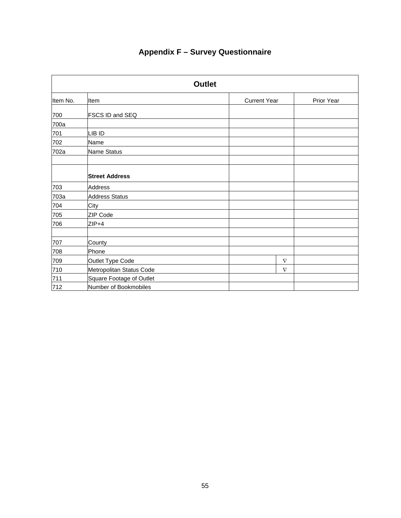| <b>Outlet</b> |                          |                     |            |
|---------------|--------------------------|---------------------|------------|
| Item No.      | Item                     | <b>Current Year</b> | Prior Year |
| 700           | <b>FSCS ID and SEQ</b>   |                     |            |
| 700a          |                          |                     |            |
| 701           | LIB ID                   |                     |            |
| 702           | Name                     |                     |            |
| 702a          | Name Status              |                     |            |
|               | <b>Street Address</b>    |                     |            |
| 703           | <b>Address</b>           |                     |            |
| 703a          | <b>Address Status</b>    |                     |            |
| 704           | City                     |                     |            |
| 705           | ZIP Code                 |                     |            |
| 706           | $ZIP+4$                  |                     |            |
| 707           | County                   |                     |            |
| 708           | Phone                    |                     |            |
| 709           | Outlet Type Code         | $\nabla$            |            |
| 710           | Metropolitan Status Code | $\nabla$            |            |
| 711           | Square Footage of Outlet |                     |            |
| 712           | Number of Bookmobiles    |                     |            |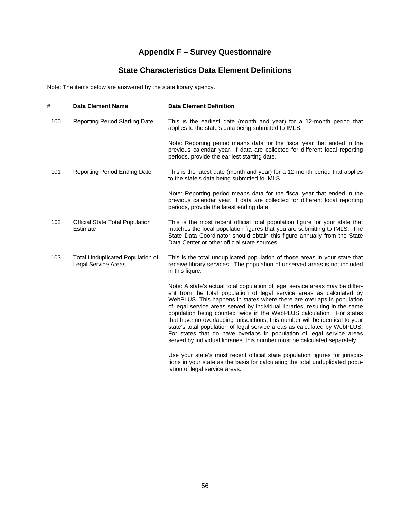## **State Characteristics Data Element Definitions**

Note: The items below are answered by the state library agency.

| #   | <b>Data Element Name</b>                                       | <b>Data Element Definition</b>                                                                                                                                                                                                                                                                                                                                                                                                                                                                                                                                                                                                                                                                                 |
|-----|----------------------------------------------------------------|----------------------------------------------------------------------------------------------------------------------------------------------------------------------------------------------------------------------------------------------------------------------------------------------------------------------------------------------------------------------------------------------------------------------------------------------------------------------------------------------------------------------------------------------------------------------------------------------------------------------------------------------------------------------------------------------------------------|
| 100 | <b>Reporting Period Starting Date</b>                          | This is the earliest date (month and year) for a 12-month period that<br>applies to the state's data being submitted to IMLS.                                                                                                                                                                                                                                                                                                                                                                                                                                                                                                                                                                                  |
|     |                                                                | Note: Reporting period means data for the fiscal year that ended in the<br>previous calendar year. If data are collected for different local reporting<br>periods, provide the earliest starting date.                                                                                                                                                                                                                                                                                                                                                                                                                                                                                                         |
| 101 | <b>Reporting Period Ending Date</b>                            | This is the latest date (month and year) for a 12-month period that applies<br>to the state's data being submitted to IMLS.                                                                                                                                                                                                                                                                                                                                                                                                                                                                                                                                                                                    |
|     |                                                                | Note: Reporting period means data for the fiscal year that ended in the<br>previous calendar year. If data are collected for different local reporting<br>periods, provide the latest ending date.                                                                                                                                                                                                                                                                                                                                                                                                                                                                                                             |
| 102 | <b>Official State Total Population</b><br>Estimate             | This is the most recent official total population figure for your state that<br>matches the local population figures that you are submitting to IMLS. The<br>State Data Coordinator should obtain this figure annually from the State<br>Data Center or other official state sources.                                                                                                                                                                                                                                                                                                                                                                                                                          |
| 103 | <b>Total Unduplicated Population of</b><br>Legal Service Areas | This is the total unduplicated population of those areas in your state that<br>receive library services. The population of unserved areas is not included<br>in this figure.                                                                                                                                                                                                                                                                                                                                                                                                                                                                                                                                   |
|     |                                                                | Note: A state's actual total population of legal service areas may be differ-<br>ent from the total population of legal service areas as calculated by<br>WebPLUS. This happens in states where there are overlaps in population<br>of legal service areas served by individual libraries, resulting in the same<br>population being counted twice in the WebPLUS calculation. For states<br>that have no overlapping jurisdictions, this number will be identical to your<br>state's total population of legal service areas as calculated by WebPLUS.<br>For states that do have overlaps in population of legal service areas<br>served by individual libraries, this number must be calculated separately. |
|     |                                                                | Use your state's most recent official state population figures for jurisdic-<br>tions in your state as the basis for calculating the total unduplicated popu-                                                                                                                                                                                                                                                                                                                                                                                                                                                                                                                                                  |

lation of legal service areas.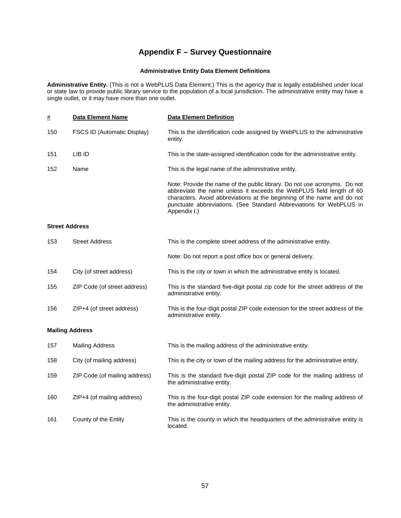### **Administrative Entity Data Element Definitions**

**Administrative Entity.** (This is not a WebPLUS Data Element.) This is the agency that is legally established under local or state law to provide public library service to the population of a local jurisdiction. The administrative entity may have a single outlet, or it may have more than one outlet.

| $\#$                  | <b>Data Element Name</b>           | <b>Data Element Definition</b>                                                                                                                                                                                                                                                                                      |
|-----------------------|------------------------------------|---------------------------------------------------------------------------------------------------------------------------------------------------------------------------------------------------------------------------------------------------------------------------------------------------------------------|
| 150                   | <b>FSCS ID (Automatic Display)</b> | This is the identification code assigned by WebPLUS to the administrative<br>entity.                                                                                                                                                                                                                                |
| 151                   | LIB ID                             | This is the state-assigned identification code for the administrative entity.                                                                                                                                                                                                                                       |
| 152                   | Name                               | This is the legal name of the administrative entity.                                                                                                                                                                                                                                                                |
|                       |                                    | Note: Provide the name of the public library. Do not use acronyms. Do not<br>abbreviate the name unless it exceeds the WebPLUS field length of 60<br>characters. Avoid abbreviations at the beginning of the name and do not<br>punctuate abbreviations. (See Standard Abbreviations for WebPLUS in<br>Appendix I.) |
| <b>Street Address</b> |                                    |                                                                                                                                                                                                                                                                                                                     |
| 153                   | <b>Street Address</b>              | This is the complete street address of the administrative entity.                                                                                                                                                                                                                                                   |
|                       |                                    | Note: Do not report a post office box or general delivery.                                                                                                                                                                                                                                                          |
| 154                   | City (of street address)           | This is the city or town in which the administrative entity is located.                                                                                                                                                                                                                                             |
| 155                   | ZIP Code (of street address)       | This is the standard five-digit postal zip code for the street address of the<br>administrative entity.                                                                                                                                                                                                             |
| 156                   | ZIP+4 (of street address)          | This is the four-digit postal ZIP code extension for the street address of the<br>administrative entity.                                                                                                                                                                                                            |
|                       | <b>Mailing Address</b>             |                                                                                                                                                                                                                                                                                                                     |
| 157                   | <b>Mailing Address</b>             | This is the mailing address of the administrative entity.                                                                                                                                                                                                                                                           |
| 158                   | City (of mailing address)          | This is the city or town of the mailing address for the administrative entity.                                                                                                                                                                                                                                      |
| 159                   | ZIP Code (of mailing address)      | This is the standard five-digit postal ZIP code for the mailing address of<br>the administrative entity.                                                                                                                                                                                                            |
| 160                   | ZIP+4 (of mailing address)         | This is the four-digit postal ZIP code extension for the mailing address of<br>the administrative entity.                                                                                                                                                                                                           |
| 161                   | County of the Entity               | This is the county in which the headquarters of the administrative entity is<br>located.                                                                                                                                                                                                                            |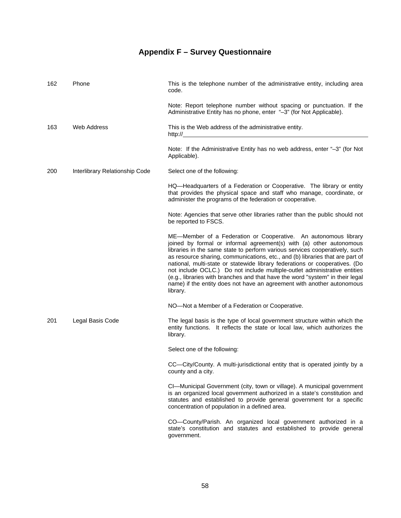| 162 | Phone                          | This is the telephone number of the administrative entity, including area<br>code.                                                                                                                                                                                                                                                                                                                                                                                                                                                                                                                                                        |
|-----|--------------------------------|-------------------------------------------------------------------------------------------------------------------------------------------------------------------------------------------------------------------------------------------------------------------------------------------------------------------------------------------------------------------------------------------------------------------------------------------------------------------------------------------------------------------------------------------------------------------------------------------------------------------------------------------|
|     |                                | Note: Report telephone number without spacing or punctuation. If the<br>Administrative Entity has no phone, enter "-3" (for Not Applicable).                                                                                                                                                                                                                                                                                                                                                                                                                                                                                              |
| 163 | Web Address                    | This is the Web address of the administrative entity.                                                                                                                                                                                                                                                                                                                                                                                                                                                                                                                                                                                     |
|     |                                | Note: If the Administrative Entity has no web address, enter "-3" (for Not<br>Applicable).                                                                                                                                                                                                                                                                                                                                                                                                                                                                                                                                                |
| 200 | Interlibrary Relationship Code | Select one of the following:                                                                                                                                                                                                                                                                                                                                                                                                                                                                                                                                                                                                              |
|     |                                | HQ—Headquarters of a Federation or Cooperative. The library or entity<br>that provides the physical space and staff who manage, coordinate, or<br>administer the programs of the federation or cooperative.                                                                                                                                                                                                                                                                                                                                                                                                                               |
|     |                                | Note: Agencies that serve other libraries rather than the public should not<br>be reported to FSCS.                                                                                                                                                                                                                                                                                                                                                                                                                                                                                                                                       |
|     |                                | ME-Member of a Federation or Cooperative. An autonomous library<br>joined by formal or informal agreement(s) with (a) other autonomous<br>libraries in the same state to perform various services cooperatively, such<br>as resource sharing, communications, etc., and (b) libraries that are part of<br>national, multi-state or statewide library federations or cooperatives. (Do<br>not include OCLC.) Do not include multiple-outlet administrative entities<br>(e.g., libraries with branches and that have the word "system" in their legal<br>name) if the entity does not have an agreement with another autonomous<br>library. |
|     |                                | NO-Not a Member of a Federation or Cooperative.                                                                                                                                                                                                                                                                                                                                                                                                                                                                                                                                                                                           |
| 201 | Legal Basis Code               | The legal basis is the type of local government structure within which the<br>entity functions. It reflects the state or local law, which authorizes the<br>library.                                                                                                                                                                                                                                                                                                                                                                                                                                                                      |
|     |                                | Select one of the following:                                                                                                                                                                                                                                                                                                                                                                                                                                                                                                                                                                                                              |
|     |                                | CC—City/County. A multi-jurisdictional entity that is operated jointly by a<br>county and a city.                                                                                                                                                                                                                                                                                                                                                                                                                                                                                                                                         |
|     |                                | CI-Municipal Government (city, town or village). A municipal government<br>is an organized local government authorized in a state's constitution and<br>statutes and established to provide general government for a specific<br>concentration of population in a defined area.                                                                                                                                                                                                                                                                                                                                                           |
|     |                                | CO-County/Parish. An organized local government authorized in a<br>state's constitution and statutes and established to provide general<br>government.                                                                                                                                                                                                                                                                                                                                                                                                                                                                                    |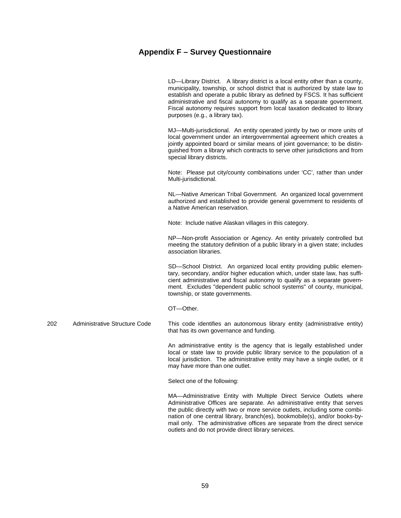LD—Library District. A library district is a local entity other than a county, municipality, township, or school district that is authorized by state law to establish and operate a public library as defined by FSCS. It has sufficient administrative and fiscal autonomy to qualify as a separate government. Fiscal autonomy requires support from local taxation dedicated to library purposes (e.g., a library tax).

 MJ—Multi-jurisdictional. An entity operated jointly by two or more units of local government under an intergovernmental agreement which creates a jointly appointed board or similar means of joint governance; to be distinguished from a library which contracts to serve other jurisdictions and from special library districts.

 Note: Please put city/county combinations under 'CC', rather than under Multi-jurisdictional.

 NL—Native American Tribal Government. An organized local government authorized and established to provide general government to residents of a Native American reservation.

Note: Include native Alaskan villages in this category.

 NP—Non-profit Association or Agency. An entity privately controlled but meeting the statutory definition of a public library in a given state; includes association libraries.

 SD—School District. An organized local entity providing public elementary, secondary, and/or higher education which, under state law, has sufficient administrative and fiscal autonomy to qualify as a separate government. Excludes "dependent public school systems" of county, municipal, township, or state governments.

OT—Other.

202 Administrative Structure Code This code identifies an autonomous library entity (administrative entity) that has its own governance and funding.

> An administrative entity is the agency that is legally established under local or state law to provide public library service to the population of a local jurisdiction. The administrative entity may have a single outlet, or it may have more than one outlet.

Select one of the following:

 MA—Administrative Entity with Multiple Direct Service Outlets where Administrative Offices are separate. An administrative entity that serves the public directly with two or more service outlets, including some combination of one central library, branch(es), bookmobile(s), and/or books-bymail only. The administrative offices are separate from the direct service outlets and do not provide direct library services.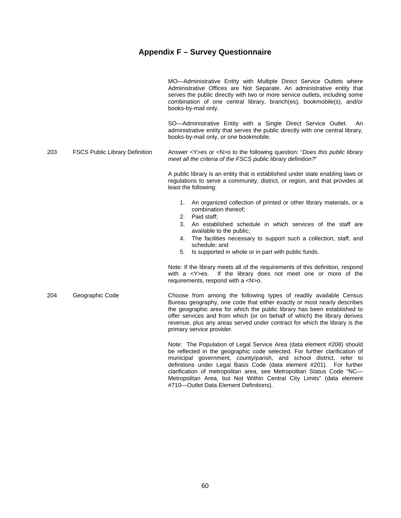|     |                                       | MO-Administrative Entity with Multiple Direct Service Outlets where<br>Administrative Offices are Not Separate. An administrative entity that<br>serves the public directly with two or more service outlets, including some<br>combination of one central library, branch(es), bookmobile(s), and/or<br>books-by-mail only.                                                                                     |
|-----|---------------------------------------|------------------------------------------------------------------------------------------------------------------------------------------------------------------------------------------------------------------------------------------------------------------------------------------------------------------------------------------------------------------------------------------------------------------|
|     |                                       | SO-Administrative Entity with a Single Direct Service Outlet.<br>An<br>administrative entity that serves the public directly with one central library,<br>books-by-mail only, or one bookmobile.                                                                                                                                                                                                                 |
| 203 | <b>FSCS Public Library Definition</b> | Answer $\langle Y \rangle$ es or $\langle N \rangle$ to the following question: "Does this public library<br>meet all the criteria of the FSCS public library definition?"                                                                                                                                                                                                                                       |
|     |                                       | A public library is an entity that is established under state enabling laws or<br>regulations to serve a community, district, or region, and that provides at<br>least the following:                                                                                                                                                                                                                            |
|     |                                       | An organized collection of printed or other library materials, or a<br>1.<br>combination thereof;<br>Paid staff;<br>2.<br>3.<br>An established schedule in which services of the staff are<br>available to the public;<br>The facilities necessary to support such a collection, staff, and<br>4.<br>schedule; and<br>5.<br>Is supported in whole or in part with public funds.                                  |
|     |                                       | Note: If the library meets all of the requirements of this definition, respond<br>If the library does not meet one or more of the<br>with $a \leq Y \geq e s$ .<br>requirements, respond with a <n>o.</n>                                                                                                                                                                                                        |
| 204 | Geographic Code                       | Choose from among the following types of readily available Census<br>Bureau geography, one code that either exactly or most nearly describes<br>the geographic area for which the public library has been established to<br>offer services and from which (or on behalf of which) the library derives<br>revenue, plus any areas served under contract for which the library is the<br>primary service provider. |
|     |                                       | Note: The Population of Legal Service Area (data element #208) should<br>be reflected in the geographic code selected. For further clarification of<br>municipal government, county/parish, and school district, refer to                                                                                                                                                                                        |

definitions under Legal Basis Code (data element #201). For further clarification of metropolitan area, see Metropolitan Status Code "NC— Metropolitan Area, but Not Within Central City Limits" (data element #710—Outlet Data Element Definitions).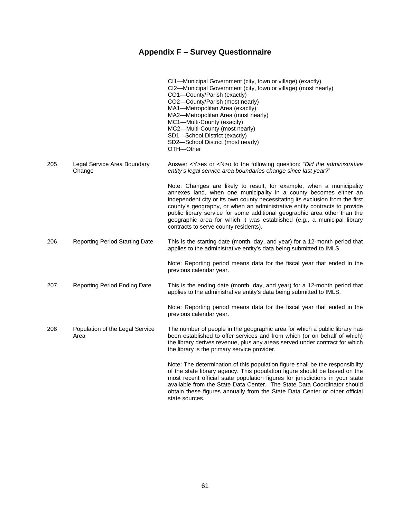|     |                                         | CI1-Municipal Government (city, town or village) (exactly)<br>CI2-Municipal Government (city, town or village) (most nearly)<br>CO1-County/Parish (exactly)<br>CO2-County/Parish (most nearly)<br>MA1-Metropolitan Area (exactly)<br>MA2-Metropolitan Area (most nearly)<br>MC1-Multi-County (exactly)<br>MC2-Multi-County (most nearly)<br>SD1-School District (exactly)<br>SD2-School District (most nearly)<br>OTH-Other                                                                              |
|-----|-----------------------------------------|----------------------------------------------------------------------------------------------------------------------------------------------------------------------------------------------------------------------------------------------------------------------------------------------------------------------------------------------------------------------------------------------------------------------------------------------------------------------------------------------------------|
| 205 | Legal Service Area Boundary<br>Change   | Answer <y>es or <n>o to the following question: "Did the administrative<br/>entity's legal service area boundaries change since last year?"</n></y>                                                                                                                                                                                                                                                                                                                                                      |
|     |                                         | Note: Changes are likely to result, for example, when a municipality<br>annexes land, when one municipality in a county becomes either an<br>independent city or its own county necessitating its exclusion from the first<br>county's geography, or when an administrative entity contracts to provide<br>public library service for some additional geographic area other than the<br>geographic area for which it was established (e.g., a municipal library<br>contracts to serve county residents). |
| 206 | <b>Reporting Period Starting Date</b>   | This is the starting date (month, day, and year) for a 12-month period that<br>applies to the administrative entity's data being submitted to IMLS.                                                                                                                                                                                                                                                                                                                                                      |
|     |                                         | Note: Reporting period means data for the fiscal year that ended in the<br>previous calendar year.                                                                                                                                                                                                                                                                                                                                                                                                       |
| 207 | <b>Reporting Period Ending Date</b>     | This is the ending date (month, day, and year) for a 12-month period that<br>applies to the administrative entity's data being submitted to IMLS.                                                                                                                                                                                                                                                                                                                                                        |
|     |                                         | Note: Reporting period means data for the fiscal year that ended in the<br>previous calendar year.                                                                                                                                                                                                                                                                                                                                                                                                       |
| 208 | Population of the Legal Service<br>Area | The number of people in the geographic area for which a public library has<br>been established to offer services and from which (or on behalf of which)<br>the library derives revenue, plus any areas served under contract for which<br>the library is the primary service provider.                                                                                                                                                                                                                   |
|     |                                         | Note: The determination of this population figure shall be the responsibility<br>of the state library agency. This population figure should be based on the<br>most recent official state population figures for jurisdictions in your state<br>available from the State Data Center. The State Data Coordinator should<br>obtain these figures annually from the State Data Center or other official<br>state sources.                                                                                  |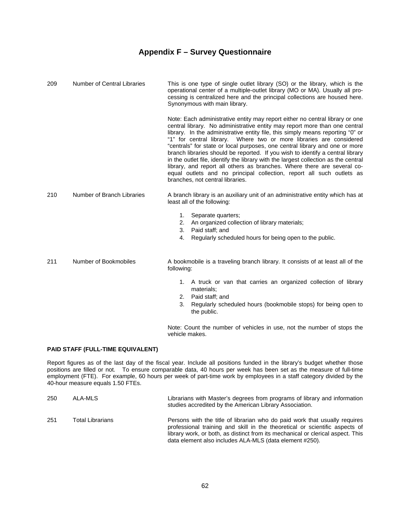| 209 | Number of Central Libraries | This is one type of single outlet library (SO) or the library, which is the<br>operational center of a multiple-outlet library (MO or MA). Usually all pro-<br>cessing is centralized here and the principal collections are housed here.<br>Synonymous with main library.                                                                                                                                                                                                                                                                                                                                                                                                                                                                                          |
|-----|-----------------------------|---------------------------------------------------------------------------------------------------------------------------------------------------------------------------------------------------------------------------------------------------------------------------------------------------------------------------------------------------------------------------------------------------------------------------------------------------------------------------------------------------------------------------------------------------------------------------------------------------------------------------------------------------------------------------------------------------------------------------------------------------------------------|
|     |                             | Note: Each administrative entity may report either no central library or one<br>central library. No administrative entity may report more than one central<br>library. In the administrative entity file, this simply means reporting "0" or<br>"1" for central library. Where two or more libraries are considered<br>"centrals" for state or local purposes, one central library and one or more<br>branch libraries should be reported. If you wish to identify a central library<br>in the outlet file, identify the library with the largest collection as the central<br>library, and report all others as branches. Where there are several co-<br>equal outlets and no principal collection, report all such outlets as<br>branches, not central libraries. |
| 210 | Number of Branch Libraries  | A branch library is an auxiliary unit of an administrative entity which has at<br>least all of the following:                                                                                                                                                                                                                                                                                                                                                                                                                                                                                                                                                                                                                                                       |
|     |                             | 1.<br>Separate quarters;<br>An organized collection of library materials;<br>2.<br>Paid staff; and<br>3.<br>Regularly scheduled hours for being open to the public.<br>4.                                                                                                                                                                                                                                                                                                                                                                                                                                                                                                                                                                                           |
| 211 | Number of Bookmobiles       | A bookmobile is a traveling branch library. It consists of at least all of the<br>following:                                                                                                                                                                                                                                                                                                                                                                                                                                                                                                                                                                                                                                                                        |

- 1. A truck or van that carries an organized collection of library materials;
- 2. Paid staff; and
- 3. Regularly scheduled hours (bookmobile stops) for being open to the public.

 Note: Count the number of vehicles in use, not the number of stops the vehicle makes.

### **PAID STAFF (FULL-TIME EQUIVALENT)**

Report figures as of the last day of the fiscal year. Include all positions funded in the library's budget whether those positions are filled or not. To ensure comparable data, 40 hours per week has been set as the measure of full-time employment (FTE). For example, 60 hours per week of part-time work by employees in a staff category divided by the 40-hour measure equals 1.50 FTEs.

| 250 | ALA-MLS          | Librarians with Master's degrees from programs of library and information<br>studies accredited by the American Library Association.                                                                                                                                                                    |
|-----|------------------|---------------------------------------------------------------------------------------------------------------------------------------------------------------------------------------------------------------------------------------------------------------------------------------------------------|
| 251 | Total Librarians | Persons with the title of librarian who do paid work that usually requires<br>professional training and skill in the theoretical or scientific aspects of<br>library work, or both, as distinct from its mechanical or clerical aspect. This<br>data element also includes ALA-MLS (data element #250). |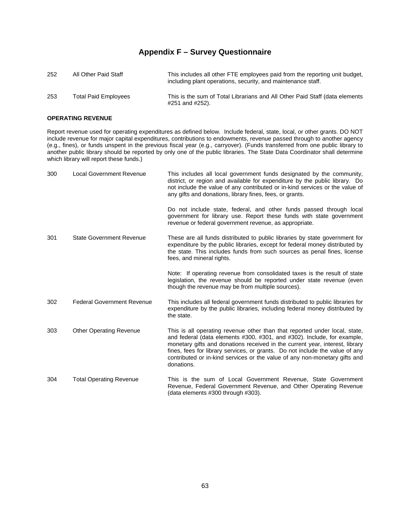| 252 | All Other Paid Staff        | This includes all other FTE employees paid from the reporting unit budget,<br>including plant operations, security, and maintenance staff. |
|-----|-----------------------------|--------------------------------------------------------------------------------------------------------------------------------------------|
| 253 | <b>Total Paid Employees</b> | This is the sum of Total Librarians and All Other Paid Staff (data elements<br>#251 and #252).                                             |

### **OPERATING REVENUE**

Report revenue used for operating expenditures as defined below. Include federal, state, local, or other grants. DO NOT include revenue for major capital expenditures, contributions to endowments, revenue passed through to another agency (e.g., fines), or funds unspent in the previous fiscal year (e.g., carryover). (Funds transferred from one public library to another public library should be reported by only one of the public libraries. The State Data Coordinator shall determine which library will report these funds.)

| 300 | <b>Local Government Revenue</b>   | This includes all local government funds designated by the community,<br>district, or region and available for expenditure by the public library. Do<br>not include the value of any contributed or in-kind services or the value of<br>any gifts and donations, library fines, fees, or grants.                                                                                                                  |
|-----|-----------------------------------|-------------------------------------------------------------------------------------------------------------------------------------------------------------------------------------------------------------------------------------------------------------------------------------------------------------------------------------------------------------------------------------------------------------------|
|     |                                   | Do not include state, federal, and other funds passed through local<br>government for library use. Report these funds with state government<br>revenue or federal government revenue, as appropriate.                                                                                                                                                                                                             |
| 301 | <b>State Government Revenue</b>   | These are all funds distributed to public libraries by state government for<br>expenditure by the public libraries, except for federal money distributed by<br>the state. This includes funds from such sources as penal fines, license<br>fees, and mineral rights.                                                                                                                                              |
|     |                                   | Note: If operating revenue from consolidated taxes is the result of state<br>legislation, the revenue should be reported under state revenue (even<br>though the revenue may be from multiple sources).                                                                                                                                                                                                           |
| 302 | <b>Federal Government Revenue</b> | This includes all federal government funds distributed to public libraries for<br>expenditure by the public libraries, including federal money distributed by<br>the state.                                                                                                                                                                                                                                       |
| 303 | <b>Other Operating Revenue</b>    | This is all operating revenue other than that reported under local, state,<br>and federal (data elements #300, #301, and #302). Include, for example,<br>monetary gifts and donations received in the current year, interest, library<br>fines, fees for library services, or grants. Do not include the value of any<br>contributed or in-kind services or the value of any non-monetary gifts and<br>donations. |
| 304 | <b>Total Operating Revenue</b>    | This is the sum of Local Government Revenue, State Government<br>Revenue, Federal Government Revenue, and Other Operating Revenue<br>(data elements #300 through #303).                                                                                                                                                                                                                                           |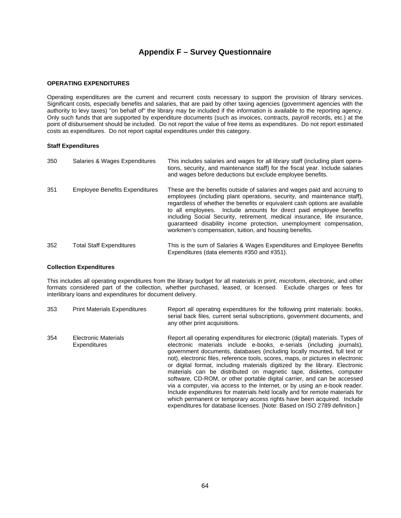### **OPERATING EXPENDITURES**

Operating expenditures are the current and recurrent costs necessary to support the provision of library services. Significant costs, especially benefits and salaries, that are paid by other taxing agencies (government agencies with the authority to levy taxes) "on behalf of" the library may be included if the information is available to the reporting agency. Only such funds that are supported by expenditure documents (such as invoices, contracts, payroll records, etc.) at the point of disbursement should be included. Do not report the value of free items as expenditures. Do not report estimated costs as expenditures. Do not report capital expenditures under this category.

#### **Staff Expenditures**

| 350 | Salaries & Wages Expenditures         | This includes salaries and wages for all library staff (including plant opera-<br>tions, security, and maintenance staff) for the fiscal year. Include salaries<br>and wages before deductions but exclude employee benefits.                                                                                                                                                                                                                                                                                             |
|-----|---------------------------------------|---------------------------------------------------------------------------------------------------------------------------------------------------------------------------------------------------------------------------------------------------------------------------------------------------------------------------------------------------------------------------------------------------------------------------------------------------------------------------------------------------------------------------|
| 351 | <b>Employee Benefits Expenditures</b> | These are the benefits outside of salaries and wages paid and accruing to<br>employees (including plant operations, security, and maintenance staff),<br>regardless of whether the benefits or equivalent cash options are available<br>to all employees. Include amounts for direct paid employee benefits<br>including Social Security, retirement, medical insurance, life insurance,<br>quaranteed disability income protection, unemployment compensation,<br>workmen's compensation, tuition, and housing benefits. |
| 352 | <b>Total Staff Expenditures</b>       | This is the sum of Salaries & Wages Expenditures and Employee Benefits<br>Expenditures (data elements #350 and #351).                                                                                                                                                                                                                                                                                                                                                                                                     |

#### **Collection Expenditures**

This includes all operating expenditures from the library budget for all materials in print, microform, electronic, and other formats considered part of the collection, whether purchased, leased, or licensed. Exclude charges or fees for interlibrary loans and expenditures for document delivery.

| 353 | <b>Print Materials Expenditures</b>  | Report all operating expenditures for the following print materials: books,<br>serial back files, current serial subscriptions, government documents, and<br>any other print acquisitions.                                                                                                                                                                                                                                                                                                                                                                                                                                                                                                                                                                                                                                                                                   |
|-----|--------------------------------------|------------------------------------------------------------------------------------------------------------------------------------------------------------------------------------------------------------------------------------------------------------------------------------------------------------------------------------------------------------------------------------------------------------------------------------------------------------------------------------------------------------------------------------------------------------------------------------------------------------------------------------------------------------------------------------------------------------------------------------------------------------------------------------------------------------------------------------------------------------------------------|
| 354 | Electronic Materials<br>Expenditures | Report all operating expenditures for electronic (digital) materials. Types of<br>electronic materials include e-books, e-serials (including journals),<br>government documents, databases (including locally mounted, full text or<br>not), electronic files, reference tools, scores, maps, or pictures in electronic<br>or digital format, including materials digitized by the library. Electronic<br>materials can be distributed on magnetic tape, diskettes, computer<br>software, CD-ROM, or other portable digital carrier, and can be accessed<br>via a computer, via access to the Internet, or by using an e-book reader.<br>Include expenditures for materials held locally and for remote materials for<br>which permanent or temporary access rights have been acquired. Include<br>expenditures for database licenses. [Note: Based on ISO 2789 definition.] |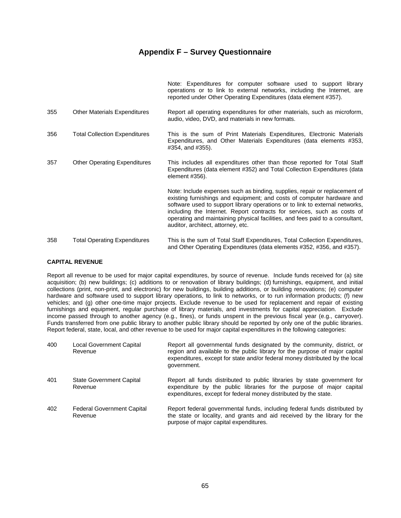|     |                                      | Note: Expenditures for computer software used to support library<br>operations or to link to external networks, including the Internet, are<br>reported under Other Operating Expenditures (data element #357).                                                                                                                                                                                                                        |
|-----|--------------------------------------|----------------------------------------------------------------------------------------------------------------------------------------------------------------------------------------------------------------------------------------------------------------------------------------------------------------------------------------------------------------------------------------------------------------------------------------|
| 355 | <b>Other Materials Expenditures</b>  | Report all operating expenditures for other materials, such as microform,<br>audio, video, DVD, and materials in new formats.                                                                                                                                                                                                                                                                                                          |
| 356 | <b>Total Collection Expenditures</b> | This is the sum of Print Materials Expenditures, Electronic Materials<br>Expenditures, and Other Materials Expenditures (data elements #353,<br>#354, and #355).                                                                                                                                                                                                                                                                       |
| 357 | <b>Other Operating Expenditures</b>  | This includes all expenditures other than those reported for Total Staff<br>Expenditures (data element #352) and Total Collection Expenditures (data<br>element #356).                                                                                                                                                                                                                                                                 |
|     |                                      | Note: Include expenses such as binding, supplies, repair or replacement of<br>existing furnishings and equipment; and costs of computer hardware and<br>software used to support library operations or to link to external networks,<br>including the Internet. Report contracts for services, such as costs of<br>operating and maintaining physical facilities, and fees paid to a consultant,<br>auditor, architect, attorney, etc. |
| 358 | <b>Total Operating Expenditures</b>  | This is the sum of Total Staff Expenditures, Total Collection Expenditures,<br>and Other Operating Expenditures (data elements #352, #356, and #357).                                                                                                                                                                                                                                                                                  |

### **CAPITAL REVENUE**

Report all revenue to be used for major capital expenditures, by source of revenue. Include funds received for (a) site acquisition; (b) new buildings; (c) additions to or renovation of library buildings; (d) furnishings, equipment, and initial collections (print, non-print, and electronic) for new buildings, building additions, or building renovations; (e) computer hardware and software used to support library operations, to link to networks, or to run information products; (f) new vehicles; and (g) other one-time major projects. Exclude revenue to be used for replacement and repair of existing furnishings and equipment, regular purchase of library materials, and investments for capital appreciation. Exclude income passed through to another agency (e.g., fines), or funds unspent in the previous fiscal year (e.g., carryover). Funds transferred from one public library to another public library should be reported by only one of the public libraries. Report federal, state, local, and other revenue to be used for major capital expenditures in the following categories:

| 400 | Local Government Capital<br>Revenue          | Report all governmental funds designated by the community, district, or<br>region and available to the public library for the purpose of major capital<br>expenditures, except for state and/or federal money distributed by the local<br>government. |
|-----|----------------------------------------------|-------------------------------------------------------------------------------------------------------------------------------------------------------------------------------------------------------------------------------------------------------|
| 401 | <b>State Government Capital</b><br>Revenue   | Report all funds distributed to public libraries by state government for<br>expenditure by the public libraries for the purpose of major capital<br>expenditures, except for federal money distributed by the state.                                  |
| 402 | <b>Federal Government Capital</b><br>Revenue | Report federal governmental funds, including federal funds distributed by<br>the state or locality, and grants and aid received by the library for the<br>purpose of major capital expenditures.                                                      |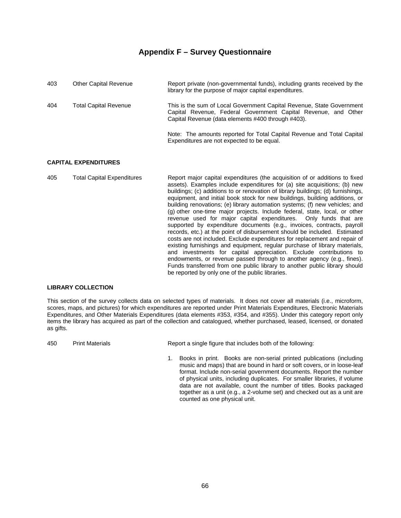| 403 | <b>Other Capital Revenue</b> | Report private (non-governmental funds), including grants received by the<br>library for the purpose of major capital expenditures.                                                           |
|-----|------------------------------|-----------------------------------------------------------------------------------------------------------------------------------------------------------------------------------------------|
| 404 | Total Capital Revenue        | This is the sum of Local Government Capital Revenue, State Government<br>Capital Revenue, Federal Government Capital Revenue, and Other<br>Capital Revenue (data elements #400 through #403). |
|     |                              | Note: The amounts reported for Total Capital Revenue and Total Capital<br>Expenditures are not expected to be equal.                                                                          |

### **CAPITAL EXPENDITURES**

405 Total Capital Expenditures Report major capital expenditures (the acquisition of or additions to fixed assets). Examples include expenditures for (a) site acquisitions; (b) new buildings; (c) additions to or renovation of library buildings; (d) furnishings, equipment, and initial book stock for new buildings, building additions, or building renovations; (e) library automation systems; (f) new vehicles; and (g) other one-time major projects. Include federal, state, local, or other revenue used for major capital expenditures. Only funds that are supported by expenditure documents (e.g., invoices, contracts, payroll records, etc.) at the point of disbursement should be included. Estimated costs are not included. Exclude expenditures for replacement and repair of existing furnishings and equipment, regular purchase of library materials, and investments for capital appreciation. Exclude contributions to endowments, or revenue passed through to another agency (e.g., fines). Funds transferred from one public library to another public library should be reported by only one of the public libraries.

### **LIBRARY COLLECTION**

This section of the survey collects data on selected types of materials. It does not cover all materials (i.e., microform, scores, maps, and pictures) for which expenditures are reported under Print Materials Expenditures, Electronic Materials Expenditures, and Other Materials Expenditures (data elements #353, #354, and #355). Under this category report only items the library has acquired as part of the collection and catalogued, whether purchased, leased, licensed, or donated as gifts.

450 Print Materials Report a single figure that includes both of the following:

 1. Books in print. Books are non-serial printed publications (including music and maps) that are bound in hard or soft covers, or in loose-leaf format. Include non-serial government documents. Report the number of physical units, including duplicates. For smaller libraries, if volume data are not available, count the number of titles. Books packaged together as a unit (e.g., a 2-volume set) and checked out as a unit are counted as one physical unit.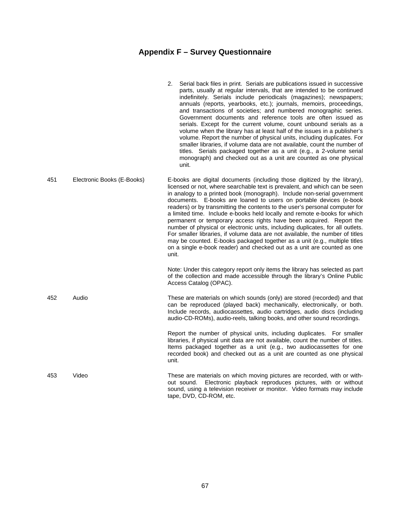|     |                            | Serial back files in print. Serials are publications issued in successive<br>2.<br>parts, usually at regular intervals, that are intended to be continued<br>indefinitely. Serials include periodicals (magazines); newspapers;<br>annuals (reports, yearbooks, etc.); journals, memoirs, proceedings,<br>and transactions of societies; and numbered monographic series.<br>Government documents and reference tools are often issued as<br>serials. Except for the current volume, count unbound serials as a<br>volume when the library has at least half of the issues in a publisher's<br>volume. Report the number of physical units, including duplicates. For<br>smaller libraries, if volume data are not available, count the number of<br>titles. Serials packaged together as a unit (e.g., a 2-volume serial<br>monograph) and checked out as a unit are counted as one physical<br>unit. |
|-----|----------------------------|--------------------------------------------------------------------------------------------------------------------------------------------------------------------------------------------------------------------------------------------------------------------------------------------------------------------------------------------------------------------------------------------------------------------------------------------------------------------------------------------------------------------------------------------------------------------------------------------------------------------------------------------------------------------------------------------------------------------------------------------------------------------------------------------------------------------------------------------------------------------------------------------------------|
| 451 | Electronic Books (E-Books) | E-books are digital documents (including those digitized by the library),<br>licensed or not, where searchable text is prevalent, and which can be seen<br>in analogy to a printed book (monograph). Include non-serial government<br>documents. E-books are loaned to users on portable devices (e-book<br>readers) or by transmitting the contents to the user's personal computer for<br>a limited time. Include e-books held locally and remote e-books for which<br>permanent or temporary access rights have been acquired. Report the<br>number of physical or electronic units, including duplicates, for all outlets.<br>For smaller libraries, if volume data are not available, the number of titles<br>may be counted. E-books packaged together as a unit (e.g., multiple titles<br>on a single e-book reader) and checked out as a unit are counted as one<br>unit.                      |
|     |                            | Note: Under this category report only items the library has selected as part<br>of the collection and made accessible through the library's Online Public<br>Access Catalog (OPAC).                                                                                                                                                                                                                                                                                                                                                                                                                                                                                                                                                                                                                                                                                                                    |
| 452 | Audio                      | These are materials on which sounds (only) are stored (recorded) and that<br>can be reproduced (played back) mechanically, electronically, or both.<br>Include records, audiocassettes, audio cartridges, audio discs (including<br>audio-CD-ROMs), audio-reels, talking books, and other sound recordings.                                                                                                                                                                                                                                                                                                                                                                                                                                                                                                                                                                                            |
|     |                            | Report the number of physical units, including duplicates. For smaller<br>libraries, if physical unit data are not available, count the number of titles.<br>Items packaged together as a unit (e.g., two audiocassettes for one<br>recorded book) and checked out as a unit are counted as one physical<br>unit.                                                                                                                                                                                                                                                                                                                                                                                                                                                                                                                                                                                      |
| 453 | Video                      | These are materials on which moving pictures are recorded, with or with-<br>out sound. Electronic playback reproduces pictures, with or without<br>sound, using a television receiver or monitor. Video formats may include<br>tape, DVD, CD-ROM, etc.                                                                                                                                                                                                                                                                                                                                                                                                                                                                                                                                                                                                                                                 |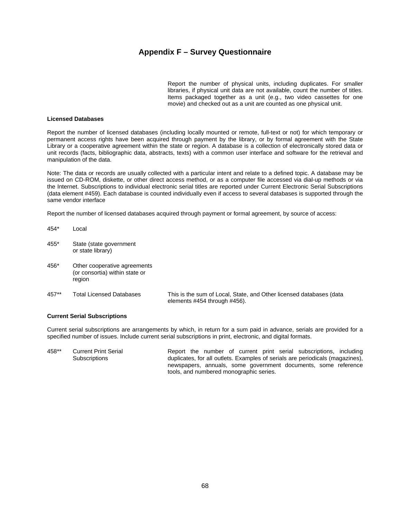Report the number of physical units, including duplicates. For smaller libraries, if physical unit data are not available, count the number of titles. Items packaged together as a unit (e.g., two video cassettes for one movie) and checked out as a unit are counted as one physical unit.

#### **Licensed Databases**

454\* Local

Report the number of licensed databases (including locally mounted or remote, full-text or not) for which temporary or permanent access rights have been acquired through payment by the library, or by formal agreement with the State Library or a cooperative agreement within the state or region. A database is a collection of electronically stored data or unit records (facts, bibliographic data, abstracts, texts) with a common user interface and software for the retrieval and manipulation of the data.

Note: The data or records are usually collected with a particular intent and relate to a defined topic. A database may be issued on CD-ROM, diskette, or other direct access method, or as a computer file accessed via dial-up methods or via the Internet. Subscriptions to individual electronic serial titles are reported under Current Electronic Serial Subscriptions (data element #459). Each database is counted individually even if access to several databases is supported through the same vendor interface

Report the number of licensed databases acquired through payment or formal agreement, by source of access:

- 455\* State (state government or state library)
- 456\* Other cooperative agreements (or consortia) within state or region
- 457\*\* Total Licensed Databases This is the sum of Local, State, and Other licensed databases (data elements #454 through #456).

### **Current Serial Subscriptions**

Current serial subscriptions are arrangements by which, in return for a sum paid in advance, serials are provided for a specified number of issues. Include current serial subscriptions in print, electronic, and digital formats.

458\*\* Current Print Serial **Subscriptions** Report the number of current print serial subscriptions, including duplicates, for all outlets. Examples of serials are periodicals (magazines), newspapers, annuals, some government documents, some reference tools, and numbered monographic series.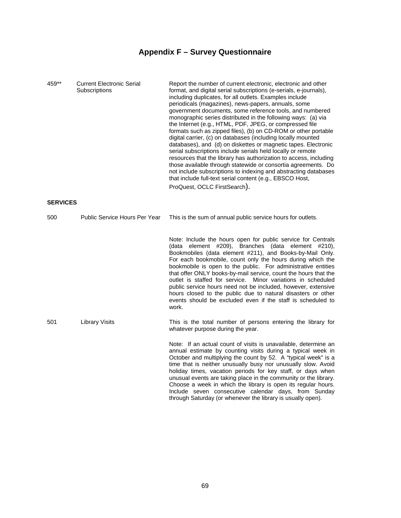| 459**           | <b>Current Electronic Serial</b><br>Subscriptions | Report the number of current electronic, electronic and other<br>format, and digital serial subscriptions (e-serials, e-journals),<br>including duplicates, for all outlets. Examples include<br>periodicals (magazines), news-papers, annuals, some<br>government documents, some reference tools, and numbered<br>monographic series distributed in the following ways: (a) via<br>the Internet (e.g., HTML, PDF, JPEG, or compressed file<br>formats such as zipped files), (b) on CD-ROM or other portable<br>digital carrier, (c) on databases (including locally mounted<br>databases), and (d) on diskettes or magnetic tapes. Electronic<br>serial subscriptions include serials held locally or remote<br>resources that the library has authorization to access, including<br>those available through statewide or consortia agreements. Do<br>not include subscriptions to indexing and abstracting databases<br>that include full-text serial content (e.g., EBSCO Host,<br>ProQuest, OCLC FirstSearch). |
|-----------------|---------------------------------------------------|----------------------------------------------------------------------------------------------------------------------------------------------------------------------------------------------------------------------------------------------------------------------------------------------------------------------------------------------------------------------------------------------------------------------------------------------------------------------------------------------------------------------------------------------------------------------------------------------------------------------------------------------------------------------------------------------------------------------------------------------------------------------------------------------------------------------------------------------------------------------------------------------------------------------------------------------------------------------------------------------------------------------|
| <b>SERVICES</b> |                                                   |                                                                                                                                                                                                                                                                                                                                                                                                                                                                                                                                                                                                                                                                                                                                                                                                                                                                                                                                                                                                                      |
| 500             | Public Service Hours Per Year                     | This is the sum of annual public service hours for outlets.                                                                                                                                                                                                                                                                                                                                                                                                                                                                                                                                                                                                                                                                                                                                                                                                                                                                                                                                                          |
|                 |                                                   | Note: Include the hours open for public service for Centrals<br>(data element #209), Branches (data element #210),<br>Bookmobiles (data element #211), and Books-by-Mail Only.<br>For each bookmobile, count only the hours during which the<br>bookmobile is open to the public. For administrative entities<br>that offer ONLY books-by-mail service, count the hours that the<br>outlet is staffed for service. Minor variations in scheduled<br>public service hours need not be included, however, extensive<br>hours closed to the public due to natural disasters or other<br>events should be excluded even if the staff is scheduled to<br>work.                                                                                                                                                                                                                                                                                                                                                            |
| 501             | <b>Library Visits</b>                             | This is the total number of persons entering the library for<br>whatever purpose during the year.                                                                                                                                                                                                                                                                                                                                                                                                                                                                                                                                                                                                                                                                                                                                                                                                                                                                                                                    |
|                 |                                                   | Note: If an actual count of visits is unavailable, determine an<br>annual estimate by counting visits during a typical week in<br>October and multiplying the count by 52. A "typical week" is a<br>time that is neither unusually busy nor unusually slow. Avoid<br>holiday times, vacation periods for key staff, or days when<br>unusual events are taking place in the community or the library.<br>Choose a week in which the library is open its regular hours.<br>Include seven consecutive calendar days, from Sunday<br>through Saturday (or whenever the library is usually open).                                                                                                                                                                                                                                                                                                                                                                                                                         |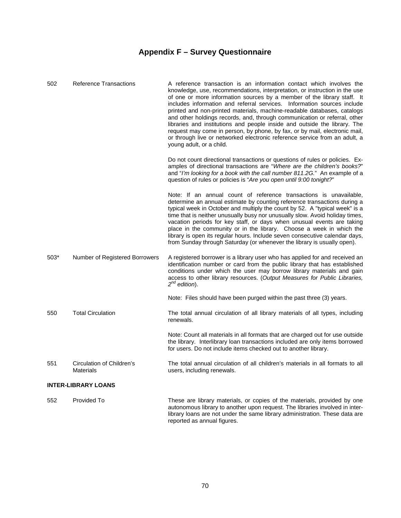| 502    | <b>Reference Transactions</b>          | A reference transaction is an information contact which involves the<br>knowledge, use, recommendations, interpretation, or instruction in the use<br>of one or more information sources by a member of the library staff. It<br>includes information and referral services. Information sources include<br>printed and non-printed materials, machine-readable databases, catalogs<br>and other holdings records, and, through communication or referral, other<br>libraries and institutions and people inside and outside the library. The<br>request may come in person, by phone, by fax, or by mail, electronic mail,<br>or through live or networked electronic reference service from an adult, a<br>young adult, or a child.<br>Do not count directional transactions or questions of rules or policies. Ex-<br>amples of directional transactions are "Where are the children's books?" |
|--------|----------------------------------------|---------------------------------------------------------------------------------------------------------------------------------------------------------------------------------------------------------------------------------------------------------------------------------------------------------------------------------------------------------------------------------------------------------------------------------------------------------------------------------------------------------------------------------------------------------------------------------------------------------------------------------------------------------------------------------------------------------------------------------------------------------------------------------------------------------------------------------------------------------------------------------------------------|
|        |                                        | and "I'm looking for a book with the call number 811.2G." An example of a<br>question of rules or policies is "Are you open until 9:00 tonight?"                                                                                                                                                                                                                                                                                                                                                                                                                                                                                                                                                                                                                                                                                                                                                  |
|        |                                        | Note: If an annual count of reference transactions is unavailable,<br>determine an annual estimate by counting reference transactions during a<br>typical week in October and multiply the count by 52. A "typical week" is a<br>time that is neither unusually busy nor unusually slow. Avoid holiday times,<br>vacation periods for key staff, or days when unusual events are taking<br>place in the community or in the library. Choose a week in which the<br>library is open its regular hours. Include seven consecutive calendar days,<br>from Sunday through Saturday (or whenever the library is usually open).                                                                                                                                                                                                                                                                         |
| $503*$ | Number of Registered Borrowers         | A registered borrower is a library user who has applied for and received an<br>identification number or card from the public library that has established<br>conditions under which the user may borrow library materials and gain<br>access to other library resources. (Output Measures for Public Libraries,<br>$2^{nd}$ edition).                                                                                                                                                                                                                                                                                                                                                                                                                                                                                                                                                             |
|        |                                        | Note: Files should have been purged within the past three (3) years.                                                                                                                                                                                                                                                                                                                                                                                                                                                                                                                                                                                                                                                                                                                                                                                                                              |
| 550    | <b>Total Circulation</b>               | The total annual circulation of all library materials of all types, including<br>renewals.                                                                                                                                                                                                                                                                                                                                                                                                                                                                                                                                                                                                                                                                                                                                                                                                        |
|        |                                        | Note: Count all materials in all formats that are charged out for use outside<br>the library. Interlibrary loan transactions included are only items borrowed<br>for users. Do not include items checked out to another library.                                                                                                                                                                                                                                                                                                                                                                                                                                                                                                                                                                                                                                                                  |
| 551    | Circulation of Children's<br>Materials | The total annual circulation of all children's materials in all formats to all<br>users, including renewals.                                                                                                                                                                                                                                                                                                                                                                                                                                                                                                                                                                                                                                                                                                                                                                                      |
|        | <b>INTER-LIBRARY LOANS</b>             |                                                                                                                                                                                                                                                                                                                                                                                                                                                                                                                                                                                                                                                                                                                                                                                                                                                                                                   |
| 552    | Provided To                            | These are library materials, or copies of the materials, provided by one<br>autonomous library to another upon request. The libraries involved in inter-<br>library loans are not under the same library administration. These data are<br>reported as annual figures.                                                                                                                                                                                                                                                                                                                                                                                                                                                                                                                                                                                                                            |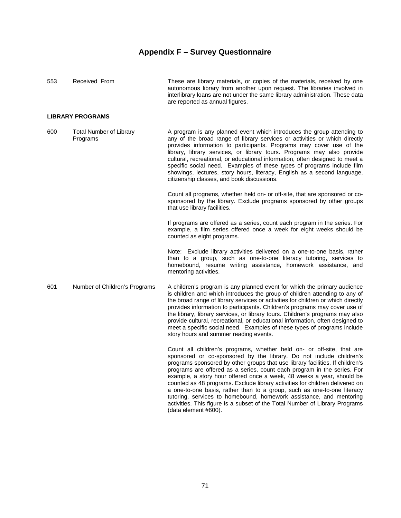| 553 | Received From                              | These are library materials, or copies of the materials, received by one<br>autonomous library from another upon request. The libraries involved in<br>interlibrary loans are not under the same library administration. These data<br>are reported as annual figures.                                                                                                                                                                                                                                                                                                                                           |
|-----|--------------------------------------------|------------------------------------------------------------------------------------------------------------------------------------------------------------------------------------------------------------------------------------------------------------------------------------------------------------------------------------------------------------------------------------------------------------------------------------------------------------------------------------------------------------------------------------------------------------------------------------------------------------------|
|     | <b>LIBRARY PROGRAMS</b>                    |                                                                                                                                                                                                                                                                                                                                                                                                                                                                                                                                                                                                                  |
| 600 | <b>Total Number of Library</b><br>Programs | A program is any planned event which introduces the group attending to<br>any of the broad range of library services or activities or which directly<br>provides information to participants. Programs may cover use of the<br>library, library services, or library tours. Programs may also provide<br>cultural, recreational, or educational information, often designed to meet a<br>specific social need. Examples of these types of programs include film<br>showings, lectures, story hours, literacy, English as a second language,<br>citizenship classes, and book discussions.                        |
|     |                                            | Count all programs, whether held on- or off-site, that are sponsored or co-<br>sponsored by the library. Exclude programs sponsored by other groups<br>that use library facilities.                                                                                                                                                                                                                                                                                                                                                                                                                              |
|     |                                            | If programs are offered as a series, count each program in the series. For<br>example, a film series offered once a week for eight weeks should be<br>counted as eight programs.                                                                                                                                                                                                                                                                                                                                                                                                                                 |
|     |                                            | Note: Exclude library activities delivered on a one-to-one basis, rather<br>than to a group, such as one-to-one literacy tutoring, services to<br>homebound, resume writing assistance, homework assistance, and<br>mentoring activities.                                                                                                                                                                                                                                                                                                                                                                        |
| 601 | Number of Children's Programs              | A children's program is any planned event for which the primary audience<br>is children and which introduces the group of children attending to any of<br>the broad range of library services or activities for children or which directly<br>provides information to participants. Children's programs may cover use of<br>the library, library services, or library tours. Children's programs may also<br>provide cultural, recreational, or educational information, often designed to<br>meet a specific social need. Examples of these types of programs include<br>story hours and summer reading events. |
|     |                                            | Count all children's programs, whether held on- or off-site, that are<br>sponsored or co-sponsored by the library. Do not include children's<br>programs sponsored by other groups that use library facilities. If children's<br>programs are offered as a series, count each program in the series. For<br>example, a story hour offered once a week, 48 weeks a year, should be<br>counted as 48 programs. Exclude library activities for children delivered on                                                                                                                                                |

(data element #600).

a one-to-one basis, rather than to a group, such as one-to-one literacy tutoring, services to homebound, homework assistance, and mentoring activities. This figure is a subset of the Total Number of Library Programs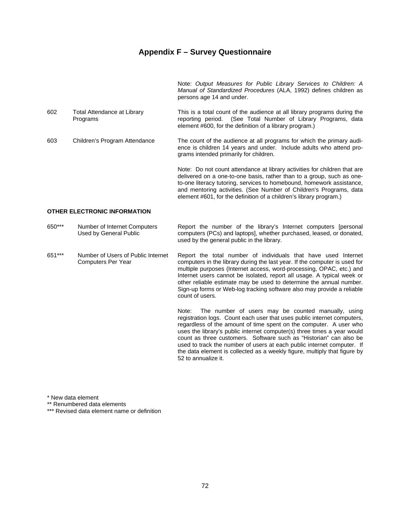Note: *Output Measures for Public Library Services to Children: A Manual of Standardized Procedures* (ALA, 1992) defines children as persons age 14 and under.

- 602 Total Attendance at Library Programs This is a total count of the audience at all library programs during the reporting period. (See Total Number of Library Programs, data element #600, for the definition of a library program.)
- 603 Children's Program Attendance The count of the audience at all programs for which the primary audience is children 14 years and under. Include adults who attend programs intended primarily for children.

 Note: Do not count attendance at library activities for children that are delivered on a one-to-one basis, rather than to a group, such as oneto-one literacy tutoring, services to homebound, homework assistance, and mentoring activities. (See Number of Children's Programs, data element #601, for the definition of a children's library program.)

#### **OTHER ELECTRONIC INFORMATION**

| 650*** | Number of Internet Computers<br>Used by General Public   | Report the number of the library's Internet computers [personal<br>computers (PCs) and laptops, whether purchased, leased, or donated,<br>used by the general public in the library.                                                                                                                                                                                                                                                                                                                                                        |
|--------|----------------------------------------------------------|---------------------------------------------------------------------------------------------------------------------------------------------------------------------------------------------------------------------------------------------------------------------------------------------------------------------------------------------------------------------------------------------------------------------------------------------------------------------------------------------------------------------------------------------|
| 651*** | Number of Users of Public Internet<br>Computers Per Year | Report the total number of individuals that have used Internet<br>computers in the library during the last year. If the computer is used for<br>multiple purposes (Internet access, word-processing, OPAC, etc.) and<br>Internet users cannot be isolated, report all usage. A typical week or<br>other reliable estimate may be used to determine the annual number.<br>Sign-up forms or Web-log tracking software also may provide a reliable<br>count of users.                                                                          |
|        |                                                          | The number of users may be counted manually, using<br>Note:<br>registration logs. Count each user that uses public internet computers,<br>regardless of the amount of time spent on the computer. A user who<br>uses the library's public internet computer(s) three times a year would<br>count as three customers. Software such as "Historian" can also be<br>used to track the number of users at each public internet computer. If<br>the data element is collected as a weekly figure, multiply that figure by<br>52 to annualize it. |

\* New data element

\*\* Renumbered data elements

\*\*\* Revised data element name or definition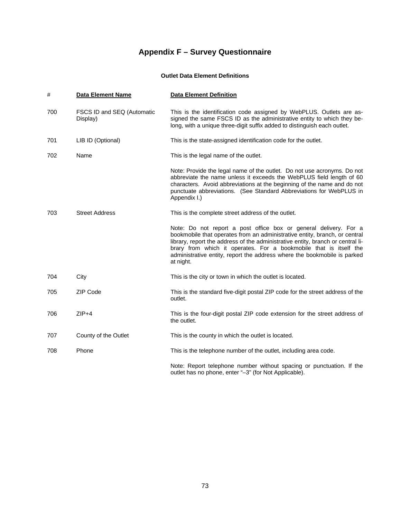### **Outlet Data Element Definitions**

| #   | <b>Data Element Name</b>               | <b>Data Element Definition</b>                                                                                                                                                                                                                                                                                                                                                                  |
|-----|----------------------------------------|-------------------------------------------------------------------------------------------------------------------------------------------------------------------------------------------------------------------------------------------------------------------------------------------------------------------------------------------------------------------------------------------------|
| 700 | FSCS ID and SEQ (Automatic<br>Display) | This is the identification code assigned by WebPLUS. Outlets are as-<br>signed the same FSCS ID as the administrative entity to which they be-<br>long, with a unique three-digit suffix added to distinguish each outlet.                                                                                                                                                                      |
| 701 | LIB ID (Optional)                      | This is the state-assigned identification code for the outlet.                                                                                                                                                                                                                                                                                                                                  |
| 702 | Name                                   | This is the legal name of the outlet.                                                                                                                                                                                                                                                                                                                                                           |
|     |                                        | Note: Provide the legal name of the outlet. Do not use acronyms. Do not<br>abbreviate the name unless it exceeds the WebPLUS field length of 60<br>characters. Avoid abbreviations at the beginning of the name and do not<br>punctuate abbreviations. (See Standard Abbreviations for WebPLUS in<br>Appendix I.)                                                                               |
| 703 | <b>Street Address</b>                  | This is the complete street address of the outlet.                                                                                                                                                                                                                                                                                                                                              |
|     |                                        | Note: Do not report a post office box or general delivery. For a<br>bookmobile that operates from an administrative entity, branch, or central<br>library, report the address of the administrative entity, branch or central li-<br>brary from which it operates. For a bookmobile that is itself the<br>administrative entity, report the address where the bookmobile is parked<br>at night. |
| 704 | City                                   | This is the city or town in which the outlet is located.                                                                                                                                                                                                                                                                                                                                        |
| 705 | ZIP Code                               | This is the standard five-digit postal ZIP code for the street address of the<br>outlet.                                                                                                                                                                                                                                                                                                        |
| 706 | $ZIP+4$                                | This is the four-digit postal ZIP code extension for the street address of<br>the outlet.                                                                                                                                                                                                                                                                                                       |
| 707 | County of the Outlet                   | This is the county in which the outlet is located.                                                                                                                                                                                                                                                                                                                                              |
| 708 | Phone                                  | This is the telephone number of the outlet, including area code.                                                                                                                                                                                                                                                                                                                                |
|     |                                        | Note: Report telephone number without spacing or punctuation. If the<br>outlet has no phone, enter "-3" (for Not Applicable).                                                                                                                                                                                                                                                                   |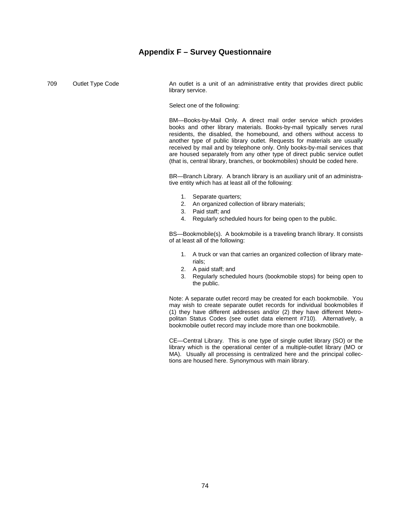709 Outlet Type Code **An outlet is a unit of an administrative entity that provides direct public** library service.

Select one of the following:

 BM—Books-by-Mail Only. A direct mail order service which provides books and other library materials. Books-by-mail typically serves rural residents, the disabled, the homebound, and others without access to another type of public library outlet. Requests for materials are usually received by mail and by telephone only. Only books-by-mail services that are housed separately from any other type of direct public service outlet (that is, central library, branches, or bookmobiles) should be coded here.

 BR—Branch Library. A branch library is an auxiliary unit of an administrative entity which has at least all of the following:

- 1. Separate quarters;
- 2. An organized collection of library materials;
- 3. Paid staff; and
- 4. Regularly scheduled hours for being open to the public.

 BS—Bookmobile(s). A bookmobile is a traveling branch library. It consists of at least all of the following:

- 1. A truck or van that carries an organized collection of library materials;
- 2. A paid staff; and
- 3. Regularly scheduled hours (bookmobile stops) for being open to the public.

 Note: A separate outlet record may be created for each bookmobile. You may wish to create separate outlet records for individual bookmobiles if (1) they have different addresses and/or (2) they have different Metropolitan Status Codes (see outlet data element #710). Alternatively, a bookmobile outlet record may include more than one bookmobile.

 CE—Central Library. This is one type of single outlet library (SO) or the library which is the operational center of a multiple-outlet library (MO or MA). Usually all processing is centralized here and the principal collections are housed here. Synonymous with main library.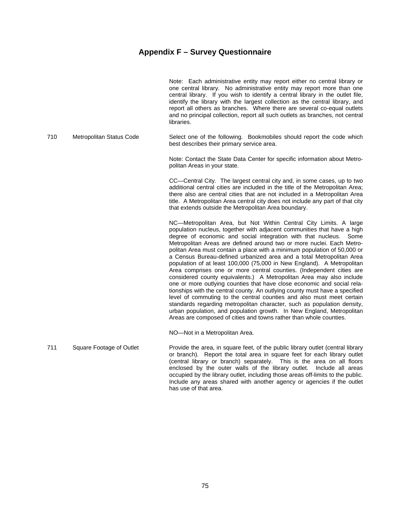|     |                          | Note: Each administrative entity may report either no central library or<br>one central library. No administrative entity may report more than one<br>central library. If you wish to identify a central library in the outlet file,<br>identify the library with the largest collection as the central library, and<br>report all others as branches. Where there are several co-equal outlets<br>and no principal collection, report all such outlets as branches, not central<br>libraries.                                                                                                                                                                                                                                                                                                                                                                                                                                                                                                                                                                                                                                           |
|-----|--------------------------|------------------------------------------------------------------------------------------------------------------------------------------------------------------------------------------------------------------------------------------------------------------------------------------------------------------------------------------------------------------------------------------------------------------------------------------------------------------------------------------------------------------------------------------------------------------------------------------------------------------------------------------------------------------------------------------------------------------------------------------------------------------------------------------------------------------------------------------------------------------------------------------------------------------------------------------------------------------------------------------------------------------------------------------------------------------------------------------------------------------------------------------|
| 710 | Metropolitan Status Code | Select one of the following. Bookmobiles should report the code which<br>best describes their primary service area.                                                                                                                                                                                                                                                                                                                                                                                                                                                                                                                                                                                                                                                                                                                                                                                                                                                                                                                                                                                                                      |
|     |                          | Note: Contact the State Data Center for specific information about Metro-<br>politan Areas in your state.                                                                                                                                                                                                                                                                                                                                                                                                                                                                                                                                                                                                                                                                                                                                                                                                                                                                                                                                                                                                                                |
|     |                          | CC—Central City. The largest central city and, in some cases, up to two<br>additional central cities are included in the title of the Metropolitan Area;<br>there also are central cities that are not included in a Metropolitan Area<br>title. A Metropolitan Area central city does not include any part of that city<br>that extends outside the Metropolitan Area boundary.                                                                                                                                                                                                                                                                                                                                                                                                                                                                                                                                                                                                                                                                                                                                                         |
|     |                          | NC-Metropolitan Area, but Not Within Central City Limits. A large<br>population nucleus, together with adjacent communities that have a high<br>degree of economic and social integration with that nucleus.<br>Some<br>Metropolitan Areas are defined around two or more nuclei. Each Metro-<br>politan Area must contain a place with a minimum population of 50,000 or<br>a Census Bureau-defined urbanized area and a total Metropolitan Area<br>population of at least 100,000 (75,000 in New England). A Metropolitan<br>Area comprises one or more central counties. (Independent cities are<br>considered county equivalents.) A Metropolitan Area may also include<br>one or more outlying counties that have close economic and social rela-<br>tionships with the central county. An outlying county must have a specified<br>level of commuting to the central counties and also must meet certain<br>standards regarding metropolitan character, such as population density,<br>urban population, and population growth. In New England, Metropolitan<br>Areas are composed of cities and towns rather than whole counties. |
|     |                          | NO-Not in a Metropolitan Area.                                                                                                                                                                                                                                                                                                                                                                                                                                                                                                                                                                                                                                                                                                                                                                                                                                                                                                                                                                                                                                                                                                           |
| 711 | Square Footage of Outlet | Provide the area, in square feet, of the public library outlet (central library<br>or branch). Report the total area in square feet for each library outlet<br>(central library or branch) separately. This is the area on all floors<br>enclosed by the outer walls of the library outlet. Include all areas<br>occupied by the library outlet, including those areas off-limits to the public.                                                                                                                                                                                                                                                                                                                                                                                                                                                                                                                                                                                                                                                                                                                                         |

has use of that area.

Include any areas shared with another agency or agencies if the outlet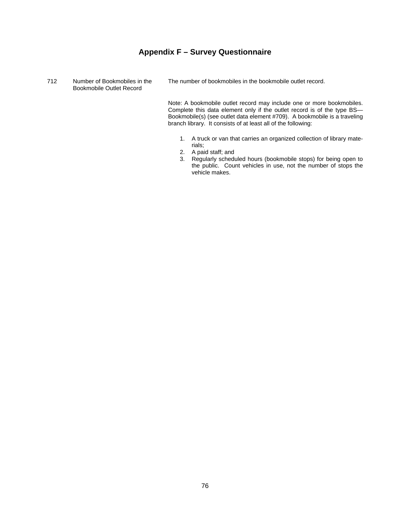712 Number of Bookmobiles in the Bookmobile Outlet Record

The number of bookmobiles in the bookmobile outlet record.

 Note: A bookmobile outlet record may include one or more bookmobiles. Complete this data element only if the outlet record is of the type BS— Bookmobile(s) (see outlet data element #709). A bookmobile is a traveling branch library. It consists of at least all of the following:

- 1. A truck or van that carries an organized collection of library materials;
- 2. A paid staff; and
- 3. Regularly scheduled hours (bookmobile stops) for being open to the public. Count vehicles in use, not the number of stops the vehicle makes.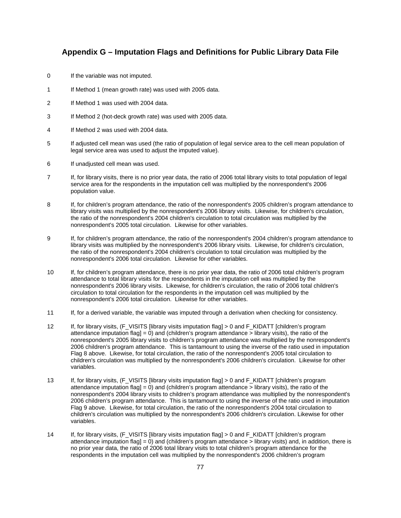## **Appendix G – Imputation Flags and Definitions for Public Library Data File**

- 0 If the variable was not imputed.
- 1 If Method 1 (mean growth rate) was used with 2005 data.
- 2 If Method 1 was used with 2004 data.
- 3 If Method 2 (hot-deck growth rate) was used with 2005 data.
- 4 If Method 2 was used with 2004 data.
- 5 If adjusted cell mean was used (the ratio of population of legal service area to the cell mean population of legal service area was used to adjust the imputed value).
- 6 If unadjusted cell mean was used.
- 7 If, for library visits, there is no prior year data, the ratio of 2006 total library visits to total population of legal service area for the respondents in the imputation cell was multiplied by the nonrespondent's 2006 population value.
- 8 If, for children's program attendance, the ratio of the nonrespondent's 2005 children's program attendance to library visits was multiplied by the nonrespondent's 2006 library visits. Likewise, for children's circulation, the ratio of the nonrespondent's 2004 children's circulation to total circulation was multiplied by the nonrespondent's 2005 total circulation. Likewise for other variables.
- 9 If, for children's program attendance, the ratio of the nonrespondent's 2004 children's program attendance to library visits was multiplied by the nonrespondent's 2006 library visits. Likewise, for children's circulation, the ratio of the nonrespondent's 2004 children's circulation to total circulation was multiplied by the nonrespondent's 2006 total circulation. Likewise for other variables.
- 10 If, for children's program attendance, there is no prior year data, the ratio of 2006 total children's program attendance to total library visits for the respondents in the imputation cell was multiplied by the nonrespondent's 2006 library visits. Likewise, for children's circulation, the ratio of 2006 total children's circulation to total circulation for the respondents in the imputation cell was multiplied by the nonrespondent's 2006 total circulation. Likewise for other variables.
- 11 If, for a derived variable, the variable was imputed through a derivation when checking for consistency.
- 12 If, for library visits, (F\_VISITS [library visits imputation flag] > 0 and F\_KIDATT [children's program attendance imputation flag] = 0) and (children's program attendance  $>$  library visits), the ratio of the nonrespondent's 2005 library visits to children's program attendance was multiplied by the nonrespondent's 2006 children's program attendance. This is tantamount to using the inverse of the ratio used in imputation Flag 8 above. Likewise, for total circulation, the ratio of the nonrespondent's 2005 total circulation to children's circulation was multiplied by the nonrespondent's 2006 children's circulation. Likewise for other variables.
- 13 If, for library visits, (F\_VISITS [library visits imputation flag] > 0 and F\_KIDATT [children's program attendance imputation flag $= 0$ ) and (children's program attendance  $>$  library visits), the ratio of the nonrespondent's 2004 library visits to children's program attendance was multiplied by the nonrespondent's 2006 children's program attendance. This is tantamount to using the inverse of the ratio used in imputation Flag 9 above. Likewise, for total circulation, the ratio of the nonrespondent's 2004 total circulation to children's circulation was multiplied by the nonrespondent's 2006 children's circulation. Likewise for other variables.
- 14 If, for library visits, (F\_VISITS [library visits imputation flag] > 0 and F\_KIDATT [children's program attendance imputation flag] = 0) and (children's program attendance > library visits) and, in addition, there is no prior year data, the ratio of 2006 total library visits to total children's program attendance for the respondents in the imputation cell was multiplied by the nonrespondent's 2006 children's program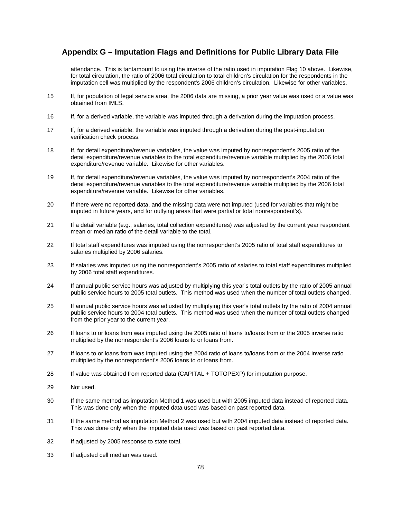## **Appendix G – Imputation Flags and Definitions for Public Library Data File**

attendance. This is tantamount to using the inverse of the ratio used in imputation Flag 10 above. Likewise, for total circulation, the ratio of 2006 total circulation to total children's circulation for the respondents in the imputation cell was multiplied by the respondent's 2006 children's circulation. Likewise for other variables.

- 15 If, for population of legal service area, the 2006 data are missing, a prior year value was used or a value was obtained from IMLS.
- 16 If, for a derived variable, the variable was imputed through a derivation during the imputation process.
- 17 If, for a derived variable, the variable was imputed through a derivation during the post-imputation verification check process.
- 18 If, for detail expenditure/revenue variables, the value was imputed by nonrespondent's 2005 ratio of the detail expenditure/revenue variables to the total expenditure/revenue variable multiplied by the 2006 total expenditure/revenue variable. Likewise for other variables.
- 19 If, for detail expenditure/revenue variables, the value was imputed by nonrespondent's 2004 ratio of the detail expenditure/revenue variables to the total expenditure/revenue variable multiplied by the 2006 total expenditure/revenue variable. Likewise for other variables.
- 20 If there were no reported data, and the missing data were not imputed (used for variables that might be imputed in future years, and for outlying areas that were partial or total nonrespondent's).
- 21 If a detail variable (e.g., salaries, total collection expenditures) was adjusted by the current year respondent mean or median ratio of the detail variable to the total.
- 22 If total staff expenditures was imputed using the nonrespondent's 2005 ratio of total staff expenditures to salaries multiplied by 2006 salaries.
- 23 If salaries was imputed using the nonrespondent's 2005 ratio of salaries to total staff expenditures multiplied by 2006 total staff expenditures.
- 24 If annual public service hours was adjusted by multiplying this year's total outlets by the ratio of 2005 annual public service hours to 2005 total outlets. This method was used when the number of total outlets changed.
- 25 If annual public service hours was adjusted by multiplying this year's total outlets by the ratio of 2004 annual public service hours to 2004 total outlets. This method was used when the number of total outlets changed from the prior year to the current year.
- 26 If loans to or loans from was imputed using the 2005 ratio of loans to/loans from or the 2005 inverse ratio multiplied by the nonrespondent's 2006 loans to or loans from.
- 27 If loans to or loans from was imputed using the 2004 ratio of loans to/loans from or the 2004 inverse ratio multiplied by the nonrespondent's 2006 loans to or loans from.
- 28 If value was obtained from reported data (CAPITAL + TOTOPEXP) for imputation purpose.
- 29 Not used.
- 30 If the same method as imputation Method 1 was used but with 2005 imputed data instead of reported data. This was done only when the imputed data used was based on past reported data.
- 31 If the same method as imputation Method 2 was used but with 2004 imputed data instead of reported data. This was done only when the imputed data used was based on past reported data.
- 32 If adjusted by 2005 response to state total.
- 33 If adjusted cell median was used.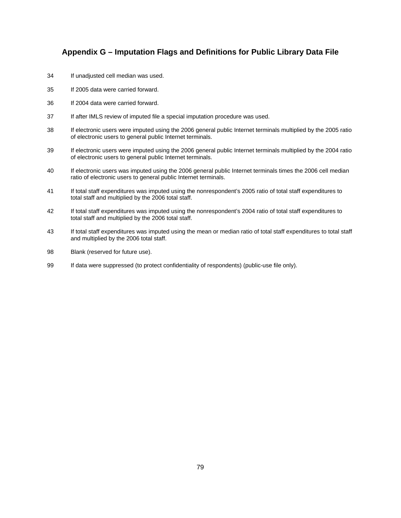## **Appendix G – Imputation Flags and Definitions for Public Library Data File**

- 34 If unadjusted cell median was used.
- 35 If 2005 data were carried forward.
- 36 If 2004 data were carried forward.
- 37 If after IMLS review of imputed file a special imputation procedure was used.
- 38 If electronic users were imputed using the 2006 general public Internet terminals multiplied by the 2005 ratio of electronic users to general public Internet terminals.
- 39 If electronic users were imputed using the 2006 general public Internet terminals multiplied by the 2004 ratio of electronic users to general public Internet terminals.
- 40 If electronic users was imputed using the 2006 general public Internet terminals times the 2006 cell median ratio of electronic users to general public Internet terminals.
- 41 If total staff expenditures was imputed using the nonrespondent's 2005 ratio of total staff expenditures to total staff and multiplied by the 2006 total staff.
- 42 If total staff expenditures was imputed using the nonrespondent's 2004 ratio of total staff expenditures to total staff and multiplied by the 2006 total staff.
- 43 If total staff expenditures was imputed using the mean or median ratio of total staff expenditures to total staff and multiplied by the 2006 total staff.
- 98 Blank (reserved for future use).
- 99 If data were suppressed (to protect confidentiality of respondents) (public-use file only).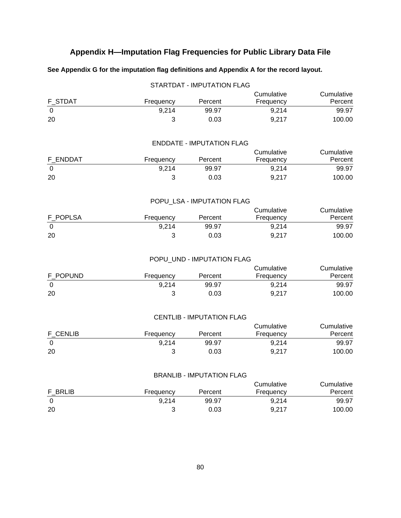## **See Appendix G for the imputation flag definitions and Appendix A for the record layout.**

|          |           | <b>STARTDAT - IMPUTATION FLAG</b> |                         |                       |
|----------|-----------|-----------------------------------|-------------------------|-----------------------|
|          |           |                                   | Cumulative              | Cumulative            |
| F STDAT  | Frequency | Percent                           | Frequency               | Percent               |
| 0        | 9,214     | 99.97                             | 9,214                   | 99.97                 |
| 20       | 3         | 0.03                              | 9,217                   | 100.00                |
|          |           |                                   |                         |                       |
|          |           | <b>ENDDATE - IMPUTATION FLAG</b>  |                         |                       |
|          |           |                                   | Cumulative              | Cumulative            |
| F_ENDDAT | Frequency | Percent                           | Frequency               | Percent               |
| 0        | 9,214     | 99.97                             | 9,214                   | 99.97                 |
| 20       | 3         | 0.03                              | 9,217                   | 100.00                |
|          |           |                                   |                         |                       |
|          |           | POPU_LSA - IMPUTATION FLAG        |                         |                       |
|          |           |                                   | Cumulative              | Cumulative            |
| F POPLSA | Frequency | Percent                           | Frequency               | Percent               |
| 0        | 9,214     | 99.97                             | 9,214                   | 99.97                 |
| 20       | 3         | 0.03                              | 9,217                   | 100.00                |
|          |           |                                   |                         |                       |
|          |           | POPU_UND - IMPUTATION FLAG        |                         | Cumulative            |
| F_POPUND | Frequency | Percent                           | Cumulative<br>Frequency | Percent               |
| 0        | 9,214     | 99.97                             | 9,214                   | 99.97                 |
| 20       | 3         | 0.03                              | 9,217                   | 100.00                |
|          |           |                                   |                         |                       |
|          |           |                                   |                         |                       |
|          |           | <b>CENTLIB - IMPUTATION FLAG</b>  |                         |                       |
| F CENLIB | Frequency | Percent                           | Cumulative<br>Frequency | Cumulative<br>Percent |
| 0        | 9,214     | 99.97                             | 9,214                   | 99.97                 |
| 20       | 3         | 0.03                              | 9,217                   | 100.00                |
|          |           |                                   |                         |                       |
|          |           | <b>BRANLIB - IMPUTATION FLAG</b>  |                         |                       |
|          |           |                                   | Cumulative              | Cumulative            |
| F_BRLIB  | Frequency | Percent                           | Frequency               | Percent               |
| 0        | 9,214     | 99.97                             | 9,214                   | 99.97                 |
| 20       | 3         | 0.03                              | 9,217                   | 100.00                |
|          |           |                                   |                         |                       |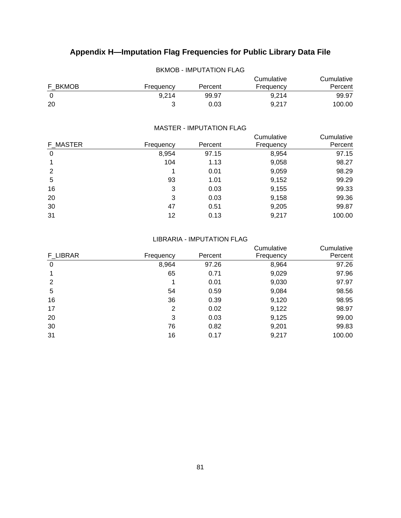| DNIVIUD - IIVIPUTATIUN FLAG |           |         |                         |                       |  |  |
|-----------------------------|-----------|---------|-------------------------|-----------------------|--|--|
| F BKMOB                     | Frequency | Percent | Cumulative<br>Frequency | Cumulative<br>Percent |  |  |
| $\Omega$                    | 9.214     | 99.97   | 9.214                   | 99.97                 |  |  |
| 20                          |           | 0.03    | 9.217                   | 100.00                |  |  |

## BKMOB - IMPUTATION FLAG

#### MASTER - IMPUTATION FLAG

|          |           |         | Cumulative | Cumulative |
|----------|-----------|---------|------------|------------|
| F MASTER | Frequency | Percent | Frequency  | Percent    |
| 0        | 8,954     | 97.15   | 8,954      | 97.15      |
|          | 104       | 1.13    | 9,058      | 98.27      |
| 2        | 1         | 0.01    | 9,059      | 98.29      |
| 5        | 93        | 1.01    | 9,152      | 99.29      |
| 16       | 3         | 0.03    | 9,155      | 99.33      |
| 20       | 3         | 0.03    | 9,158      | 99.36      |
| 30       | 47        | 0.51    | 9,205      | 99.87      |
| 31       | 12        | 0.13    | 9,217      | 100.00     |
|          |           |         |            |            |

#### LIBRARIA - IMPUTATION FLAG

|          |           |         | Cumulative | Cumulative |
|----------|-----------|---------|------------|------------|
| F LIBRAR | Frequency | Percent | Frequency  | Percent    |
| 0        | 8,964     | 97.26   | 8,964      | 97.26      |
|          | 65        | 0.71    | 9,029      | 97.96      |
| 2        |           | 0.01    | 9,030      | 97.97      |
| 5        | 54        | 0.59    | 9,084      | 98.56      |
| 16       | 36        | 0.39    | 9,120      | 98.95      |
| 17       | 2         | 0.02    | 9,122      | 98.97      |
| 20       | 3         | 0.03    | 9,125      | 99.00      |
| 30       | 76        | 0.82    | 9,201      | 99.83      |
| 31       | 16        | 0.17    | 9,217      | 100.00     |
|          |           |         |            |            |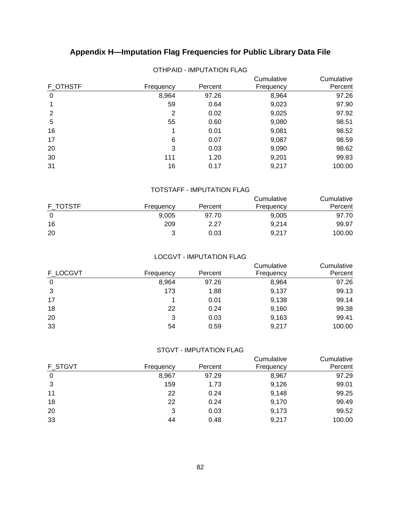| <b>F OTHSTF</b> | Frequency | Percent | Cumulative<br>Frequency | Cumulative<br>Percent |
|-----------------|-----------|---------|-------------------------|-----------------------|
| 0               | 8,964     | 97.26   | 8,964                   | 97.26                 |
|                 | 59        | 0.64    | 9,023                   | 97.90                 |
| 2               | 2         | 0.02    | 9,025                   | 97.92                 |
| 5               | 55        | 0.60    | 9,080                   | 98.51                 |
| 16              | 1         | 0.01    | 9,081                   | 98.52                 |
| 17              | 6         | 0.07    | 9,087                   | 98.59                 |
| 20              | 3         | 0.03    | 9,090                   | 98.62                 |
| 30              | 111       | 1.20    | 9,201                   | 99.83                 |
| 31              | 16        | 0.17    | 9,217                   | 100.00                |

## OTHPAID - IMPUTATION FLAG

#### TOTSTAFF - IMPUTATION FLAG

|          |           |         | Cumulative | Cumulative |
|----------|-----------|---------|------------|------------|
| F TOTSTF | Frequency | Percent | Frequency  | Percent    |
|          | 9,005     | 97.70   | 9.005      | 97.70      |
| 16       | 209       | 2.27    | 9,214      | 99.97      |
| 20       |           | 0.03    | 9.217      | 100.00     |

#### LOCGVT - IMPUTATION FLAG

|          |           |         | Cumulative | Cumulative |
|----------|-----------|---------|------------|------------|
| F LOCGVT | Frequency | Percent | Frequency  | Percent    |
| 0        | 8,964     | 97.26   | 8,964      | 97.26      |
| 3        | 173       | 1.88    | 9,137      | 99.13      |
| 17       |           | 0.01    | 9,138      | 99.14      |
| 18       | 22        | 0.24    | 9,160      | 99.38      |
| 20       | 3         | 0.03    | 9,163      | 99.41      |
| 33       | 54        | 0.59    | 9,217      | 100.00     |

## STGVT - IMPUTATION FLAG

|                |           |         | Cumulative | Cumulative |
|----------------|-----------|---------|------------|------------|
| <b>F STGVT</b> | Frequency | Percent | Frequency  | Percent    |
| 0              | 8,967     | 97.29   | 8,967      | 97.29      |
| 3              | 159       | 1.73    | 9,126      | 99.01      |
| 11             | 22        | 0.24    | 9,148      | 99.25      |
| 18             | 22        | 0.24    | 9,170      | 99.49      |
| 20             | 3         | 0.03    | 9,173      | 99.52      |
| 33             | 44        | 0.48    | 9,217      | 100.00     |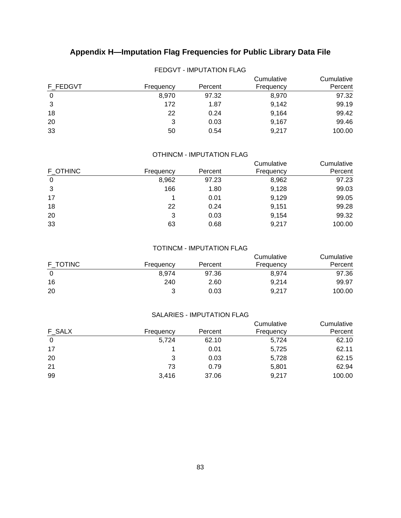|          | .         |         |                         |                       |
|----------|-----------|---------|-------------------------|-----------------------|
| F FEDGVT | Frequency | Percent | Cumulative<br>Frequency | Cumulative<br>Percent |
| 0        | 8,970     | 97.32   | 8,970                   | 97.32                 |
| 3        | 172       | 1.87    | 9,142                   | 99.19                 |
| 18       | 22        | 0.24    | 9,164                   | 99.42                 |
| 20       | 3         | 0.03    | 9,167                   | 99.46                 |
| 33       | 50        | 0.54    | 9,217                   | 100.00                |

## FEDGVT - IMPUTATION FLAG

## OTHINCM - IMPUTATION FLAG

|           |         | Cumulative | Cumulative |
|-----------|---------|------------|------------|
| Frequency | Percent | Frequency  | Percent    |
| 8,962     | 97.23   | 8,962      | 97.23      |
| 166       | 1.80    | 9,128      | 99.03      |
|           | 0.01    | 9,129      | 99.05      |
| 22        | 0.24    | 9,151      | 99.28      |
| 3         | 0.03    | 9,154      | 99.32      |
| 63        | 0.68    | 9,217      | 100.00     |
|           |         |            |            |

#### TOTINCM - IMPUTATION FLAG

| F TOTINC | Frequency | Percent | Cumulative<br>Frequency | Cumulative<br>Percent |
|----------|-----------|---------|-------------------------|-----------------------|
|          |           |         |                         |                       |
|          | 8.974     | 97.36   | 8,974                   | 97.36                 |
| 16       | 240       | 2.60    | 9.214                   | 99.97                 |
| 20       | າ         | 0.03    | 9,217                   | 100.00                |

## SALARIES - IMPUTATION FLAG

| <b>F_SALX</b> | Frequency | Percent | Cumulative<br>Frequency | Cumulative<br>Percent |
|---------------|-----------|---------|-------------------------|-----------------------|
| 0             | 5.724     | 62.10   | 5,724                   | 62.10                 |
| 17            |           | 0.01    | 5,725                   | 62.11                 |
| 20            |           | 0.03    | 5,728                   | 62.15                 |
| 21            | 73        | 0.79    | 5,801                   | 62.94                 |
| 99            | 3.416     | 37.06   | 9,217                   | 100.00                |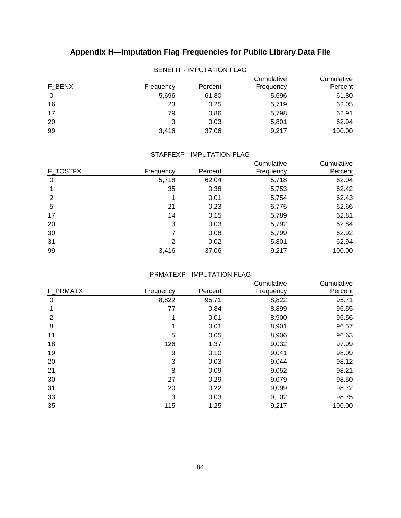|        | -------   |         |                         |                       |  |  |  |
|--------|-----------|---------|-------------------------|-----------------------|--|--|--|
| F BENX | Frequency | Percent | Cumulative<br>Frequency | Cumulative<br>Percent |  |  |  |
| 0      | 5,696     | 61.80   | 5,696                   | 61.80                 |  |  |  |
| 16     | 23        | 0.25    | 5,719                   | 62.05                 |  |  |  |
| 17     | 79        | 0.86    | 5,798                   | 62.91                 |  |  |  |
| 20     | 3         | 0.03    | 5,801                   | 62.94                 |  |  |  |
| 99     | 3.416     | 37.06   | 9,217                   | 100.00                |  |  |  |

## BENEFIT - IMPUTATION FLAG

## STAFFEXP - IMPUTATION FLAG

|           |         | Cumulative | Cumulative |
|-----------|---------|------------|------------|
| Frequency | Percent | Frequency  | Percent    |
| 5,718     | 62.04   | 5,718      | 62.04      |
| 35        | 0.38    | 5,753      | 62.42      |
| 1         | 0.01    | 5,754      | 62.43      |
| 21        | 0.23    | 5,775      | 62.66      |
| 14        | 0.15    | 5,789      | 62.81      |
| 3         | 0.03    | 5,792      | 62.84      |
| 7         | 0.08    | 5,799      | 62.92      |
| 2         | 0.02    | 5,801      | 62.94      |
| 3,416     | 37.06   | 9,217      | 100.00     |
|           |         |            |            |

## PRMATEXP - IMPUTATION FLAG

|                |           |         | Cumulative | Cumulative |
|----------------|-----------|---------|------------|------------|
| F PRMATX       | Frequency | Percent | Frequency  | Percent    |
| 0              | 8,822     | 95.71   | 8,822      | 95.71      |
|                | 77        | 0.84    | 8,899      | 96.55      |
| $\overline{2}$ |           | 0.01    | 8,900      | 96.56      |
| 8              |           | 0.01    | 8,901      | 96.57      |
| 11             | 5         | 0.05    | 8,906      | 96.63      |
| 18             | 126       | 1.37    | 9,032      | 97.99      |
| 19             | 9         | 0.10    | 9,041      | 98.09      |
| 20             | 3         | 0.03    | 9,044      | 98.12      |
| 21             | 8         | 0.09    | 9,052      | 98.21      |
| 30             | 27        | 0.29    | 9,079      | 98.50      |
| 31             | 20        | 0.22    | 9,099      | 98.72      |
| 33             | 3         | 0.03    | 9,102      | 98.75      |
| 35             | 115       | 1.25    | 9,217      | 100.00     |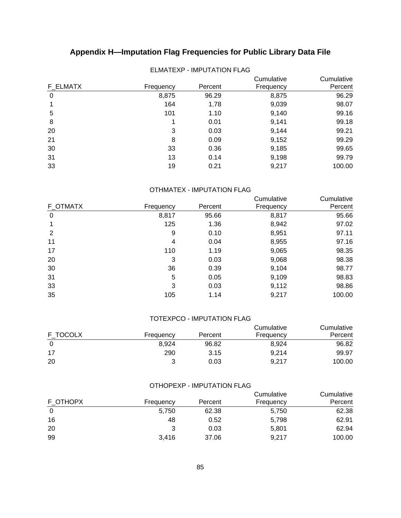| F ELMATX | Frequency | Percent | Cumulative<br>Frequency | Cumulative<br>Percent |
|----------|-----------|---------|-------------------------|-----------------------|
| 0        | 8,875     | 96.29   | 8,875                   | 96.29                 |
|          | 164       | 1.78    | 9,039                   | 98.07                 |
| 5        | 101       | 1.10    | 9,140                   | 99.16                 |
| 8        | 1         | 0.01    | 9,141                   | 99.18                 |
| 20       | 3         | 0.03    | 9,144                   | 99.21                 |
| 21       | 8         | 0.09    | 9,152                   | 99.29                 |
| 30       | 33        | 0.36    | 9,185                   | 99.65                 |
| 31       | 13        | 0.14    | 9,198                   | 99.79                 |
| 33       | 19        | 0.21    | 9,217                   | 100.00                |

## ELMATEXP - IMPUTATION FLAG

## OTHMATEX - IMPUTATION FLAG

|          |           |         | Cumulative | Cumulative |
|----------|-----------|---------|------------|------------|
| F OTMATX | Frequency | Percent | Frequency  | Percent    |
| 0        | 8,817     | 95.66   | 8,817      | 95.66      |
|          | 125       | 1.36    | 8,942      | 97.02      |
| 2        | 9         | 0.10    | 8,951      | 97.11      |
| 11       | 4         | 0.04    | 8,955      | 97.16      |
| 17       | 110       | 1.19    | 9,065      | 98.35      |
| 20       | 3         | 0.03    | 9,068      | 98.38      |
| 30       | 36        | 0.39    | 9,104      | 98.77      |
| 31       | 5         | 0.05    | 9,109      | 98.83      |
| 33       | 3         | 0.03    | 9,112      | 98.86      |
| 35       | 105       | 1.14    | 9,217      | 100.00     |

#### TOTEXPCO - IMPUTATION FLAG

| F TOCOLX | Frequency | Percent | Cumulative<br>Frequency | Cumulative<br>Percent |
|----------|-----------|---------|-------------------------|-----------------------|
|          | 8.924     | 96.82   | 8.924                   | 96.82                 |
| 17       | 290       | 3.15    | 9.214                   | 99.97                 |
| 20       |           | 0.03    | 9.217                   | 100.00                |

#### OTHOPEXP - IMPUTATION FLAG

| F OTHOPX | Frequency | Percent | Cumulative<br>Frequency | Cumulative<br>Percent |
|----------|-----------|---------|-------------------------|-----------------------|
| 0        | 5,750     | 62.38   | 5.750                   | 62.38                 |
| 16       | 48        | 0.52    | 5.798                   | 62.91                 |
| -20      | 3         | 0.03    | 5,801                   | 62.94                 |
| 99       | 3.416     | 37.06   | 9,217                   | 100.00                |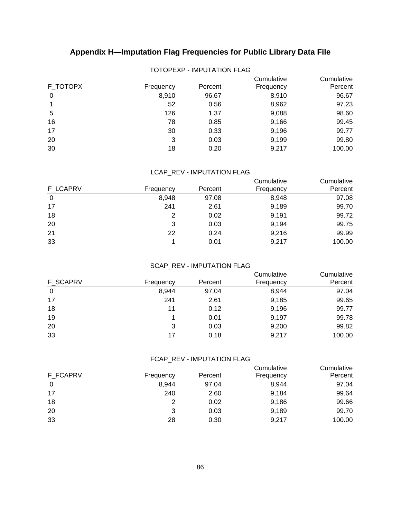| F_TOTOPX | Frequency | Percent | Cumulative<br>Frequency | Cumulative<br>Percent |  |
|----------|-----------|---------|-------------------------|-----------------------|--|
| 0        | 8,910     | 96.67   | 8,910                   | 96.67                 |  |
|          | 52        | 0.56    | 8,962                   | 97.23                 |  |
| 5        | 126       | 1.37    | 9,088                   | 98.60                 |  |
| 16       | 78        | 0.85    | 9,166                   | 99.45                 |  |
| 17       | 30        | 0.33    | 9,196                   | 99.77                 |  |
| 20       | 3         | 0.03    | 9,199                   | 99.80                 |  |
| 30       | 18        | 0.20    | 9,217                   | 100.00                |  |

## TOTOPEXP - IMPUTATION FLAG

#### LCAP\_REV - IMPUTATION FLAG

|          |           |         | Cumulative | Cumulative |
|----------|-----------|---------|------------|------------|
| F LCAPRV | Frequency | Percent | Frequency  | Percent    |
| 0        | 8,948     | 97.08   | 8,948      | 97.08      |
| 17       | 241       | 2.61    | 9,189      | 99.70      |
| 18       | 2         | 0.02    | 9,191      | 99.72      |
| 20       | 3         | 0.03    | 9,194      | 99.75      |
| 21       | 22        | 0.24    | 9,216      | 99.99      |
| 33       |           | 0.01    | 9,217      | 100.00     |

#### SCAP\_REV - IMPUTATION FLAG

|           |         | Cumulative | Cumulative |
|-----------|---------|------------|------------|
| Frequency | Percent | Frequency  | Percent    |
| 8,944     | 97.04   | 8,944      | 97.04      |
| 241       | 2.61    | 9,185      | 99.65      |
| 11        | 0.12    | 9,196      | 99.77      |
|           | 0.01    | 9,197      | 99.78      |
| 3         | 0.03    | 9,200      | 99.82      |
| 17        | 0.18    | 9,217      | 100.00     |
|           |         |            |            |

## FCAP\_REV - IMPUTATION FLAG

| F FCAPRV | Frequency | Percent | Cumulative<br>Frequency | Cumulative<br>Percent |
|----------|-----------|---------|-------------------------|-----------------------|
| 0        | 8.944     | 97.04   | 8,944                   | 97.04                 |
| 17       | 240       | 2.60    | 9,184                   | 99.64                 |
| 18       |           | 0.02    | 9,186                   | 99.66                 |
| 20       | 3         | 0.03    | 9,189                   | 99.70                 |
| 33       | 28        | 0.30    | 9,217                   | 100.00                |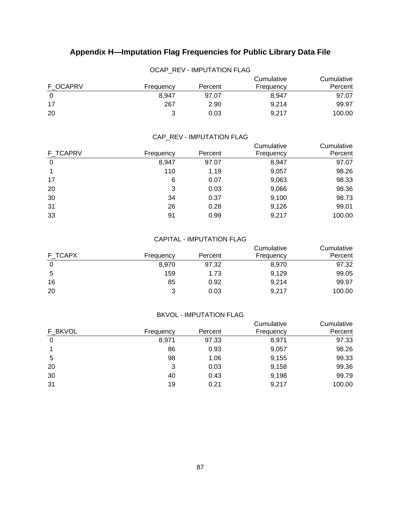| OCAP REV - IMPUTATION FLAG |           |         |                         |                       |  |
|----------------------------|-----------|---------|-------------------------|-----------------------|--|
| F OCAPRV                   | Frequency | Percent | Cumulative<br>Frequency | Cumulative<br>Percent |  |
| 0                          | 8.947     | 97.07   | 8.947                   | 97.07                 |  |
| 17                         | 267       | 2.90    | 9.214                   | 99.97                 |  |
| 20                         | 3         | 0.03    | 9.217                   | 100.00                |  |

#### CAP\_REV - IMPUTATION FLAG

|                 |           |         | Cumulative | Cumulative |
|-----------------|-----------|---------|------------|------------|
| <b>F TCAPRV</b> | Frequency | Percent | Frequency  | Percent    |
| 0               | 8,947     | 97.07   | 8,947      | 97.07      |
|                 | 110       | 1.19    | 9,057      | 98.26      |
| 17              | 6         | 0.07    | 9,063      | 98.33      |
| 20              | 3         | 0.03    | 9,066      | 98.36      |
| 30              | 34        | 0.37    | 9,100      | 98.73      |
| 31              | 26        | 0.28    | 9,126      | 99.01      |
| 33              | 91        | 0.99    | 9,217      | 100.00     |
|                 |           |         |            |            |

#### CAPITAL - IMPUTATION FLAG

| F TCAPX | Frequency | Percent | Cumulative<br>Frequency | Cumulative<br>Percent |
|---------|-----------|---------|-------------------------|-----------------------|
| 0       | 8.970     | 97.32   | 8,970                   | 97.32                 |
| 5       | 159       | 1.73    | 9,129                   | 99.05                 |
| 16      | 85        | 0.92    | 9,214                   | 99.97                 |
| 20      | າ         | 0.03    | 9.217                   | 100.00                |

#### BKVOL - IMPUTATION FLAG

|         |           |         | Cumulative | Cumulative |
|---------|-----------|---------|------------|------------|
| F BKVOL | Frequency | Percent | Frequency  | Percent    |
| 0       | 8,971     | 97.33   | 8,971      | 97.33      |
|         | 86        | 0.93    | 9,057      | 98.26      |
| 5       | 98        | 1.06    | 9,155      | 99.33      |
| 20      | 3         | 0.03    | 9,158      | 99.36      |
| 30      | 40        | 0.43    | 9,198      | 99.79      |
| 31      | 19        | 0.21    | 9,217      | 100.00     |
|         |           |         |            |            |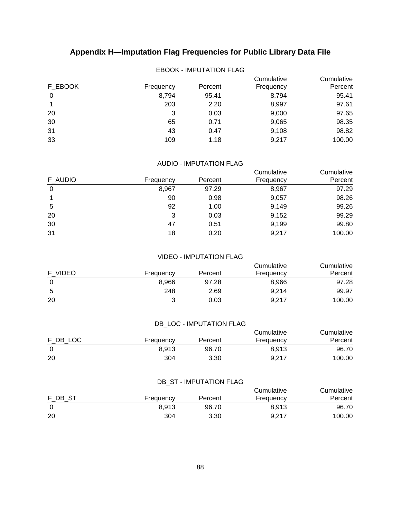| F EBOOK | Frequency | Percent | Cumulative<br>Frequency | Cumulative<br>Percent |
|---------|-----------|---------|-------------------------|-----------------------|
| 0       | 8,794     | 95.41   | 8,794                   | 95.41                 |
|         | 203       | 2.20    | 8,997                   | 97.61                 |
| 20      | 3         | 0.03    | 9,000                   | 97.65                 |
| 30      | 65        | 0.71    | 9,065                   | 98.35                 |
| 31      | 43        | 0.47    | 9,108                   | 98.82                 |
| 33      | 109       | 1.18    | 9,217                   | 100.00                |

## EBOOK - IMPUTATION FLAG

## AUDIO - IMPUTATION FLAG

|         |           |         | Cumulative | Cumulative |
|---------|-----------|---------|------------|------------|
| F AUDIO | Frequency | Percent | Frequency  | Percent    |
| 0       | 8,967     | 97.29   | 8,967      | 97.29      |
|         | 90        | 0.98    | 9,057      | 98.26      |
| 5       | 92        | 1.00    | 9,149      | 99.26      |
| 20      | 3         | 0.03    | 9,152      | 99.29      |
| 30      | 47        | 0.51    | 9,199      | 99.80      |
| 31      | 18        | 0.20    | 9,217      | 100.00     |
|         |           |         |            |            |

#### VIDEO - IMPUTATION FLAG

| F VIDEO | Frequency | Percent | Cumulative<br>Frequency | Cumulative<br>Percent |
|---------|-----------|---------|-------------------------|-----------------------|
| 0       | 8.966     | 97.28   | 8,966                   | 97.28                 |
| 5       | 248       | 2.69    | 9.214                   | 99.97                 |
| 20      | າ         | 0.03    | 9,217                   | 100.00                |

## DB\_LOC - IMPUTATION FLAG

| F DB LOC | Frequency | Percent | Cumulative<br>Frequency | Cumulative<br>Percent |
|----------|-----------|---------|-------------------------|-----------------------|
|          | 8.913     | 96.70   | 8.913                   | 96.70                 |
| 20       | 304       | 3.30    | 9,217                   | 100.00                |

## DB\_ST - IMPUTATION FLAG

|         |           |         | Cumulative | Cumulative |
|---------|-----------|---------|------------|------------|
| F DB ST | Frequency | Percent | Frequency  | Percent    |
|         | 8.913     | 96.70   | 8.913      | 96.70      |
| 20      | 304       | 3.30    | 9.217      | 100.00     |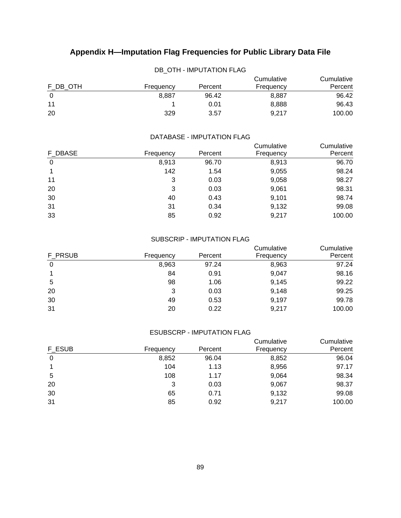| DB OTH - IMPUTATION FLAG |           |         |                         |                       |  |
|--------------------------|-----------|---------|-------------------------|-----------------------|--|
| F DB OTH                 | Frequency | Percent | Cumulative<br>Frequency | Cumulative<br>Percent |  |
| $\Omega$                 | 8.887     | 96.42   | 8,887                   | 96.42                 |  |
| 11                       |           | 0.01    | 8,888                   | 96.43                 |  |
| 20                       | 329       | 3.57    | 9.217                   | 100.00                |  |

#### DATABASE - IMPUTATION FLAG

|         |           |         | Cumulative | Cumulative |
|---------|-----------|---------|------------|------------|
| F DBASE | Frequency | Percent | Frequency  | Percent    |
| 0       | 8,913     | 96.70   | 8,913      | 96.70      |
|         | 142       | 1.54    | 9,055      | 98.24      |
| 11      | 3         | 0.03    | 9,058      | 98.27      |
| 20      | 3         | 0.03    | 9,061      | 98.31      |
| 30      | 40        | 0.43    | 9,101      | 98.74      |
| 31      | 31        | 0.34    | 9,132      | 99.08      |
| 33      | 85        | 0.92    | 9,217      | 100.00     |

#### SUBSCRIP - IMPUTATION FLAG

|         |           |         | Cumulative | Cumulative |
|---------|-----------|---------|------------|------------|
| F PRSUB | Frequency | Percent | Frequency  | Percent    |
| 0       | 8,963     | 97.24   | 8,963      | 97.24      |
|         | 84        | 0.91    | 9,047      | 98.16      |
| 5       | 98        | 1.06    | 9,145      | 99.22      |
| 20      | 3         | 0.03    | 9,148      | 99.25      |
| 30      | 49        | 0.53    | 9,197      | 99.78      |
| 31      | 20        | 0.22    | 9,217      | 100.00     |

#### ESUBSCRP - IMPUTATION FLAG

|        |           |         | Cumulative | Cumulative |
|--------|-----------|---------|------------|------------|
| F ESUB | Frequency | Percent | Frequency  | Percent    |
| 0      | 8,852     | 96.04   | 8,852      | 96.04      |
|        | 104       | 1.13    | 8,956      | 97.17      |
| 5      | 108       | 1.17    | 9,064      | 98.34      |
| 20     | 3         | 0.03    | 9,067      | 98.37      |
| 30     | 65        | 0.71    | 9,132      | 99.08      |
| 31     | 85        | 0.92    | 9,217      | 100.00     |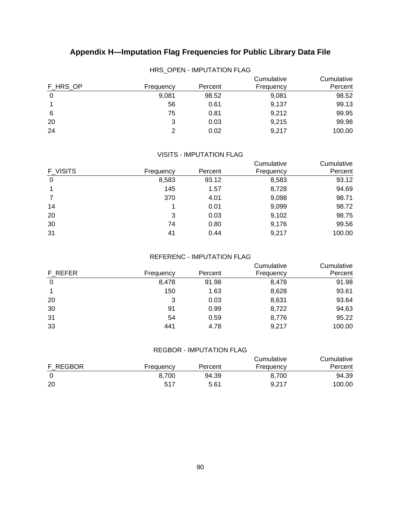| F HRS OP | Frequency | Percent | Cumulative<br>Frequency | Cumulative<br>Percent |
|----------|-----------|---------|-------------------------|-----------------------|
| 0        | 9,081     | 98.52   | 9,081                   | 98.52                 |
|          | 56        | 0.61    | 9,137                   | 99.13                 |
| 6        | 75        | 0.81    | 9,212                   | 99.95                 |
| 20       | 3         | 0.03    | 9,215                   | 99.98                 |
| 24       |           | 0.02    | 9,217                   | 100.00                |

## HRS\_OPEN - IMPUTATION FLAG

## VISITS - IMPUTATION FLAG

|          |           |         | Cumulative | Cumulative |
|----------|-----------|---------|------------|------------|
| F VISITS | Frequency | Percent | Frequency  | Percent    |
| 0        | 8,583     | 93.12   | 8,583      | 93.12      |
|          | 145       | 1.57    | 8,728      | 94.69      |
|          | 370       | 4.01    | 9,098      | 98.71      |
| 14       |           | 0.01    | 9,099      | 98.72      |
| 20       | 3         | 0.03    | 9,102      | 98.75      |
| 30       | 74        | 0.80    | 9,176      | 99.56      |
| 31       | 41        | 0.44    | 9,217      | 100.00     |

#### REFERENC - IMPUTATION FLAG

|           |         | Cumulative | Cumulative |
|-----------|---------|------------|------------|
| Frequency | Percent | Frequency  | Percent    |
| 8,478     | 91.98   | 8,478      | 91.98      |
| 150       | 1.63    | 8,628      | 93.61      |
| 3         | 0.03    | 8,631      | 93.64      |
| 91        | 0.99    | 8,722      | 94.63      |
| 54        | 0.59    | 8,776      | 95.22      |
| 441       | 4.78    | 9,217      | 100.00     |
|           |         |            |            |

## REGBOR - IMPUTATION FLAG

| F REGBOR | Frequency | Percent | Cumulative<br>Frequency | Cumulative<br>Percent |
|----------|-----------|---------|-------------------------|-----------------------|
|          | 8.700     | 94.39   | 8.700                   | 94.39                 |
| 20       | 517       | 5.61    | 9.217                   | 100.00                |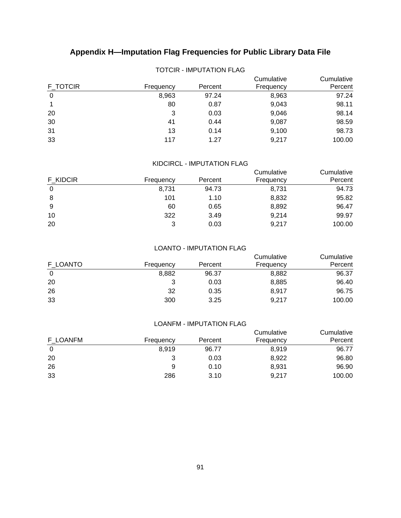| F TOTCIR | Frequency | Percent | Cumulative<br>Frequency | Cumulative<br>Percent |
|----------|-----------|---------|-------------------------|-----------------------|
| 0        | 8,963     | 97.24   | 8,963                   | 97.24                 |
|          | 80        | 0.87    | 9,043                   | 98.11                 |
| 20       | 3         | 0.03    | 9,046                   | 98.14                 |
| 30       | 41        | 0.44    | 9,087                   | 98.59                 |
| 31       | 13        | 0.14    | 9,100                   | 98.73                 |
| 33       | 117       | 1.27    | 9,217                   | 100.00                |

## TOTCIR - IMPUTATION FLAG

## KIDCIRCL - IMPUTATION FLAG

|                 |           |         | Cumulative | Cumulative |
|-----------------|-----------|---------|------------|------------|
| <b>F KIDCIR</b> | Frequency | Percent | Frequency  | Percent    |
| 0               | 8,731     | 94.73   | 8,731      | 94.73      |
| 8               | 101       | 1.10    | 8,832      | 95.82      |
| 9               | 60        | 0.65    | 8,892      | 96.47      |
| 10              | 322       | 3.49    | 9,214      | 99.97      |
| 20              | 3         | 0.03    | 9,217      | 100.00     |

#### LOANTO - IMPUTATION FLAG

| F LOANTO | Frequency | Percent | Cumulative<br>Frequency | Cumulative<br>Percent |
|----------|-----------|---------|-------------------------|-----------------------|
| 0        | 8,882     | 96.37   | 8,882                   | 96.37                 |
| 20       |           | 0.03    | 8,885                   | 96.40                 |
| 26       | 32        | 0.35    | 8,917                   | 96.75                 |
| 33       | 300       | 3.25    | 9,217                   | 100.00                |

#### LOANFM - IMPUTATION FLAG

| F LOANFM | Frequency | Percent | Cumulative<br>Frequency | Cumulative<br>Percent |
|----------|-----------|---------|-------------------------|-----------------------|
| 0        | 8.919     | 96.77   | 8,919                   | 96.77                 |
| 20       |           | 0.03    | 8,922                   | 96.80                 |
| 26       | 9         | 0.10    | 8,931                   | 96.90                 |
| 33       | 286       | 3.10    | 9,217                   | 100.00                |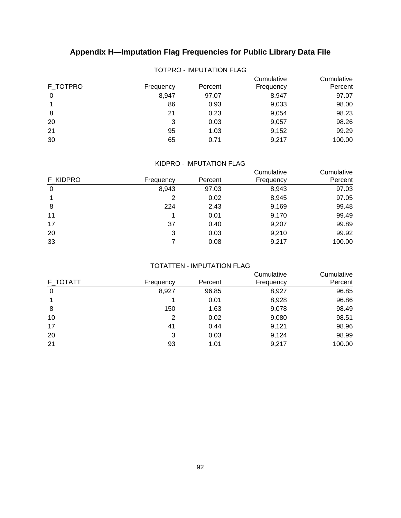| F_TOTPRO | Frequency | Percent | Cumulative<br>Frequency | Cumulative<br>Percent |
|----------|-----------|---------|-------------------------|-----------------------|
| 0        | 8,947     | 97.07   | 8,947                   | 97.07                 |
|          | 86        | 0.93    | 9,033                   | 98.00                 |
| 8        | 21        | 0.23    | 9,054                   | 98.23                 |
| 20       | 3         | 0.03    | 9,057                   | 98.26                 |
| 21       | 95        | 1.03    | 9,152                   | 99.29                 |
| 30       | 65        | 0.71    | 9,217                   | 100.00                |

## TOTPRO - IMPUTATION FLAG

#### KIDPRO - IMPUTATION FLAG

|          |           |         | Cumulative | Cumulative |
|----------|-----------|---------|------------|------------|
| F KIDPRO | Frequency | Percent | Frequency  | Percent    |
| 0        | 8,943     | 97.03   | 8,943      | 97.03      |
|          | 2         | 0.02    | 8,945      | 97.05      |
| 8        | 224       | 2.43    | 9,169      | 99.48      |
| 11       |           | 0.01    | 9,170      | 99.49      |
| 17       | 37        | 0.40    | 9,207      | 99.89      |
| 20       | 3         | 0.03    | 9,210      | 99.92      |
| 33       |           | 0.08    | 9,217      | 100.00     |
|          |           |         |            |            |

#### TOTATTEN - IMPUTATION FLAG

| F TOTATT<br>Percent<br>Frequency<br>Frequency<br>8,927<br>96.85<br>8,927<br>0<br>8,928<br>0.01<br>9,078<br>150<br>8<br>1.63<br>10<br>9,080<br>0.02<br>2<br>17<br>9,121<br>41<br>0.44<br>20<br>9,124<br>3<br>0.03<br>21<br>9,217<br>93<br>1.01 |  | Cumulative | Cumulative |
|-----------------------------------------------------------------------------------------------------------------------------------------------------------------------------------------------------------------------------------------------|--|------------|------------|
|                                                                                                                                                                                                                                               |  |            | Percent    |
|                                                                                                                                                                                                                                               |  |            | 96.85      |
|                                                                                                                                                                                                                                               |  |            | 96.86      |
|                                                                                                                                                                                                                                               |  |            | 98.49      |
|                                                                                                                                                                                                                                               |  |            | 98.51      |
|                                                                                                                                                                                                                                               |  |            | 98.96      |
|                                                                                                                                                                                                                                               |  |            | 98.99      |
|                                                                                                                                                                                                                                               |  |            | 100.00     |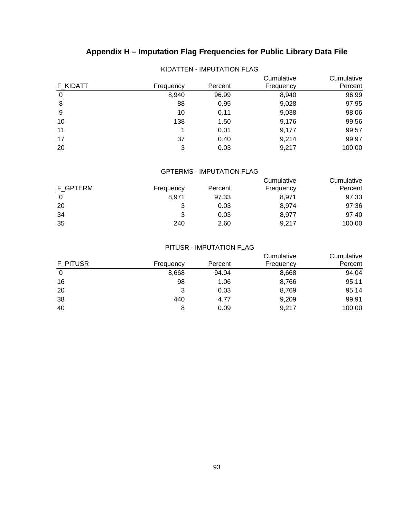| F KIDATT | Frequency | Percent | Cumulative<br>Frequency | Cumulative<br>Percent |
|----------|-----------|---------|-------------------------|-----------------------|
| 0        | 8,940     | 96.99   | 8,940                   | 96.99                 |
| 8        | 88        | 0.95    | 9,028                   | 97.95                 |
| 9        | 10        | 0.11    | 9,038                   | 98.06                 |
| 10       | 138       | 1.50    | 9,176                   | 99.56                 |
| 11       |           | 0.01    | 9,177                   | 99.57                 |
| 17       | 37        | 0.40    | 9,214                   | 99.97                 |
| 20       | 3         | 0.03    | 9,217                   | 100.00                |

## KIDATTEN - IMPUTATION FLAG

## GPTERMS - IMPUTATION FLAG

| F GPTERM | Frequency | Percent | Cumulative<br>Frequency | Cumulative<br>Percent |
|----------|-----------|---------|-------------------------|-----------------------|
| 0        | 8.971     | 97.33   | 8,971                   | 97.33                 |
| 20       | 3         | 0.03    | 8.974                   | 97.36                 |
| 34       | 3         | 0.03    | 8.977                   | 97.40                 |
| 35       | 240       | 2.60    | 9,217                   | 100.00                |

#### PITUSR - IMPUTATION FLAG

| F PITUSR |           | Cumulative | Cumulative |         |
|----------|-----------|------------|------------|---------|
|          | Frequency | Percent    | Frequency  | Percent |
| 0        | 8,668     | 94.04      | 8,668      | 94.04   |
| 16       | 98        | 1.06       | 8,766      | 95.11   |
| 20       | 3         | 0.03       | 8,769      | 95.14   |
| 38       | 440       | 4.77       | 9,209      | 99.91   |
| 40       | 8         | 0.09       | 9,217      | 100.00  |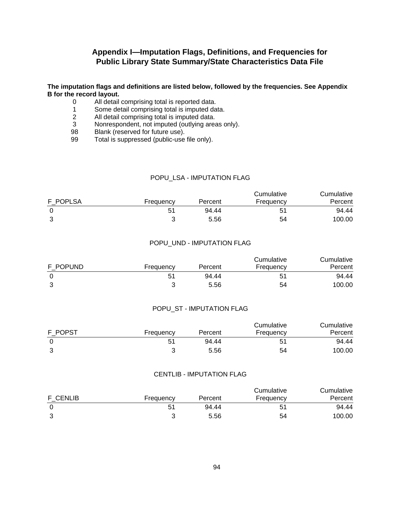#### **The imputation flags and definitions are listed below, followed by the frequencies. See Appendix B for the record layout.**

- 0 All detail comprising total is reported data.
- 1 Some detail comprising total is imputed data.<br>2 All detail comprising total is imputed data.
- 2 All detail comprising total is imputed data.<br>3 Nonrespondent, not imputed (outlying area
- Nonrespondent, not imputed (outlying areas only).
- 98 Blank (reserved for future use).<br>99 Total is suppressed (public-use
- Total is suppressed (public-use file only).

#### POPU LSA - IMPUTATION FLAG

|          |           |         | Cumulative | Cumulative |  |
|----------|-----------|---------|------------|------------|--|
| F POPLSA | Frequency | Percent | Frequency  | Percent    |  |
|          | 51        | 94.44   |            | 94.44      |  |
| っ        |           | 5.56    | 54         | 100.00     |  |

#### POPU\_UND - IMPUTATION FLAG

| F POPUND | Frequency | Percent | Cumulative<br>Frequency | Cumulative<br>Percent |
|----------|-----------|---------|-------------------------|-----------------------|
|          | 51        | 94.44   | 51                      | 94.44                 |
| 3        |           | 5.56    | 54                      | 100.00                |

#### POPU\_ST - IMPUTATION FLAG

| F POPST |           |         | Cumulative | Cumulative |
|---------|-----------|---------|------------|------------|
|         | Frequency | Percent | Frequency  | Percent    |
|         | 51        | 94.44   | 51         | 94.44      |
|         |           | 5.56    | 54         | 100.00     |

## CENTLIB - IMPUTATION FLAG

|                 |           |         | Cumulative | Cumulative |  |
|-----------------|-----------|---------|------------|------------|--|
| <b>F CENLIB</b> | Frequency | Percent | Frequency  | Percent    |  |
|                 | 51        | 94.44   | 51         | 94.44      |  |
|                 |           | 5.56    | 54         | 100.00     |  |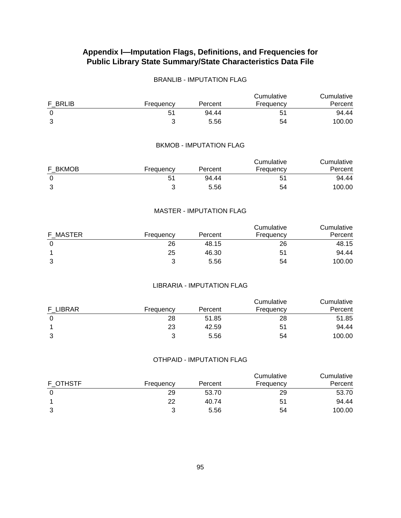## BRANLIB - IMPUTATION FLAG

|         |           |         | Cumulative | Cumulative |
|---------|-----------|---------|------------|------------|
| F BRLIB | Frequency | Percent | Frequency  | Percent    |
|         | 51        | 94.44   | 51         | 94.44      |
| າ       |           | 5.56    | 54         | 100.00     |

### BKMOB - IMPUTATION FLAG

|         |           |         | Cumulative | Cumulative |
|---------|-----------|---------|------------|------------|
| F BKMOB | Frequency | Percent | Frequency  | Percent    |
|         | 51        | 94.44   |            | 94.44      |
|         |           | 5.56    | 54         | 100.00     |

#### MASTER - IMPUTATION FLAG

| F MASTER | Frequency | Percent | Cumulative<br>Frequency | Cumulative<br>Percent |
|----------|-----------|---------|-------------------------|-----------------------|
|          | 26        | 48.15   | 26                      | 48.15                 |
|          | 25        | 46.30   | 51                      | 94.44                 |
|          | ?         | 5.56    | 54                      | 100.00                |

## LIBRARIA - IMPUTATION FLAG

| F LIBRAR | Frequency | Percent | Cumulative<br>Frequency | Cumulative<br>Percent |
|----------|-----------|---------|-------------------------|-----------------------|
|          | 28        | 51.85   | 28                      | 51.85                 |
|          | 23        | 42.59   | 51                      | 94.44                 |
|          |           | 5.56    | 54                      | 100.00                |

#### OTHPAID - IMPUTATION FLAG

| F OTHSTF | Frequency | Percent | Cumulative<br>Frequency | Cumulative<br>Percent |
|----------|-----------|---------|-------------------------|-----------------------|
|          | 29        | 53.70   | 29                      | 53.70                 |
|          | 22        | 40.74   | 51                      | 94.44                 |
|          |           | 5.56    | 54                      | 100.00                |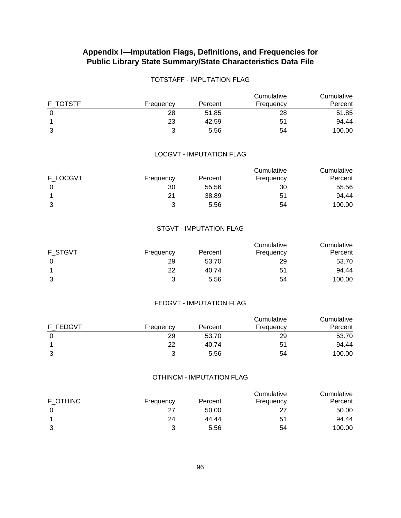## TOTSTAFF - IMPUTATION FLAG

| F TOTSTF | Frequency | Percent | Cumulative<br>Frequency | Cumulative<br>Percent |
|----------|-----------|---------|-------------------------|-----------------------|
|          | 28        | 51.85   | 28                      | 51.85                 |
|          | 23        | 42.59   | 51                      | 94.44                 |
| 3        |           | 5.56    | 54                      | 100.00                |

#### LOCGVT - IMPUTATION FLAG

|          |           |         | Cumulative | Cumulative |
|----------|-----------|---------|------------|------------|
| F LOCGVT | Frequency | Percent | Frequency  | Percent    |
|          | 30        | 55.56   | 30         | 55.56      |
|          | 21        | 38.89   | 51         | 94.44      |
| 3        | ≏         | 5.56    | 54         | 100.00     |

#### STGVT - IMPUTATION FLAG

| F STGVT | Frequency | Percent | Cumulative<br>Frequency | Cumulative<br>Percent |
|---------|-----------|---------|-------------------------|-----------------------|
|         | 29        | 53.70   | 29                      | 53.70                 |
|         | 22        | 40.74   | 51                      | 94.44                 |
| 3       | ◠         | 5.56    | 54                      | 100.00                |

### FEDGVT - IMPUTATION FLAG

| F FEDGVT | Frequency | Percent | Cumulative<br>Frequency | Cumulative<br>Percent |
|----------|-----------|---------|-------------------------|-----------------------|
|          | 29        | 53.70   | 29                      | 53.70                 |
|          | 22        | 40.74   | 51                      | 94.44                 |
|          |           | 5.56    | 54                      | 100.00                |

#### OTHINCM - IMPUTATION FLAG

|          |           |         | Cumulative | Cumulative |
|----------|-----------|---------|------------|------------|
| F OTHINC | Frequency | Percent | Frequency  | Percent    |
|          | -27       | 50.00   | 27         | 50.00      |
|          | 24        | 44.44   | 51         | 94.44      |
|          |           | 5.56    | 54         | 100.00     |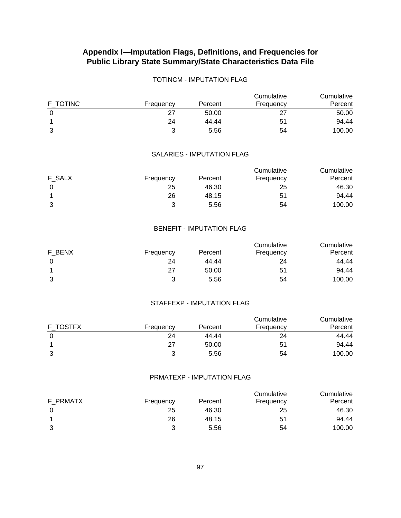## TOTINCM - IMPUTATION FLAG

| F TOTINC | Frequency | Percent | Cumulative<br>Frequency | Cumulative<br>Percent |
|----------|-----------|---------|-------------------------|-----------------------|
|          | 27        | 50.00   |                         | 50.00                 |
|          | 24        | 44.44   | 51                      | 94.44                 |
| 3        |           | 5.56    | 54                      | 100.00                |

#### SALARIES - IMPUTATION FLAG

| F SALX |           |         | Cumulative | Cumulative |
|--------|-----------|---------|------------|------------|
|        | Frequency | Percent | Frequency  | Percent    |
|        | 25        | 46.30   | 25         | 46.30      |
|        | 26        | 48.15   | 51         | 94.44      |
| 3      |           | 5.56    | 54         | 100.00     |

#### BENEFIT - IMPUTATION FLAG

| F BENX | Frequency | Percent | Cumulative<br>Frequency | Cumulative<br>Percent |
|--------|-----------|---------|-------------------------|-----------------------|
|        | 24        | 44.44   | 24                      | 44.44                 |
|        | 27        | 50.00   | 51                      | 94.44                 |
| 3      | າ         | 5.56    | 54                      | 100.00                |

## STAFFEXP - IMPUTATION FLAG

| F TOSTFX | Frequency | Percent | Cumulative<br>Frequency | Cumulative<br>Percent |
|----------|-----------|---------|-------------------------|-----------------------|
|          | 24        | 44.44   | 24                      | 44.44                 |
|          | 27        | 50.00   | 51                      | 94.44                 |
|          |           | 5.56    | 54                      | 100.00                |

#### PRMATEXP - IMPUTATION FLAG

| F PRMATX | Frequency | Percent | Cumulative<br>Frequency | Cumulative<br>Percent |
|----------|-----------|---------|-------------------------|-----------------------|
|          | 25        | 46.30   | 25                      | 46.30                 |
|          | 26        | 48.15   | 51                      | 94.44                 |
|          |           | 5.56    | 54                      | 100.00                |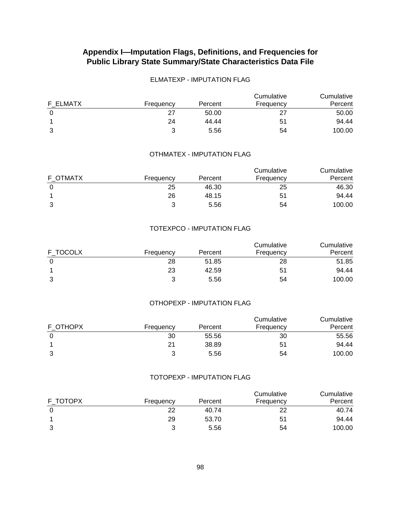## ELMATEXP - IMPUTATION FLAG

| F ELMATX |           |         | Cumulative | Cumulative |  |
|----------|-----------|---------|------------|------------|--|
|          | Frequency | Percent | Frequency  | Percent    |  |
|          | 27        | 50.00   |            | 50.00      |  |
|          | 24        | 44.44   | 51         | 94.44      |  |
| 3        |           | 5.56    | 54         | 100.00     |  |

#### OTHMATEX - IMPUTATION FLAG

| F OTMATX |           |         | Cumulative | Cumulative |
|----------|-----------|---------|------------|------------|
|          | Frequency | Percent | Frequency  | Percent    |
|          | 25        | 46.30   | 25         | 46.30      |
|          | 26        | 48.15   | 51         | 94.44      |
| 3        |           | 5.56    | 54         | 100.00     |

#### TOTEXPCO - IMPUTATION FLAG

| F TOCOLX | Frequency | Percent | Cumulative<br>Frequency | Cumulative<br>Percent |
|----------|-----------|---------|-------------------------|-----------------------|
|          | 28        | 51.85   | 28                      | 51.85                 |
|          | 23        | 42.59   | 51                      | 94.44                 |
| 3        |           | 5.56    | 54                      | 100.00                |

## OTHOPEXP - IMPUTATION FLAG

| F OTHOPX | Frequency | Percent | Cumulative<br>Frequency | Cumulative<br>Percent |
|----------|-----------|---------|-------------------------|-----------------------|
|          | 30        | 55.56   | 30                      | 55.56                 |
|          | 21        | 38.89   | 51                      | 94.44                 |
|          |           | 5.56    | 54                      | 100.00                |

#### TOTOPEXP - IMPUTATION FLAG

| F TOTOPX | Frequency | Percent | Cumulative<br>Frequency | Cumulative<br>Percent |
|----------|-----------|---------|-------------------------|-----------------------|
|          | 22        | 40.74   | 22                      | 40.74                 |
|          | 29        | 53.70   | 51                      | 94.44                 |
|          |           | 5.56    | 54                      | 100.00                |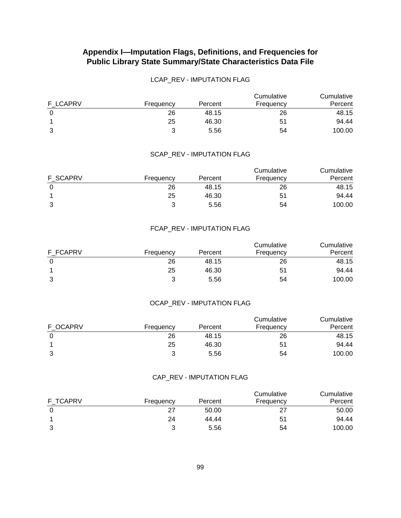## LCAP\_REV - IMPUTATION FLAG

| F LCAPRV | Frequency | Percent | Cumulative<br>Frequency | Cumulative<br>Percent |
|----------|-----------|---------|-------------------------|-----------------------|
|          | 26        | 48.15   | 26                      | 48.15                 |
|          | 25        | 46.30   | 51                      | 94.44                 |
| 3        | າ         | 5.56    | 54                      | 100.00                |

#### SCAP\_REV - IMPUTATION FLAG

|                 |           |         | Cumulative | Cumulative |
|-----------------|-----------|---------|------------|------------|
| <b>F SCAPRV</b> | Frequency | Percent | Frequency  | Percent    |
|                 | 26        | 48.15   | 26         | 48.15      |
|                 | 25        | 46.30   | 51         | 94.44      |
| 3               |           | 5.56    | 54         | 100.00     |

#### FCAP\_REV - IMPUTATION FLAG

| F FCAPRV | Frequency | Percent | Cumulative<br>Frequency | Cumulative<br>Percent |
|----------|-----------|---------|-------------------------|-----------------------|
|          | 26        | 48.15   | 26                      | 48.15                 |
|          | 25        | 46.30   | 51                      | 94.44                 |
| 3        | າ         | 5.56    | 54                      | 100.00                |

## OCAP\_REV - IMPUTATION FLAG

| F OCAPRV | Frequency | Percent | Cumulative<br>Frequency | Cumulative<br>Percent |
|----------|-----------|---------|-------------------------|-----------------------|
|          | 26        | 48.15   | 26                      | 48.15                 |
|          | 25        | 46.30   | 51                      | 94.44                 |
|          |           | 5.56    | 54                      | 100.00                |

#### CAP\_REV - IMPUTATION FLAG

|                 |           |         | Cumulative | Cumulative |
|-----------------|-----------|---------|------------|------------|
| <b>F TCAPRV</b> | Frequency | Percent | Frequency  | Percent    |
|                 | -27       | 50.00   | 27         | 50.00      |
|                 | 24        | 44.44   | 51         | 94.44      |
|                 |           | 5.56    | 54         | 100.00     |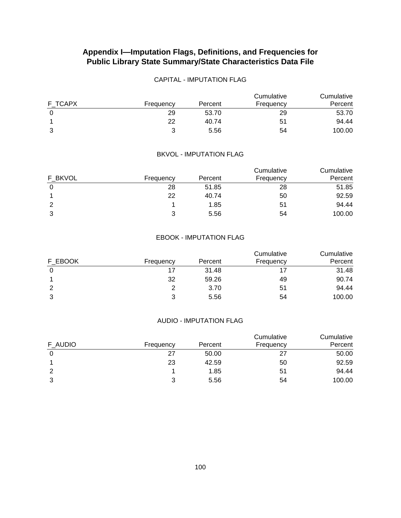## CAPITAL - IMPUTATION FLAG

| F TCAPX |           |         | Cumulative | Cumulative |
|---------|-----------|---------|------------|------------|
|         | Frequency | Percent | Frequency  | Percent    |
|         | 29        | 53.70   | 29         | 53.70      |
|         | 22        | 40.74   | 51         | 94.44      |
| 3       | ?         | 5.56    | 54         | 100.00     |

#### BKVOL - IMPUTATION FLAG

| F BKVOL | Frequency | Percent | Cumulative<br>Frequency | Cumulative<br>Percent |
|---------|-----------|---------|-------------------------|-----------------------|
|         | 28        | 51.85   | 28                      | 51.85                 |
|         | 22        | 40.74   | 50                      | 92.59                 |
| 2       |           | 1.85    | 51                      | 94.44                 |
| 3       | ີ         | 5.56    | 54                      | 100.00                |

### EBOOK - IMPUTATION FLAG

| F EBOOK | Frequency | Percent | Cumulative<br>Frequency | Cumulative<br>Percent |
|---------|-----------|---------|-------------------------|-----------------------|
| 0       | 17        | 31.48   |                         | 31.48                 |
|         | 32        | 59.26   | 49                      | 90.74                 |
|         |           | 3.70    | 51                      | 94.44                 |
| 3       |           | 5.56    | 54                      | 100.00                |

#### AUDIO - IMPUTATION FLAG

| F AUDIO | Frequency | Percent | Cumulative<br>Frequency | Cumulative<br>Percent |
|---------|-----------|---------|-------------------------|-----------------------|
|         | 27        | 50.00   | 27                      | 50.00                 |
|         | 23        | 42.59   | 50                      | 92.59                 |
|         |           | 1.85    | 51                      | 94.44                 |
|         | າ         | 5.56    | 54                      | 100.00                |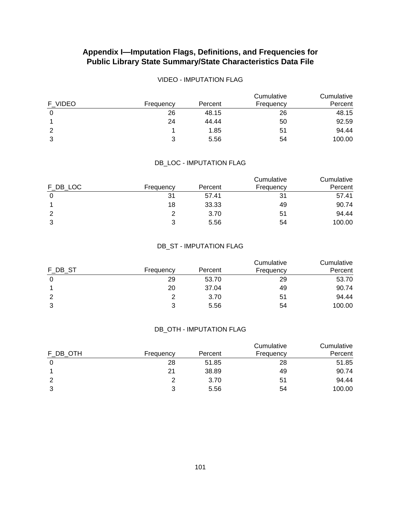## VIDEO - IMPUTATION FLAG

| F VIDEO | Frequency | Percent | Cumulative<br>Frequency | Cumulative<br>Percent |
|---------|-----------|---------|-------------------------|-----------------------|
|         | 26        | 48.15   | 26                      | 48.15                 |
|         | 24        | 44.44   | 50                      | 92.59                 |
| 2       |           | 1.85    | 51                      | 94.44                 |
| 3       |           | 5.56    | 54                      | 100.00                |

### DB\_LOC - IMPUTATION FLAG

| F DB LOC | Frequency | Percent | Cumulative<br>Frequency | Cumulative<br>Percent |
|----------|-----------|---------|-------------------------|-----------------------|
|          | 31        | 57.41   | 31                      | 57.41                 |
|          | 18        | 33.33   | 49                      | 90.74                 |
| 2        | ႒         | 3.70    | 51                      | 94.44                 |
| 3        | າ         | 5.56    | 54                      | 100.00                |

## DB\_ST - IMPUTATION FLAG

| F_DB_ST | Frequency | Percent | Cumulative<br>Frequency | Cumulative<br>Percent |
|---------|-----------|---------|-------------------------|-----------------------|
| 0       | 29        | 53.70   | 29                      | 53.70                 |
|         | 20        | 37.04   | 49                      | 90.74                 |
| 2       | ႒         | 3.70    | 51                      | 94.44                 |
| 3       | 2         | 5.56    | 54                      | 100.00                |

## DB\_OTH - IMPUTATION FLAG

| F DB OTH | Frequency | Percent | Cumulative<br>Frequency | Cumulative<br>Percent |
|----------|-----------|---------|-------------------------|-----------------------|
|          | 28        | 51.85   | 28                      | 51.85                 |
|          | 21        | 38.89   | 49                      | 90.74                 |
| 2        |           | 3.70    | 51                      | 94.44                 |
| 3        |           | 5.56    | 54                      | 100.00                |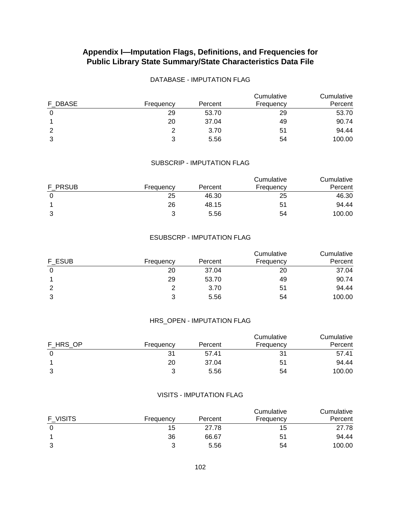## DATABASE - IMPUTATION FLAG

| F DBASE | Frequency | Percent | Cumulative<br>Frequency | Cumulative<br>Percent |
|---------|-----------|---------|-------------------------|-----------------------|
| 0       | 29        | 53.70   | 29                      | 53.70                 |
|         | 20        | 37.04   | 49                      | 90.74                 |
| 2       | ႒         | 3.70    | 51                      | 94.44                 |
| 3       | າ         | 5.56    | 54                      | 100.00                |

## SUBSCRIP - IMPUTATION FLAG

|         |           |         | Cumulative | Cumulative |
|---------|-----------|---------|------------|------------|
| F PRSUB | Frequency | Percent | Frequency  | Percent    |
|         | 25        | 46.30   | 25         | 46.30      |
|         | 26        | 48.15   | 51         | 94.44      |
| 3       | ລ         | 5.56    | 54         | 100.00     |

### ESUBSCRP - IMPUTATION FLAG

| F ESUB | Frequency | Percent | Cumulative<br>Frequency | Cumulative<br>Percent |
|--------|-----------|---------|-------------------------|-----------------------|
|        | 20        | 37.04   | 20                      | 37.04                 |
|        | 29        | 53.70   | 49                      | 90.74                 |
| 2      |           | 3.70    | 51                      | 94.44                 |
| 3      |           | 5.56    | 54                      | 100.00                |

#### HRS\_OPEN - IMPUTATION FLAG

| F HRS OP | Frequency | Percent | Cumulative<br>Frequency | Cumulative<br>Percent |
|----------|-----------|---------|-------------------------|-----------------------|
|          | 31        | 57.41   | 31                      | 57.41                 |
|          | 20        | 37.04   | 51                      | 94.44                 |
|          |           | 5.56    | 54                      | 100.00                |

#### VISITS - IMPUTATION FLAG

| F VISITS | Frequency | Percent | Cumulative<br>Frequency | Cumulative<br>Percent |
|----------|-----------|---------|-------------------------|-----------------------|
|          | 15        | 27.78   | 15                      | 27.78                 |
|          | 36        | 66.67   | 51                      | 94.44                 |
|          |           | 5.56    | 54                      | 100.00                |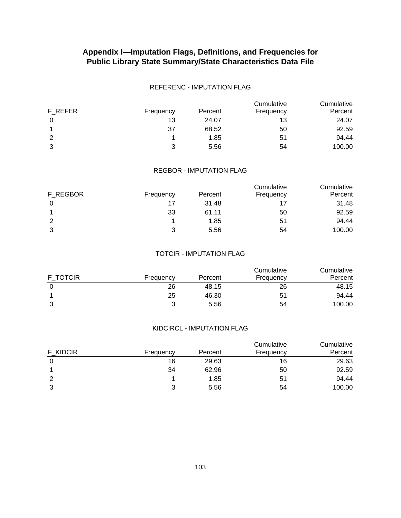### REFERENC - IMPUTATION FLAG

| F REFER | Frequency | Percent | Cumulative<br>Frequency | Cumulative<br>Percent |
|---------|-----------|---------|-------------------------|-----------------------|
|         | 13        | 24.07   | 13                      | 24.07                 |
|         | 37        | 68.52   | 50                      | 92.59                 |
| 2       |           | 1.85    | 51                      | 94.44                 |
| 3       | າ         | 5.56    | 54                      | 100.00                |

## REGBOR - IMPUTATION FLAG

| F REGBOR | Frequency | Percent | Cumulative<br>Frequency | Cumulative<br>Percent |
|----------|-----------|---------|-------------------------|-----------------------|
|          | 17        | 31.48   |                         | 31.48                 |
|          | 33        | 61.11   | 50                      | 92.59                 |
|          |           | 1.85    | 51                      | 94.44                 |
| າ        | າ         | 5.56    | 54                      | 100.00                |

### TOTCIR - IMPUTATION FLAG

| F TOTCIR |           |         | Cumulative<br>Frequency | Cumulative<br>Percent |
|----------|-----------|---------|-------------------------|-----------------------|
|          | Frequency | Percent |                         |                       |
|          | 26        | 48.15   | 26                      | 48.15                 |
|          | 25        | 46.30   | 51                      | 94.44                 |
| 3        |           | 5.56    | 54                      | 100.00                |

## KIDCIRCL - IMPUTATION FLAG

| F KIDCIR | Frequency | Percent | Cumulative<br>Frequency | Cumulative<br>Percent |
|----------|-----------|---------|-------------------------|-----------------------|
|          | 16        | 29.63   | 16                      | 29.63                 |
|          | 34        | 62.96   | 50                      | 92.59                 |
| 2        |           | 1.85    | 51                      | 94.44                 |
| 3        |           | 5.56    | 54                      | 100.00                |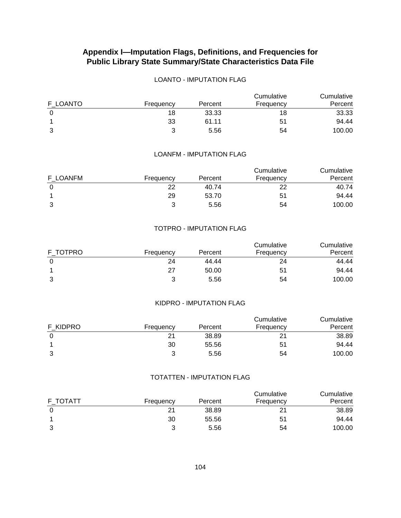## LOANTO - IMPUTATION FLAG

| F LOANTO | Frequency | Percent | Cumulative<br>Frequency | Cumulative<br>Percent |
|----------|-----------|---------|-------------------------|-----------------------|
|          | 18        | 33.33   | 18                      | 33.33                 |
|          | 33        | 61.11   | 51                      | 94.44                 |
| 3        |           | 5.56    | 54                      | 100.00                |

#### LOANFM - IMPUTATION FLAG

| F LOANFM |           |         | Cumulative<br>Frequency | Cumulative<br>Percent |
|----------|-----------|---------|-------------------------|-----------------------|
|          | Frequency | Percent |                         |                       |
|          | 22        | 40.74   |                         | 40.74                 |
|          | 29        | 53.70   | 51                      | 94.44                 |
| ર<br>J   | ົ         | 5.56    | 54                      | 100.00                |

#### TOTPRO - IMPUTATION FLAG

| F TOTPRO | Frequency | Percent | Cumulative<br>Frequency | Cumulative<br>Percent |
|----------|-----------|---------|-------------------------|-----------------------|
|          | 24        | 44.44   | 24                      | 44.44                 |
|          | 27        | 50.00   | 51                      | 94.44                 |
| 3        | າ         | 5.56    | 54                      | 100.00                |

## KIDPRO - IMPUTATION FLAG

| F KIDPRO | Frequency | Percent | Cumulative<br>Frequency | Cumulative<br>Percent |
|----------|-----------|---------|-------------------------|-----------------------|
|          | 21        | 38.89   |                         | 38.89                 |
|          | 30        | 55.56   | 51                      | 94.44                 |
|          |           | 5.56    | 54                      | 100.00                |

#### TOTATTEN - IMPUTATION FLAG

| F TOTATT | Frequency | Percent | Cumulative<br>Frequency | Cumulative<br>Percent |
|----------|-----------|---------|-------------------------|-----------------------|
|          | 21        | 38.89   |                         | 38.89                 |
|          | 30        | 55.56   | 51                      | 94.44                 |
|          |           | 5.56    | 54                      | 100.00                |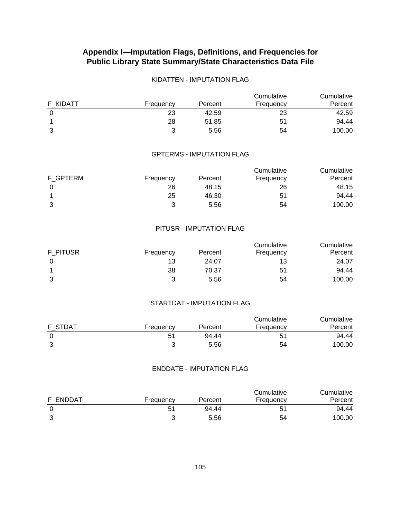# **Appendix I—Imputation Flags, Definitions, and Frequencies for Public Library State Summary/State Characteristics Data File**

### KIDATTEN - IMPUTATION FLAG

| F KIDATT | Frequency | Percent | Cumulative<br>Frequency | Cumulative<br>Percent |
|----------|-----------|---------|-------------------------|-----------------------|
|          | 23        | 42.59   | 23                      | 42.59                 |
|          | 28        | 51.85   | 51                      | 94.44                 |
| 3        |           | 5.56    | 54                      | 100.00                |

#### GPTERMS - IMPUTATION FLAG

| F GPTERM |           |         | Cumulative | Cumulative |  |
|----------|-----------|---------|------------|------------|--|
|          | Frequency | Percent | Frequency  | Percent    |  |
|          | 26        | 48.15   | 26         | 48.15      |  |
|          | 25        | 46.30   | 51         | 94.44      |  |
| 3        | っ         | 5.56    | 54         | 100.00     |  |

#### PITUSR - IMPUTATION FLAG

| F PITUSR | Frequency | Percent | Cumulative<br>Frequency | Cumulative<br>Percent |
|----------|-----------|---------|-------------------------|-----------------------|
|          | 13        | 24.07   | 13                      | 24.07                 |
|          | 38        | 70.37   | 51                      | 94.44                 |
| 3        |           | 5.56    | 54                      | 100.00                |

### STARTDAT - IMPUTATION FLAG

| F STDAT |           | Percent | Cumulative | Cumulative<br>Percent |
|---------|-----------|---------|------------|-----------------------|
|         | Frequency |         | Frequency  |                       |
|         | 51        | 94.44   | 51         | 94.44                 |
|         |           | 5.56    | 54         | 100.00                |

### ENDDATE - IMPUTATION FLAG

| F ENDDAT | Frequency | Percent | Cumulative<br>Frequency | Cumulative<br>Percent |
|----------|-----------|---------|-------------------------|-----------------------|
|          | 51        | 94.44   | 51                      | 94.44                 |
|          |           | 5.56    | 54                      | 100.00                |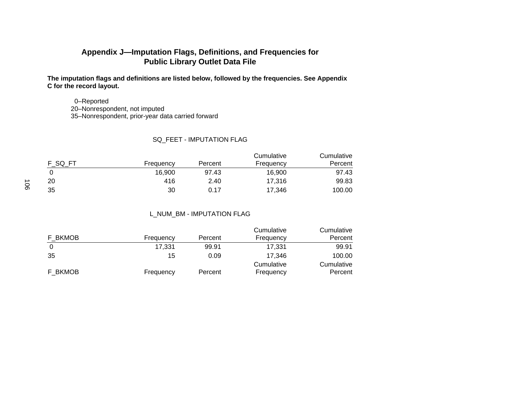## **Appendix J—Imputation Flags, Definitions, and Frequencies for Public Library Outlet Data File**

**The imputation flags and definitions are listed below, followed by the frequencies. See Appendix C for the record layout.** 

 0–Reported 20–Nonrespondent, not imputed 35–Nonrespondent, prior-year data carried forward

### SQ\_FEET - IMPUTATION FLAG

| F SQ FT |           |         | Cumulative | Cumulative |  |
|---------|-----------|---------|------------|------------|--|
|         | Frequency | Percent | Frequency  | Percent    |  |
|         | 16.900    | 97.43   | 16.900     | 97.43      |  |
| 20      | 416       | 2.40    | 17,316     | 99.83      |  |
| 35      | 30        | 0.17    | 17,346     | 100.00     |  |

### L\_NUM\_BM - IMPUTATION FLAG

| F BKMOB | Frequency | Percent | Cumulative<br>Frequency | Cumulative<br>Percent |
|---------|-----------|---------|-------------------------|-----------------------|
| 0       | 17,331    | 99.91   | 17.331                  | 99.91                 |
| 35      | 15        | 0.09    | 17.346                  | 100.00                |
| F BKMOB | Frequency | Percent | Cumulative<br>Frequency | Cumulative<br>Percent |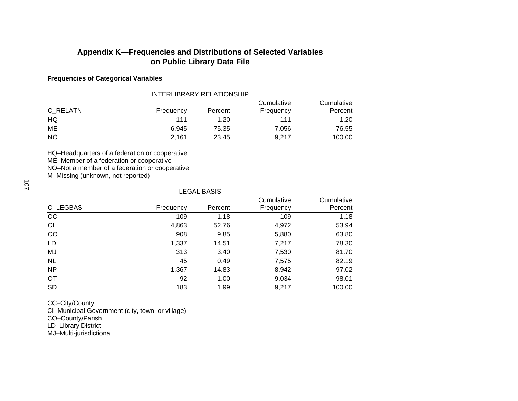### **Frequencies of Categorical Variables**

#### INTERLIBRARY RELATIONSHIP

| C RELATN  | Frequency | Percent | Cumulative<br>Frequency | Cumulative<br>Percent |
|-----------|-----------|---------|-------------------------|-----------------------|
| HQ        | 111       | 1.20    | 111                     | 1.20                  |
| ME        | 6.945     | 75.35   | 7.056                   | 76.55                 |
| <b>NO</b> | 2,161     | 23.45   | 9.217                   | 100.00                |

HQ–Headquarters of a federation or cooperative

ME–Member of a federation or cooperative

NO–Not a member of a federation or cooperative

M–Missing (unknown, not reported)

#### LEGAL BASIS

|           |           |         | Cumulative | Cumulative |
|-----------|-----------|---------|------------|------------|
| C_LEGBAS  | Frequency | Percent | Frequency  | Percent    |
| cc        | 109       | 1.18    | 109        | 1.18       |
| CI        | 4,863     | 52.76   | 4,972      | 53.94      |
| CO        | 908       | 9.85    | 5,880      | 63.80      |
| LD        | 1,337     | 14.51   | 7,217      | 78.30      |
| MJ        | 313       | 3.40    | 7,530      | 81.70      |
| <b>NL</b> | 45        | 0.49    | 7,575      | 82.19      |
| <b>NP</b> | 1,367     | 14.83   | 8,942      | 97.02      |
| <b>OT</b> | 92        | 1.00    | 9,034      | 98.01      |
| <b>SD</b> | 183       | 1.99    | 9,217      | 100.00     |

CC–City/County

CI–Municipal Government (city, town, or village)

CO–County/Parish

LD–Library District

MJ–Multi-jurisdictional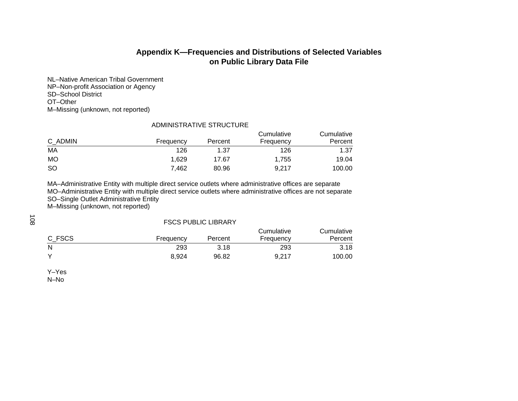NL–Native American Tribal Government NP–Non-profit Association or Agency SD–School District OT–Other M–Missing (unknown, not reported)

#### ADMINISTRATIVE STRUCTURE

| C ADMIN   | Frequency | Percent | Cumulative<br>Frequency | Cumulative<br>Percent |
|-----------|-----------|---------|-------------------------|-----------------------|
| МA        | 126       | 1.37    | 126                     | 1.37                  |
| MO        | 1.629     | 17.67   | 1.755                   | 19.04                 |
| <b>SO</b> | 7,462     | 80.96   | 9,217                   | 100.00                |

MA–Administrative Entity with multiple direct service outlets where administrative offices are separate MO–Administrative Entity with multiple direct service outlets where administrative offices are not separate SO–Single Outlet Administrative Entity

M–Missing (unknown, not reported)

108

#### FSCS PUBLIC LIBRARY

| C FSCS       |           |         | Cumulative | Cumulative |
|--------------|-----------|---------|------------|------------|
|              | Frequency | Percent | Frequency  | Percent    |
| N            | 293       | 3.18    | 293        | 3.18       |
| $\checkmark$ | 8.924     | 96.82   | 9.217      | 100.00     |

Y–Yes N–No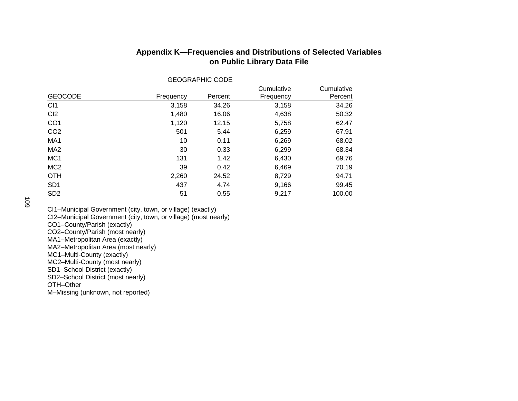| <b>GEOGRAPHIC CODE</b> |           |         |                         |                       |  |
|------------------------|-----------|---------|-------------------------|-----------------------|--|
| <b>GEOCODE</b>         | Frequency | Percent | Cumulative<br>Frequency | Cumulative<br>Percent |  |
| CI1                    | 3,158     | 34.26   | 3,158                   | 34.26                 |  |
| CI <sub>2</sub>        | 1,480     | 16.06   | 4,638                   | 50.32                 |  |
| CO1                    | 1,120     | 12.15   | 5,758                   | 62.47                 |  |
| CO2                    | 501       | 5.44    | 6,259                   | 67.91                 |  |
| MA1                    | 10        | 0.11    | 6,269                   | 68.02                 |  |
| MA2                    | 30        | 0.33    | 6,299                   | 68.34                 |  |
| MC1                    | 131       | 1.42    | 6,430                   | 69.76                 |  |
| MC <sub>2</sub>        | 39        | 0.42    | 6,469                   | 70.19                 |  |
| ОТН                    | 2,260     | 24.52   | 8,729                   | 94.71                 |  |
| SD1                    | 437       | 4.74    | 9,166                   | 99.45                 |  |
| SD2                    | 51        | 0.55    | 9,217                   | 100.00                |  |

CI1–Municipal Government (city, town, or village) (exactly)

CI2–Municipal Government (city, town, or village) (most nearly)

CO1–County/Parish (exactly)

CO2–County/Parish (most nearly)

MA1–Metropolitan Area (exactly)

MA2–Metropolitan Area (most nearly)

MC1–Multi-County (exactly)

MC2–Multi-County (most nearly)

SD1–School District (exactly)

SD2–School District (most nearly)

OTH–Other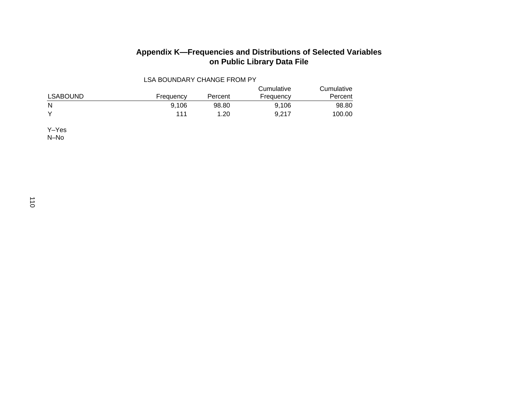| <b>LSA BOUNDARY CHANGE FROM PY</b> |           |         |                         |                       |  |  |
|------------------------------------|-----------|---------|-------------------------|-----------------------|--|--|
| <b>LSABOUND</b>                    | Frequency | Percent | Cumulative<br>Frequency | Cumulative<br>Percent |  |  |
| N                                  | 9.106     | 98.80   | 9.106                   | 98.80                 |  |  |
| $\checkmark$                       | 111       | 1.20    | 9.217                   | 100.00                |  |  |

Y–Yes N–No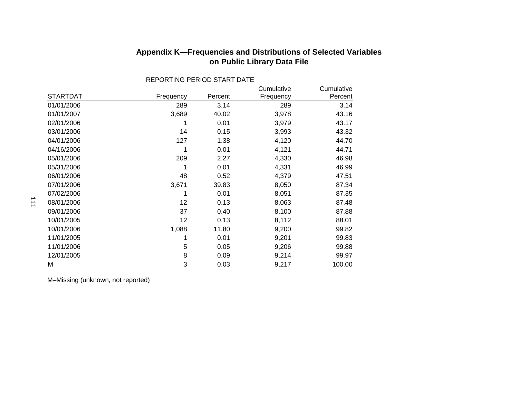|                 |           |         | Cumulative | Cumulative |
|-----------------|-----------|---------|------------|------------|
| <b>STARTDAT</b> | Frequency | Percent | Frequency  | Percent    |
| 01/01/2006      | 289       | 3.14    | 289        | 3.14       |
| 01/01/2007      | 3,689     | 40.02   | 3,978      | 43.16      |
| 02/01/2006      | 1         | 0.01    | 3,979      | 43.17      |
| 03/01/2006      | 14        | 0.15    | 3,993      | 43.32      |
| 04/01/2006      | 127       | 1.38    | 4,120      | 44.70      |
| 04/16/2006      | 1         | 0.01    | 4,121      | 44.71      |
| 05/01/2006      | 209       | 2.27    | 4,330      | 46.98      |
| 05/31/2006      | 1         | 0.01    | 4,331      | 46.99      |
| 06/01/2006      | 48        | 0.52    | 4,379      | 47.51      |
| 07/01/2006      | 3,671     | 39.83   | 8,050      | 87.34      |
| 07/02/2006      | 1         | 0.01    | 8,051      | 87.35      |
| 08/01/2006      | 12        | 0.13    | 8,063      | 87.48      |
| 09/01/2006      | 37        | 0.40    | 8,100      | 87.88      |
| 10/01/2005      | 12        | 0.13    | 8,112      | 88.01      |
| 10/01/2006      | 1,088     | 11.80   | 9,200      | 99.82      |
| 11/01/2005      | 1         | 0.01    | 9,201      | 99.83      |
| 11/01/2006      | 5         | 0.05    | 9,206      | 99.88      |
| 12/01/2005      | 8         | 0.09    | 9,214      | 99.97      |
| M               | 3         | 0.03    | 9,217      | 100.00     |

REPORTING PERIOD START DATE

# **Appendix K—Frequencies and Distributions of Selected Variables on Public Library Data File**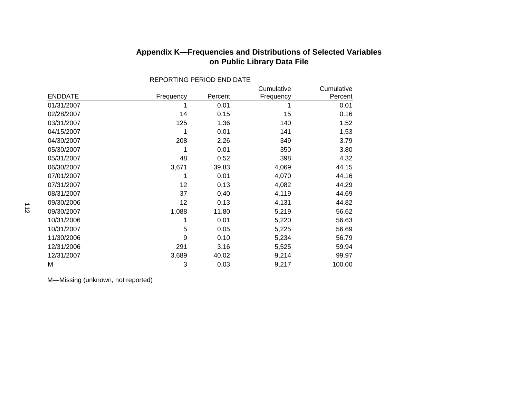| Appendix K—Frequencies and Distributions of Selected Variables |                             |  |
|----------------------------------------------------------------|-----------------------------|--|
|                                                                | on Public Library Data File |  |

|                |           |         | Cumulative | Cumulative |
|----------------|-----------|---------|------------|------------|
| <b>ENDDATE</b> | Frequency | Percent | Frequency  | Percent    |
| 01/31/2007     |           | 0.01    |            | 0.01       |
| 02/28/2007     | 14        | 0.15    | 15         | 0.16       |
| 03/31/2007     | 125       | 1.36    | 140        | 1.52       |
| 04/15/2007     | 1         | 0.01    | 141        | 1.53       |
| 04/30/2007     | 208       | 2.26    | 349        | 3.79       |
| 05/30/2007     | 1         | 0.01    | 350        | 3.80       |
| 05/31/2007     | 48        | 0.52    | 398        | 4.32       |
| 06/30/2007     | 3,671     | 39.83   | 4,069      | 44.15      |
| 07/01/2007     |           | 0.01    | 4,070      | 44.16      |
| 07/31/2007     | 12        | 0.13    | 4,082      | 44.29      |
| 08/31/2007     | 37        | 0.40    | 4,119      | 44.69      |
| 09/30/2006     | 12        | 0.13    | 4,131      | 44.82      |
| 09/30/2007     | 1,088     | 11.80   | 5,219      | 56.62      |
| 10/31/2006     |           | 0.01    | 5,220      | 56.63      |
| 10/31/2007     | 5         | 0.05    | 5,225      | 56.69      |
| 11/30/2006     | 9         | 0.10    | 5,234      | 56.79      |
| 12/31/2006     | 291       | 3.16    | 5,525      | 59.94      |
| 12/31/2007     | 3,689     | 40.02   | 9,214      | 99.97      |
| M              | 3         | 0.03    | 9,217      | 100.00     |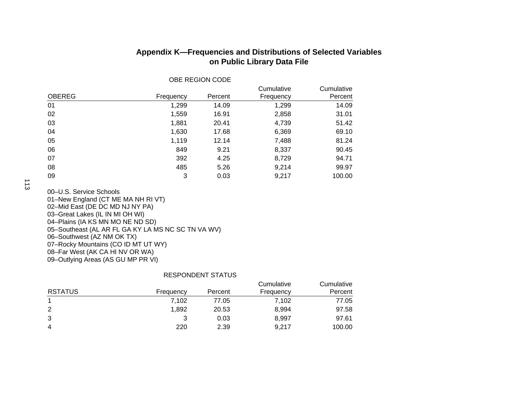|               |           |         | Cumulative | Cumulative |
|---------------|-----------|---------|------------|------------|
| <b>OBEREG</b> | Frequency | Percent | Frequency  | Percent    |
| 01            | 1,299     | 14.09   | 1,299      | 14.09      |
| 02            | 1,559     | 16.91   | 2,858      | 31.01      |
| 03            | 1,881     | 20.41   | 4,739      | 51.42      |
| 04            | 1,630     | 17.68   | 6,369      | 69.10      |
| 05            | 1,119     | 12.14   | 7,488      | 81.24      |
| 06            | 849       | 9.21    | 8,337      | 90.45      |
| 07            | 392       | 4.25    | 8,729      | 94.71      |
| 08            | 485       | 5.26    | 9,214      | 99.97      |
| 09            | 3         | 0.03    | 9,217      | 100.00     |

OBE REGION CODE

## **Appendix K—Frequencies and Distributions of Selected Variables on Public Library Data File**

00–U.S. Service Schools 01–New England (CT ME MA NH RI VT) 02–Mid East (DE DC MD NJ NY PA) 03–Great Lakes (IL IN MI OH WI) 04–Plains (IA KS MN MO NE ND SD) 05–Southeast (AL AR FL GA KY LA MS NC SC TN VA WV) 06–Southwest (AZ NM OK TX) 07–Rocky Mountains (CO ID MT UT WY) 08–Far West (AK CA HI NV OR WA) 09–Outlying Areas (AS GU MP PR VI)

### RESPONDENT STATUS

| <b>RSTATUS</b> |           |         | Cumulative | Cumulative |
|----------------|-----------|---------|------------|------------|
|                | Frequency | Percent | Frequency  | Percent    |
|                | 7.102     | 77.05   | 7.102      | 77.05      |
| 2              | 1,892     | 20.53   | 8.994      | 97.58      |
| 3              |           | 0.03    | 8.997      | 97.61      |
| 4              | 220       | 2.39    | 9.217      | 100.00     |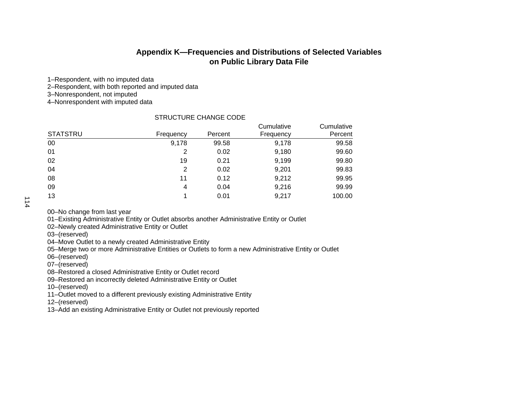1–Respondent, with no imputed data

2–Respondent, with both reported and imputed data

3–Nonrespondent, not imputed

4–Nonrespondent with imputed data

#### STRUCTURE CHANGE CODE

|                 |           |         | Cumulative | Cumulative |
|-----------------|-----------|---------|------------|------------|
| <b>STATSTRU</b> | Frequency | Percent | Frequency  | Percent    |
| 00              | 9,178     | 99.58   | 9,178      | 99.58      |
| 01              | 2         | 0.02    | 9,180      | 99.60      |
| 02              | 19        | 0.21    | 9,199      | 99.80      |
| 04              | 2         | 0.02    | 9,201      | 99.83      |
| 08              | 11        | 0.12    | 9,212      | 99.95      |
| 09              | 4         | 0.04    | 9,216      | 99.99      |
| 13              |           | 0.01    | 9,217      | 100.00     |

114

00–No change from last year

01–Existing Administrative Entity or Outlet absorbs another Administrative Entity or Outlet

02–Newly created Administrative Entity or Outlet

03–(reserved)

04–Move Outlet to a newly created Administrative Entity

05–Merge two or more Administrative Entities or Outlets to form a new Administrative Entity or Outlet

06–(reserved)

07–(reserved)

08–Restored a closed Administrative Entity or Outlet record

09–Restored an incorrectly deleted Administrative Entity or Outlet

10–(reserved)

11–Outlet moved to a different previously existing Administrative Entity

12–(reserved)

13–Add an existing Administrative Entity or Outlet not previously reported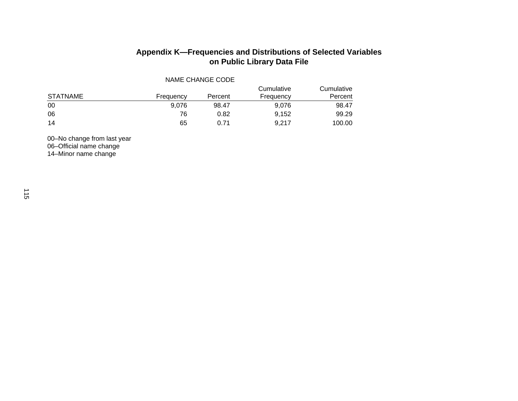| NAME CHANGE CODE |           |         |                         |                       |  |  |
|------------------|-----------|---------|-------------------------|-----------------------|--|--|
| <b>STATNAME</b>  | Frequency | Percent | Cumulative<br>Frequency | Cumulative<br>Percent |  |  |
| 00               | 9.076     | 98.47   | 9.076                   | 98.47                 |  |  |
| 06               | 76        | 0.82    | 9.152                   | 99.29                 |  |  |
| 14               | 65        | 0.71    | 9.217                   | 100.00                |  |  |

00–No change from last year 06–Official name change 14–Minor name change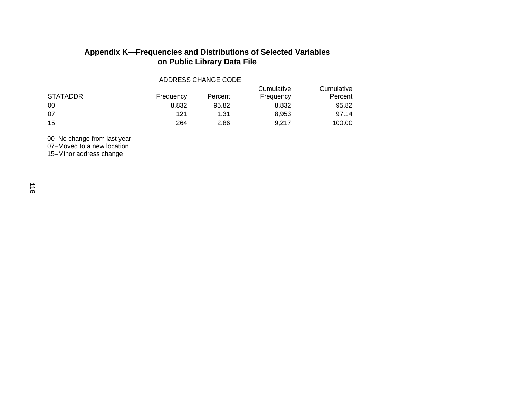ADDRESS CHANGE CODE

| <b>STATADDR</b> | Frequency | Percent | Cumulative<br>Frequency | Cumulative<br>Percent |
|-----------------|-----------|---------|-------------------------|-----------------------|
| 00              | 8.832     | 95.82   | 8.832                   | 95.82                 |
| 07              | 121       | 1.31    | 8,953                   | 97.14                 |
| 15              | 264       | 2.86    | 9.217                   | 100.00                |

00–No change from last year 07–Moved to a new location 15–Minor address change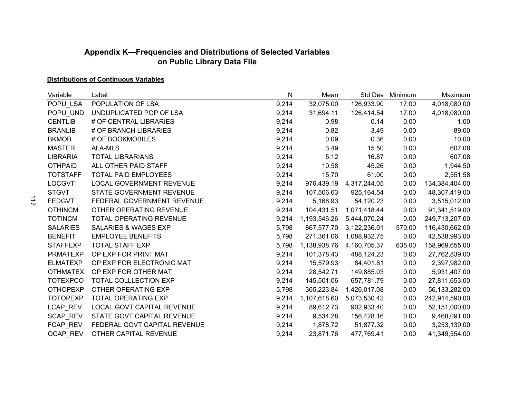## **Distributions of Continuous Variables**

| Variable        | Label                           | N     | Mean         |              | Std Dev Minimum | Maximum        |
|-----------------|---------------------------------|-------|--------------|--------------|-----------------|----------------|
| POPU_LSA        | POPULATION OF LSA               | 9,214 | 32,075.00    | 126,933.90   | 17.00           | 4,018,080.00   |
| POPU_UND        | UNDUPLICATED POP OF LSA         | 9,214 | 31,694.11    | 126,414.54   | 17.00           | 4,018,080.00   |
| <b>CENTLIB</b>  | # OF CENTRAL LIBRARIES          | 9,214 | 0.98         | 0.14         | 0.00            | 1.00           |
| <b>BRANLIB</b>  | # OF BRANCH LIBRARIES           | 9,214 | 0.82         | 3.49         | 0.00            | 89.00          |
| <b>BKMOB</b>    | # OF BOOKMOBILES                | 9,214 | 0.09         | 0.36         | 0.00            | 10.00          |
| <b>MASTER</b>   | <b>ALA-MLS</b>                  | 9,214 | 3.49         | 15.50        | 0.00            | 607.08         |
| <b>LIBRARIA</b> | <b>TOTAL LIBRARIANS</b>         | 9,214 | 5.12         | 16.87        | 0.00            | 607.08         |
| <b>OTHPAID</b>  | ALL OTHER PAID STAFF            | 9,214 | 10.58        | 45.26        | 0.00            | 1,944.50       |
| <b>TOTSTAFF</b> | TOTAL PAID EMPLOYEES            | 9,214 | 15.70        | 61.00        | 0.00            | 2,551.58       |
| <b>LOCGVT</b>   | <b>LOCAL GOVERNMENT REVENUE</b> | 9,214 | 976,439.19   | 4,317,244.05 | 0.00            | 134,384,404.00 |
| <b>STGVT</b>    | STATE GOVERNMENT REVENUE        | 9,214 | 107,506.63   | 925,164.54   | 0.00            | 48,307,419.00  |
| <b>FEDGVT</b>   | FEDERAL GOVERNMENT REVENUE      | 9,214 | 5,168.93     | 54,120.23    | 0.00            | 3,515,012.00   |
| <b>OTHINCM</b>  | OTHER OPERATING REVENUE         | 9,214 | 104,431.51   | 1,071,418.44 | 0.00            | 91,341,519.00  |
| <b>TOTINCM</b>  | <b>TOTAL OPERATING REVENUE</b>  | 9,214 | 1,193,546.26 | 5,444,070.24 | 0.00            | 249,713,207.00 |
| <b>SALARIES</b> | <b>SALARIES &amp; WAGES EXP</b> | 5,798 | 867,577.70   | 3,122,236.01 | 570.00          | 116,430,662.00 |
| <b>BENEFIT</b>  | <b>EMPLOYEE BENEFITS</b>        | 5,798 | 271,361.06   | 1,088,932.75 | 0.00            | 42,538,993.00  |
| <b>STAFFEXP</b> | <b>TOTAL STAFF EXP</b>          | 5,798 | 1,138,938.76 | 4,160,705.37 | 635.00          | 158,969,655.00 |
| <b>PRMATEXP</b> | OP EXP FOR PRINT MAT            | 9,214 | 101,378.43   | 488,124.23   | 0.00            | 27,762,839.00  |
| <b>ELMATEXP</b> | OP EXP FOR ELECTRONIC MAT       | 9,214 | 15,579.93    | 84,401.81    | 0.00            | 2,397,982.00   |
| <b>OTHMATEX</b> | OP EXP FOR OTHER MAT            | 9,214 | 28,542.71    | 149,885.03   | 0.00            | 5,931,407.00   |
| <b>TOTEXPCO</b> | TOTAL COLLLECTION EXP           | 9,214 | 145,501.06   | 657,781.79   | 0.00            | 27,811,653.00  |
| <b>OTHOPEXP</b> | OTHER OPERATING EXP             | 5,798 | 365,223.84   | 1,426,017.08 | 0.00            | 56,133,282.00  |
| <b>TOTOPEXP</b> | <b>TOTAL OPERATING EXP</b>      | 9,214 | 1,107,618.60 | 5,073,530.42 | 0.00            | 242,914,590.00 |
| LCAP_REV        | LOCAL GOVT CAPITAL REVENUE      | 9,214 | 89,612.73    | 902,933.40   | 0.00            | 52,151,000.00  |
| SCAP_REV        | STATE GOVT CAPITAL REVENUE      | 9,214 | 9,534.28     | 156,428.16   | 0.00            | 9,468,091.00   |
| FCAP_REV        | FEDERAL GOVT CAPITAL REVENUE    | 9,214 | 1,878.72     | 51,877.32    | 0.00            | 3,253,139.00   |
| <b>OCAP REV</b> | OTHER CAPITAL REVENUE           | 9,214 | 23,871.76    | 477,769.41   | 0.00            | 41,349,554.00  |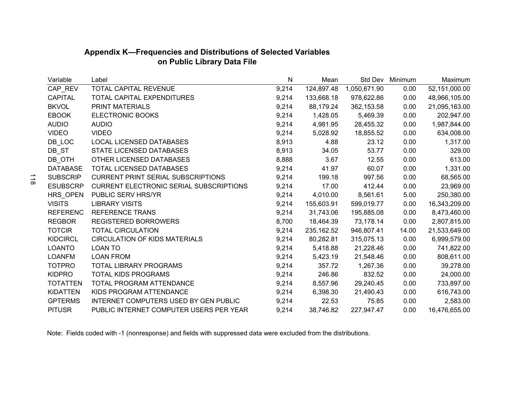| Variable        | Label                                          | Ν     | Mean        | Std Dev      | Minimum | Maximum       |
|-----------------|------------------------------------------------|-------|-------------|--------------|---------|---------------|
| CAP_REV         | TOTAL CAPITAL REVENUE                          | 9,214 | 124,897.48  | 1,050,671.90 | 0.00    | 52,151,000.00 |
| <b>CAPITAL</b>  | TOTAL CAPITAL EXPENDITURES                     | 9,214 | 133,668.18  | 978,622.86   | 0.00    | 48,966,105.00 |
| <b>BKVOL</b>    | PRINT MATERIALS                                | 9,214 | 88,179.24   | 362,153.58   | 0.00    | 21,095,163.00 |
| <b>EBOOK</b>    | <b>ELECTRONIC BOOKS</b>                        | 9,214 | 1,428.05    | 5,469.39     | 0.00    | 202,947.00    |
| <b>AUDIO</b>    | <b>AUDIO</b>                                   | 9,214 | 4,981.95    | 28,455.32    | 0.00    | 1,987,844.00  |
| <b>VIDEO</b>    | <b>VIDEO</b>                                   | 9,214 | 5,028.92    | 18,855.52    | 0.00    | 634,008.00    |
| DB_LOC          | <b>LOCAL LICENSED DATABASES</b>                | 8,913 | 4.88        | 23.12        | 0.00    | 1,317.00      |
| DB_ST           | STATE LICENSED DATABASES                       | 8,913 | 34.05       | 53.77        | 0.00    | 329.00        |
| DB_OTH          | OTHER LICENSED DATABASES                       | 8,888 | 3.67        | 12.55        | 0.00    | 613.00        |
| <b>DATABASE</b> | <b>TOTAL LICENSED DATABASES</b>                | 9,214 | 41.97       | 60.07        | 0.00    | 1,331.00      |
| <b>SUBSCRIP</b> | <b>CURRENT PRINT SERIAL SUBSCRIPTIONS</b>      | 9,214 | 199.18      | 997.56       | 0.00    | 68,565.00     |
| <b>ESUBSCRP</b> | <b>CURRENT ELECTRONIC SERIAL SUBSCRIPTIONS</b> | 9,214 | 17.00       | 412.44       | 0.00    | 23,969.00     |
| HRS_OPEN        | PUBLIC SERV HRS/YR                             | 9,214 | 4,010.00    | 8,561.61     | 5.00    | 250,380.00    |
| <b>VISITS</b>   | <b>LIBRARY VISITS</b>                          | 9,214 | 155,603.91  | 599,019.77   | 0.00    | 16,343,209.00 |
| <b>REFERENC</b> | <b>REFERENCE TRANS</b>                         | 9,214 | 31,743.06   | 195,885.08   | 0.00    | 8,473,460.00  |
| <b>REGBOR</b>   | <b>REGISTERED BORROWERS</b>                    | 8,700 | 18,464.39   | 73,178.14    | 0.00    | 2,807,815.00  |
| <b>TOTCIR</b>   | <b>TOTAL CIRCULATION</b>                       | 9,214 | 235, 162.52 | 946,807.41   | 14.00   | 21,533,649.00 |
| <b>KIDCIRCL</b> | <b>CIRCULATION OF KIDS MATERIALS</b>           | 9,214 | 80,282.81   | 315,075.13   | 0.00    | 6,999,579.00  |
| <b>LOANTO</b>   | <b>LOAN TO</b>                                 | 9,214 | 5,418.88    | 21,228.46    | 0.00    | 741,822.00    |
| <b>LOANFM</b>   | <b>LOAN FROM</b>                               | 9,214 | 5,423.19    | 21,548.46    | 0.00    | 808,611.00    |
| <b>TOTPRO</b>   | <b>TOTAL LIBRARY PROGRAMS</b>                  | 9,214 | 357.72      | 1,267.36     | 0.00    | 39,278.00     |
| <b>KIDPRO</b>   | <b>TOTAL KIDS PROGRAMS</b>                     | 9,214 | 246.86      | 832.52       | 0.00    | 24,000.00     |
| <b>TOTATTEN</b> | TOTAL PROGRAM ATTENDANCE                       | 9,214 | 8,557.96    | 29,240.45    | 0.00    | 733,897.00    |
| <b>KIDATTEN</b> | KIDS PROGRAM ATTENDANCE                        | 9,214 | 6,398.30    | 21,490.43    | 0.00    | 616,743.00    |
| <b>GPTERMS</b>  | INTERNET COMPUTERS USED BY GEN PUBLIC          | 9,214 | 22.53       | 75.85        | 0.00    | 2,583.00      |
| <b>PITUSR</b>   | PUBLIC INTERNET COMPUTER USERS PER YEAR        | 9,214 | 38,746.82   | 227,947.47   | 0.00    | 16,476,655.00 |

Note: Fields coded with -1 (nonresponse) and fields with suppressed data were excluded from the distributions.

118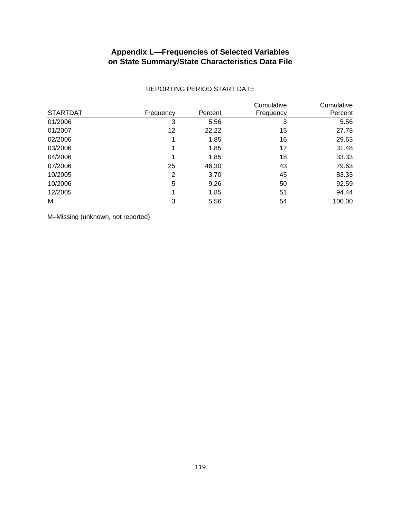## **Appendix L—Frequencies of Selected Variables on State Summary/State Characteristics Data File**

| <b>STARTDAT</b> | Frequency | Percent | Cumulative<br>Frequency | Cumulative<br>Percent |
|-----------------|-----------|---------|-------------------------|-----------------------|
| 01/2006         | 3         | 5.56    | 3                       | 5.56                  |
| 01/2007         | 12        | 22.22   | 15                      | 27.78                 |
| 02/2006         |           | 1.85    | 16                      | 29.63                 |
| 03/2006         | 1         | 1.85    | 17                      | 31.48                 |
| 04/2006         | 1         | 1.85    | 18                      | 33.33                 |
| 07/2006         | 25        | 46.30   | 43                      | 79.63                 |
| 10/2005         | 2         | 3.70    | 45                      | 83.33                 |
| 10/2006         | 5         | 9.26    | 50                      | 92.59                 |
| 12/2005         | 1         | 1.85    | 51                      | 94.44                 |
| M               | 3         | 5.56    | 54                      | 100.00                |

#### REPORTING PERIOD START DATE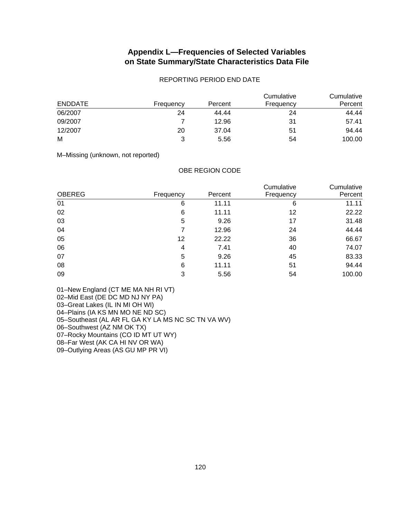## **Appendix L—Frequencies of Selected Variables on State Summary/State Characteristics Data File**

#### REPORTING PERIOD END DATE

| <b>ENDDATE</b> | Frequency | Percent | Cumulative<br>Frequency | Cumulative<br>Percent |
|----------------|-----------|---------|-------------------------|-----------------------|
| 06/2007        | 24        | 44.44   | 24                      | 44.44                 |
| 09/2007        |           | 12.96   | 31                      | 57.41                 |
| 12/2007        | 20        | 37.04   | 51                      | 94.44                 |
| M              | 3         | 5.56    | 54                      | 100.00                |

M–Missing (unknown, not reported)

OBE REGION CODE

|               |           |         | Cumulative | Cumulative |  |
|---------------|-----------|---------|------------|------------|--|
| <b>OBEREG</b> | Frequency | Percent | Frequency  | Percent    |  |
| 01            | 6         | 11.11   | 6          | 11.11      |  |
| 02            | 6         | 11.11   | 12         | 22.22      |  |
| 03            | 5         | 9.26    | 17         | 31.48      |  |
| 04            | 7         | 12.96   | 24         | 44.44      |  |
| 05            | 12        | 22.22   | 36         | 66.67      |  |
| 06            | 4         | 7.41    | 40         | 74.07      |  |
| 07            | 5         | 9.26    | 45         | 83.33      |  |
| 08            | 6         | 11.11   | 51         | 94.44      |  |
| 09            | 3         | 5.56    | 54         | 100.00     |  |

01–New England (CT ME MA NH RI VT)

02–Mid East (DE DC MD NJ NY PA)

03–Great Lakes (IL IN MI OH WI)

04–Plains (IA KS MN MO NE ND SC)

05–Southeast (AL AR FL GA KY LA MS NC SC TN VA WV)

06–Southwest (AZ NM OK TX)

07–Rocky Mountains (CO ID MT UT WY)

08–Far West (AK CA HI NV OR WA)

09–Outlying Areas (AS GU MP PR VI)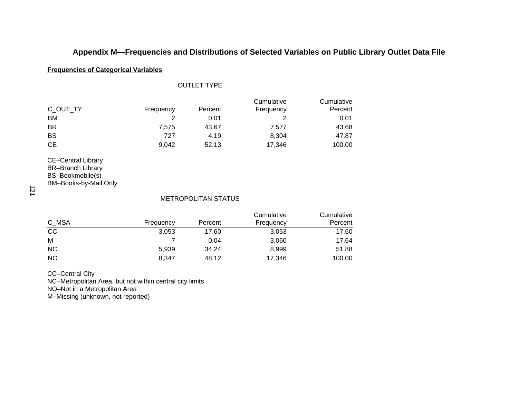#### **Frequencies of Categorical Variables**

# OUTLET TYPE

| C OUT TY | Frequency | Percent | Cumulative<br>Frequency | Cumulative<br>Percent |
|----------|-----------|---------|-------------------------|-----------------------|
| BM       |           | 0.01    |                         | 0.01                  |
| BR       | 7.575     | 43.67   | 7,577                   | 43.68                 |
| BS       | 727       | 4.19    | 8,304                   | 47.87                 |
| CЕ       | 9.042     | 52.13   | 17.346                  | 100.00                |

CE–Central Library BR–Branch Library BS–Bookmobile(s)

BM–Books-by-Mail Only

121

#### METROPOLITAN STATUS

|           |           |         | Cumulative | Cumulative |
|-----------|-----------|---------|------------|------------|
| C_MSA     | Frequency | Percent | Frequency  | Percent    |
| CC        | 3,053     | 17.60   | 3,053      | 17.60      |
| M         |           | 0.04    | 3,060      | 17.64      |
| <b>NC</b> | 5,939     | 34.24   | 8,999      | 51.88      |
| <b>NO</b> | 8,347     | 48.12   | 17,346     | 100.00     |

CC–Central City

NC–Metropolitan Area, but not within central city limits

NO–Not in a Metropolitan Area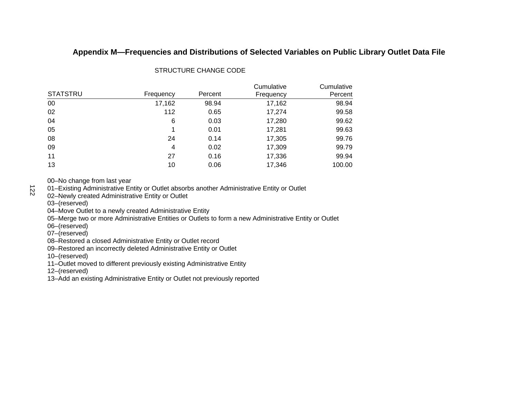|                 |           |         | Cumulative | Cumulative |
|-----------------|-----------|---------|------------|------------|
| <b>STATSTRU</b> | Frequency | Percent | Frequency  | Percent    |
| 00              | 17,162    | 98.94   | 17,162     | 98.94      |
| 02              | 112       | 0.65    | 17,274     | 99.58      |
| 04              | 6         | 0.03    | 17,280     | 99.62      |
| 05              | 1         | 0.01    | 17,281     | 99.63      |
| 08              | 24        | 0.14    | 17,305     | 99.76      |
| 09              | 4         | 0.02    | 17,309     | 99.79      |
| 11              | 27        | 0.16    | 17,336     | 99.94      |
| 13              | 10        | 0.06    | 17,346     | 100.00     |

### STRUCTURE CHANGE CODE

00–No change from last year

01–Existing Administrative Entity or Outlet absorbs another Administrative Entity or Outlet

02–Newly created Administrative Entity or Outlet

03–(reserved)

122

04–Move Outlet to a newly created Administrative Entity

05–Merge two or more Administrative Entities or Outlets to form a new Administrative Entity or Outlet

06–(reserved)

07–(reserved)

08–Restored a closed Administrative Entity or Outlet record

09–Restored an incorrectly deleted Administrative Entity or Outlet

10–(reserved)

11–Outlet moved to different previously existing Administrative Entity

12–(reserved)

13–Add an existing Administrative Entity or Outlet not previously reported